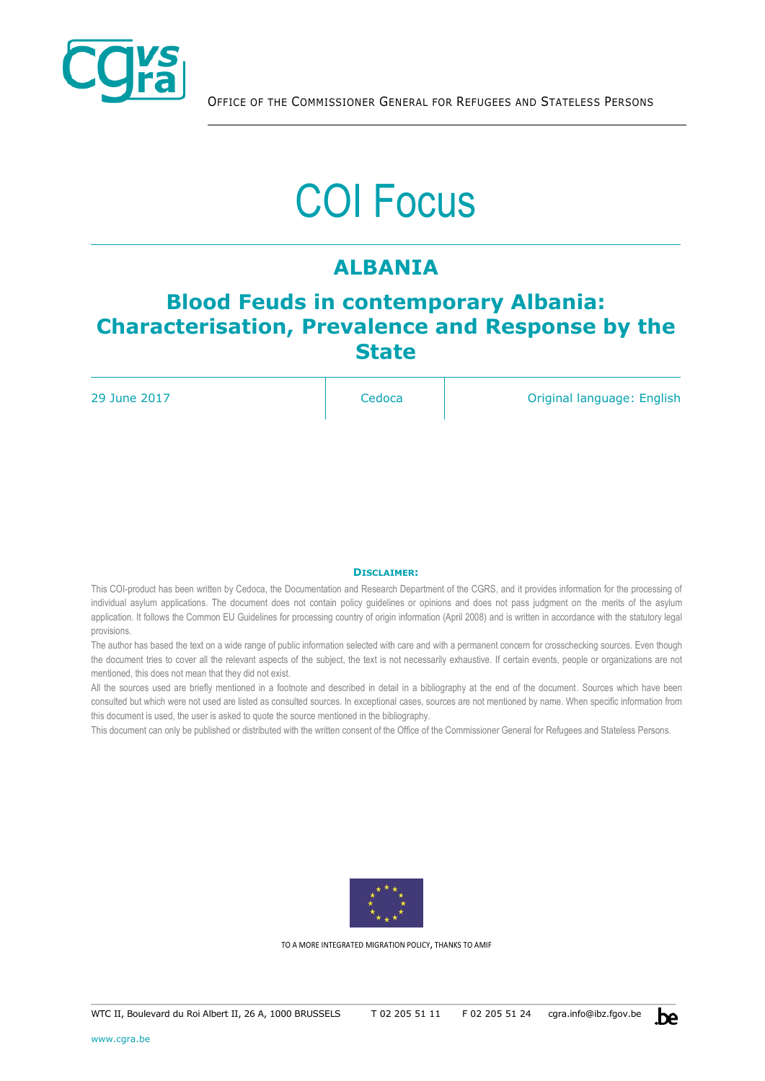

# COI Focus

## **ALBANIA**

## **Blood Feuds in contemporary Albania: Characterisation, Prevalence and Response by the State**

29 June 2017 **Cedoca Original language: English** Cedoca **Original language: English** 

#### **DISCLAIMER:**

This COI-product has been written by Cedoca, the Documentation and Research Department of the CGRS, and it provides information for the processing of individual asylum applications. The document does not contain policy guidelines or opinions and does not pass judgment on the merits of the asylum application. It follows the Common EU Guidelines for processing country of origin information (April 2008) and is written in accordance with the statutory legal provisions.

The author has based the text on a wide range of public information selected with care and with a permanent concern for crosschecking sources. Even though the document tries to cover all the relevant aspects of the subject, the text is not necessarily exhaustive. If certain events, people or organizations are not mentioned, this does not mean that they did not exist.

All the sources used are briefly mentioned in a footnote and described in detail in a bibliography at the end of the document. Sources which have been consulted but which were not used are listed as consulted sources. In exceptional cases, sources are not mentioned by name. When specific information from this document is used, the user is asked to quote the source mentioned in the bibliography.

This document can only be published or distributed with the written consent of the Office of the Commissioner General for Refugees and Stateless Persons.



TO A MORE INTEGRATED MIGRATION POLICY, THANKS TO AMIF

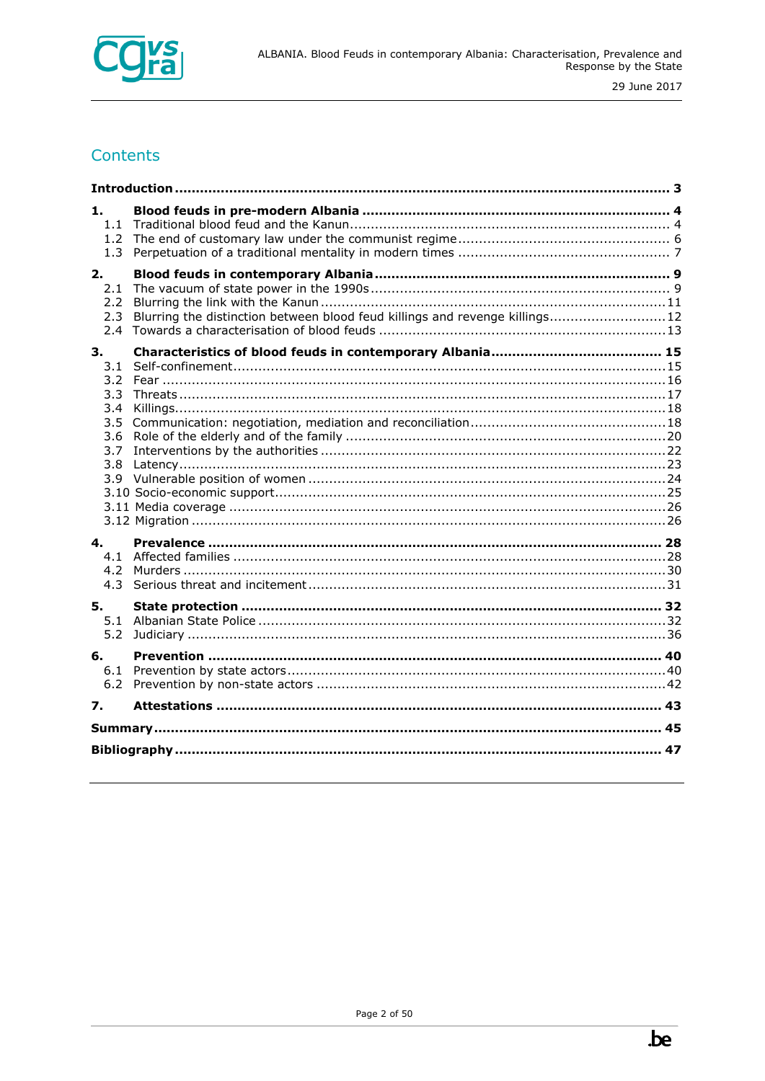

### Contents

| 1.<br>1.1<br>1.2 <sub>1</sub><br>1.3                                        |                                                                              |  |  |  |
|-----------------------------------------------------------------------------|------------------------------------------------------------------------------|--|--|--|
| 2.<br>2.1<br>$2.2^{\circ}$<br>2.3<br>2.4                                    | Blurring the distinction between blood feud killings and revenge killings 12 |  |  |  |
| 3.<br>3.1<br>3.2<br>$3.3^{\circ}$<br>3.4<br>3.5<br>3.6<br>3.7<br>3.8<br>3.9 |                                                                              |  |  |  |
| 4.<br>4.3                                                                   |                                                                              |  |  |  |
| 5.<br>5.1<br>5.2                                                            |                                                                              |  |  |  |
| 6.<br>6.2                                                                   |                                                                              |  |  |  |
| 7.                                                                          |                                                                              |  |  |  |
|                                                                             |                                                                              |  |  |  |
|                                                                             |                                                                              |  |  |  |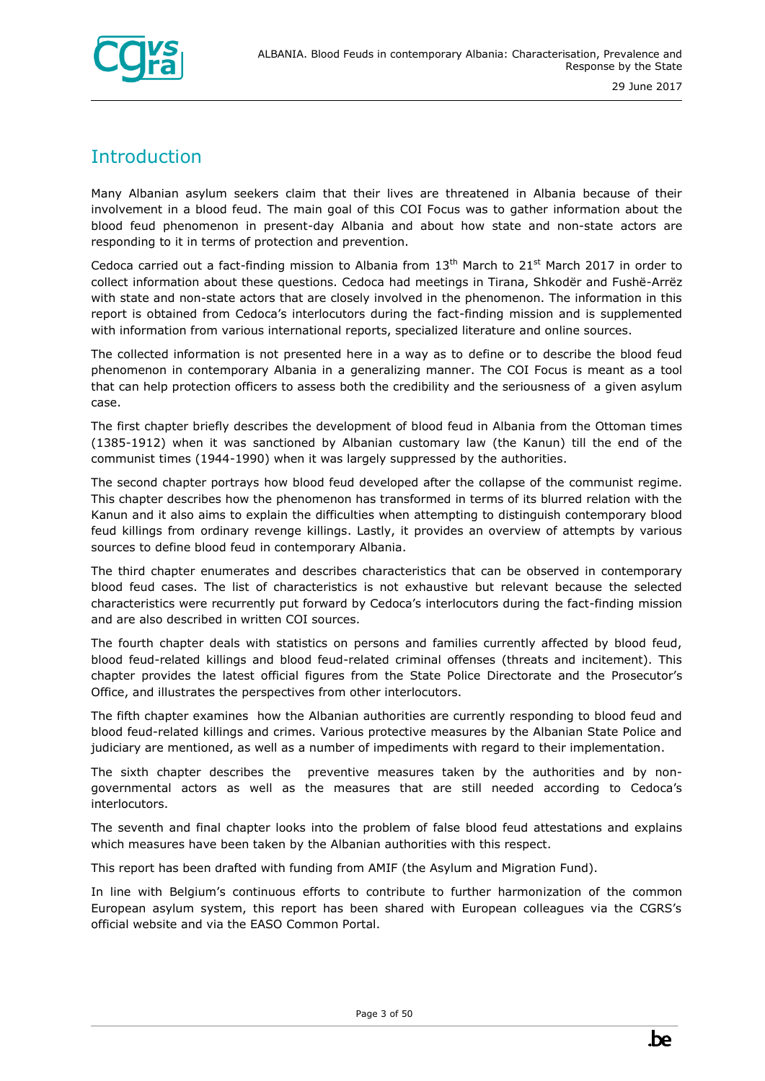

## <span id="page-2-0"></span>**Introduction**

Many Albanian asylum seekers claim that their lives are threatened in Albania because of their involvement in a blood feud. The main goal of this COI Focus was to gather information about the blood feud phenomenon in present-day Albania and about how state and non-state actors are responding to it in terms of protection and prevention.

Cedoca carried out a fact-finding mission to Albania from  $13<sup>th</sup>$  March to 21<sup>st</sup> March 2017 in order to collect information about these questions. Cedoca had meetings in Tirana, Shkodër and Fushë-Arrëz with state and non-state actors that are closely involved in the phenomenon. The information in this report is obtained from Cedoca's interlocutors during the fact-finding mission and is supplemented with information from various international reports, specialized literature and online sources.

The collected information is not presented here in a way as to define or to describe the blood feud phenomenon in contemporary Albania in a generalizing manner. The COI Focus is meant as a tool that can help protection officers to assess both the credibility and the seriousness of a given asylum case.

The first chapter briefly describes the development of blood feud in Albania from the Ottoman times (1385-1912) when it was sanctioned by Albanian customary law (the Kanun) till the end of the communist times (1944-1990) when it was largely suppressed by the authorities.

The second chapter portrays how blood feud developed after the collapse of the communist regime. This chapter describes how the phenomenon has transformed in terms of its blurred relation with the Kanun and it also aims to explain the difficulties when attempting to distinguish contemporary blood feud killings from ordinary revenge killings. Lastly, it provides an overview of attempts by various sources to define blood feud in contemporary Albania.

The third chapter enumerates and describes characteristics that can be observed in contemporary blood feud cases. The list of characteristics is not exhaustive but relevant because the selected characteristics were recurrently put forward by Cedoca's interlocutors during the fact-finding mission and are also described in written COI sources.

The fourth chapter deals with statistics on persons and families currently affected by blood feud, blood feud-related killings and blood feud-related criminal offenses (threats and incitement). This chapter provides the latest official figures from the State Police Directorate and the Prosecutor's Office, and illustrates the perspectives from other interlocutors.

The fifth chapter examines how the Albanian authorities are currently responding to blood feud and blood feud-related killings and crimes. Various protective measures by the Albanian State Police and judiciary are mentioned, as well as a number of impediments with regard to their implementation.

The sixth chapter describes the preventive measures taken by the authorities and by nongovernmental actors as well as the measures that are still needed according to Cedoca's interlocutors.

The seventh and final chapter looks into the problem of false blood feud attestations and explains which measures have been taken by the Albanian authorities with this respect.

This report has been drafted with funding from AMIF (the Asylum and Migration Fund).

In line with Belgium's continuous efforts to contribute to further harmonization of the common European asylum system, this report has been shared with European colleagues via the CGRS's official website and via the EASO Common Portal.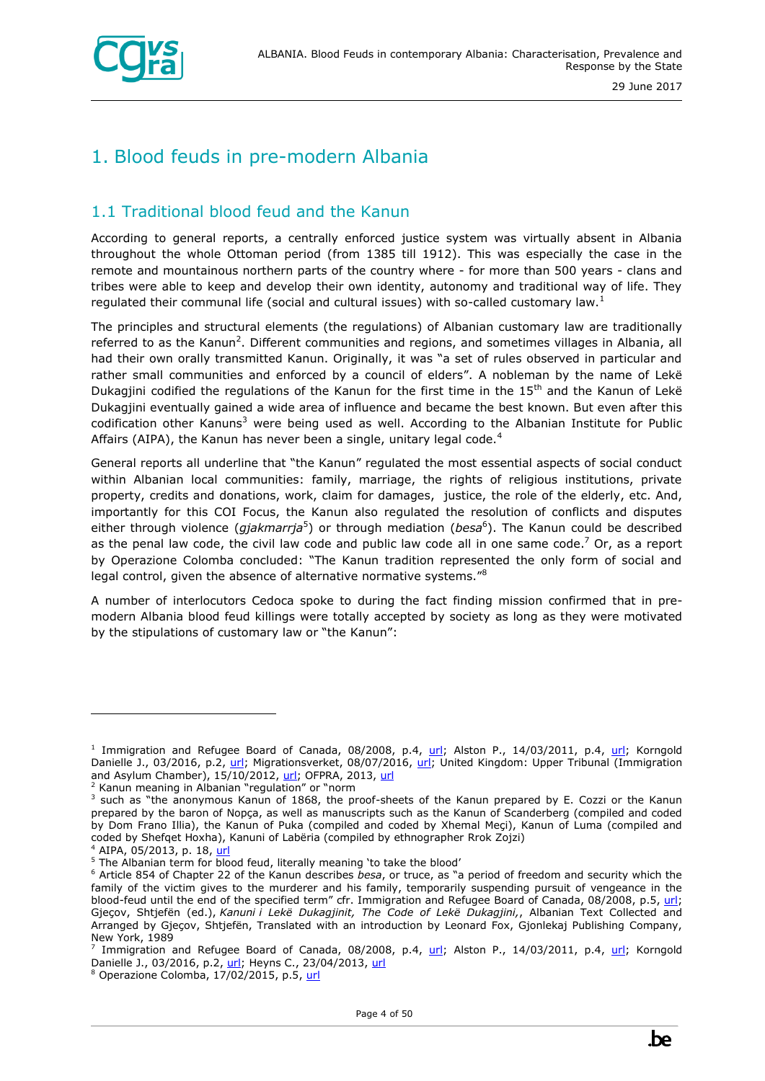

## <span id="page-3-0"></span>1. Blood feuds in pre-modern Albania

#### <span id="page-3-1"></span>1.1 Traditional blood feud and the Kanun

According to general reports, a centrally enforced justice system was virtually absent in Albania throughout the whole Ottoman period (from 1385 till 1912). This was especially the case in the remote and mountainous northern parts of the country where - for more than 500 years - clans and tribes were able to keep and develop their own identity, autonomy and traditional way of life. They regulated their communal life (social and cultural issues) with so-called customary law.<sup>1</sup>

The principles and structural elements (the regulations) of Albanian customary law are traditionally referred to as the Kanun<sup>2</sup>. Different communities and regions, and sometimes villages in Albania, all had their own orally transmitted Kanun. Originally, it was "a set of rules observed in particular and rather small communities and enforced by a council of elders". A nobleman by the name of Lekë Dukagjini codified the regulations of the Kanun for the first time in the  $15<sup>th</sup>$  and the Kanun of Lekë Dukagjini eventually gained a wide area of influence and became the best known. But even after this codification other Kanuns<sup>3</sup> were being used as well. According to the Albanian Institute for Public Affairs (AIPA), the Kanun has never been a single, unitary legal code.<sup>4</sup>

General reports all underline that "the Kanun" regulated the most essential aspects of social conduct within Albanian local communities: family, marriage, the rights of religious institutions, private property, credits and donations, work, claim for damages, justice, the role of the elderly, etc. And, importantly for this COI Focus, the Kanun also regulated the resolution of conflicts and disputes either through violence (*gjakmarrja*<sup>5</sup>) or through mediation (*besa*<sup>6</sup>). The Kanun could be described as the penal law code, the civil law code and public law code all in one same code.<sup>7</sup> Or, as a report by Operazione Colomba concluded: "The Kanun tradition represented the only form of social and legal control, given the absence of alternative normative systems." $8$ 

A number of interlocutors Cedoca spoke to during the fact finding mission confirmed that in premodern Albania blood feud killings were totally accepted by society as long as they were motivated by the stipulations of customary law or "the Kanun":

ł

<sup>8</sup> Operazione Colomba, 17/02/2015, p.5, [url](http://www.operazionecolomba.it/docs/Report_ENG.pdf)

<sup>&</sup>lt;sup>1</sup> Immigration and Refugee Board of Canada, 08/2008, p.4, [url;](http://reliefweb.int/report/albania/report-special-rapporteur-extrajudicial-summary-or-arbitrary-executions-philip-alston) Alston P., 14/03/2011, p.4, url; Korngold Danielle J., 03/2016, p.2, [url;](http://www.google.com/url?sa=t&rct=j&q=&esrc=s&source=web&cd=2&ved=0ahUKEwiX7fj0vczUAhUlJcAKHa5jDHgQFggqMAE&url=http%3A%2F%2Fhistoricaldialogues.org%2Fwp-content%2Fuploads%2F2016%2F03%2Fworking_paper_series_no.8.pdf&usg=AFQjCNG397iuvZLuL6opmjcvBhpFYEN_Ag&sig2=x6sHHvTK8o-KulOo3OiS4w) Migrationsverket, 08/07/2016, [url;](https://goo.gl/g47DZv) United Kingdom: Upper Tribunal (Immigration and Asylum Chamber), 15/10/2012, [url;](http://www.unhcr.org/refworld/docid/507d85452.html) OFPRA, 2013, url

 $2$  Kanun meaning in Albanian "regulation" or "norm

<sup>&</sup>lt;sup>3</sup> such as "the anonymous Kanun of 1868, the proof-sheets of the Kanun prepared by E. Cozzi or the Kanun prepared by the baron of Nopça, as well as manuscripts such as the Kanun of Scanderberg (compiled and coded by Dom Frano Illia), the Kanun of Puka (compiled and coded by Xhemal Meçi), Kanun of Luma (compiled and coded by Shefqet Hoxha), Kanuni of Labëria (compiled by ethnographer Rrok Zojzi)

<sup>&</sup>lt;sup>4</sup> AIPA, 05/2013, p. 18, [url](https://www.researchgate.net/publication/298786990_Effects_of_blood_feuds_on_albanian_girls_and_women)

 $5$  The Albanian term for blood feud, literally meaning 'to take the blood'

<sup>6</sup> Article 854 of Chapter 22 of the Kanun describes *besa*, or truce, as "a period of freedom and security which the family of the victim gives to the murderer and his family, temporarily suspending pursuit of vengeance in the blood-feud until the end of the specified term" cfr. Immigration and Refugee Board of Canada, 08/2008, p.5, [url;](http://irb-cisr.gc.ca/eng/ResRec/NdpCnd/Pages/Albania-BloodFeuds.aspx) Gjeçov, Shtjefën (ed.), *Kanuni i Lekë Dukagjinit, The Code of Lekë Dukagjini,*, Albanian Text Collected and Arranged by Gjeçov, Shtjefën, Translated with an introduction by Leonard Fox, Gjonlekaj Publishing Company, New York, 1989

<sup>&</sup>lt;sup>7</sup> Immigration and Refugee Board of Canada, 08/2008, p.4, [url;](http://reliefweb.int/report/albania/report-special-rapporteur-extrajudicial-summary-or-arbitrary-executions-philip-alston) Alston P., 14/03/2011, p.4, url; Korngold Danielle J., 03/2016, p.2[, url;](http://www.google.com/url?sa=t&rct=j&q=&esrc=s&source=web&cd=2&ved=0ahUKEwiX7fj0vczUAhUlJcAKHa5jDHgQFggqMAE&url=http%3A%2F%2Fhistoricaldialogues.org%2Fwp-content%2Fuploads%2F2016%2F03%2Fworking_paper_series_no.8.pdf&usg=AFQjCNG397iuvZLuL6opmjcvBhpFYEN_Ag&sig2=x6sHHvTK8o-KulOo3OiS4w) Heyns C., 23/04/2013, [url](http://www.ohchr.org/Documents/HRBodies/HRCouncil/RegularSession/Session23/A.HRC.23.47.Add.4_EN.pdf)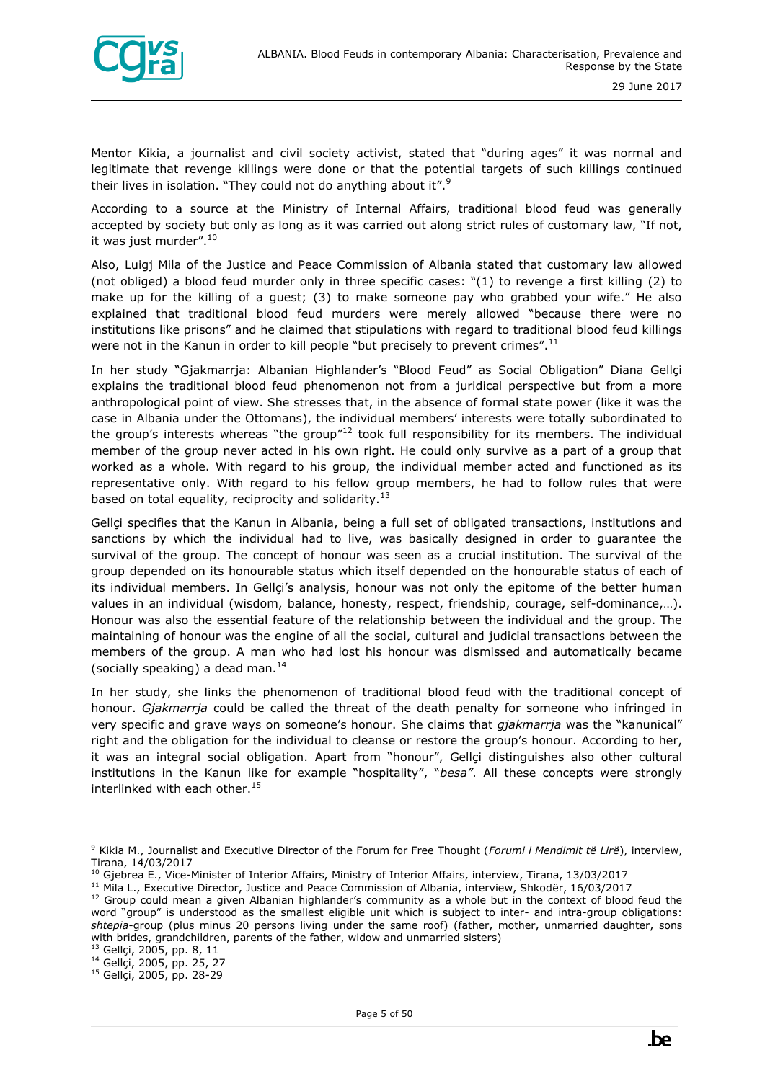

Mentor Kikia, a journalist and civil society activist, stated that "during ages" it was normal and legitimate that revenge killings were done or that the potential targets of such killings continued their lives in isolation. "They could not do anything about it".<sup>9</sup>

According to a source at the Ministry of Internal Affairs, traditional blood feud was generally accepted by society but only as long as it was carried out along strict rules of customary law, "If not, it was just murder".<sup>10</sup>

Also, Luigj Mila of the Justice and Peace Commission of Albania stated that customary law allowed (not obliged) a blood feud murder only in three specific cases: "(1) to revenge a first killing (2) to make up for the killing of a guest; (3) to make someone pay who grabbed your wife." He also explained that traditional blood feud murders were merely allowed "because there were no institutions like prisons" and he claimed that stipulations with regard to traditional blood feud killings were not in the Kanun in order to kill people "but precisely to prevent crimes".<sup>11</sup>

In her study "Gjakmarrja: Albanian Highlander's "Blood Feud" as Social Obligation" Diana Gellçi explains the traditional blood feud phenomenon not from a juridical perspective but from a more anthropological point of view. She stresses that, in the absence of formal state power (like it was the case in Albania under the Ottomans), the individual members' interests were totally subordinated to the group's interests whereas "the group" $12$  took full responsibility for its members. The individual member of the group never acted in his own right. He could only survive as a part of a group that worked as a whole. With regard to his group, the individual member acted and functioned as its representative only. With regard to his fellow group members, he had to follow rules that were based on total equality, reciprocity and solidarity.<sup>13</sup>

Gellçi specifies that the Kanun in Albania, being a full set of obligated transactions, institutions and sanctions by which the individual had to live, was basically designed in order to guarantee the survival of the group. The concept of honour was seen as a crucial institution. The survival of the group depended on its honourable status which itself depended on the honourable status of each of its individual members. In Gellçi's analysis, honour was not only the epitome of the better human values in an individual (wisdom, balance, honesty, respect, friendship, courage, self-dominance,…). Honour was also the essential feature of the relationship between the individual and the group. The maintaining of honour was the engine of all the social, cultural and judicial transactions between the members of the group. A man who had lost his honour was dismissed and automatically became (socially speaking) a dead man. $^{14}$ 

In her study, she links the phenomenon of traditional blood feud with the traditional concept of honour. *Gjakmarrja* could be called the threat of the death penalty for someone who infringed in very specific and grave ways on someone's honour. She claims that *gjakmarrja* was the "kanunical" right and the obligation for the individual to cleanse or restore the group's honour. According to her, it was an integral social obligation. Apart from "honour", Gellçi distinguishes also other cultural institutions in the Kanun like for example "hospitality", "*besa"*. All these concepts were strongly interlinked with each other. $15$ 

<sup>9</sup> Kikia M., Journalist and Executive Director of the Forum for Free Thought (*Forumi i Mendimit të Lirë*), interview, Tirana, 14/03/2017

<sup>&</sup>lt;sup>10</sup> Gjebrea E., Vice-Minister of Interior Affairs, Ministry of Interior Affairs, interview, Tirana, 13/03/2017

<sup>&</sup>lt;sup>11</sup> Mila L., Executive Director, Justice and Peace Commission of Albania, interview, Shkodër, 16/03/2017

 $12$  Group could mean a given Albanian highlander's community as a whole but in the context of blood feud the word "group" is understood as the smallest eligible unit which is subject to inter- and intra-group obligations: *shtepia*-group (plus minus 20 persons living under the same roof) (father, mother, unmarried daughter, sons with brides, grandchildren, parents of the father, widow and unmarried sisters)

<sup>13</sup> Gellçi, 2005, pp. 8, 11

<sup>14</sup> Gellçi, 2005, pp. 25, 27

<sup>15</sup> Gellçi, 2005, pp. 28-29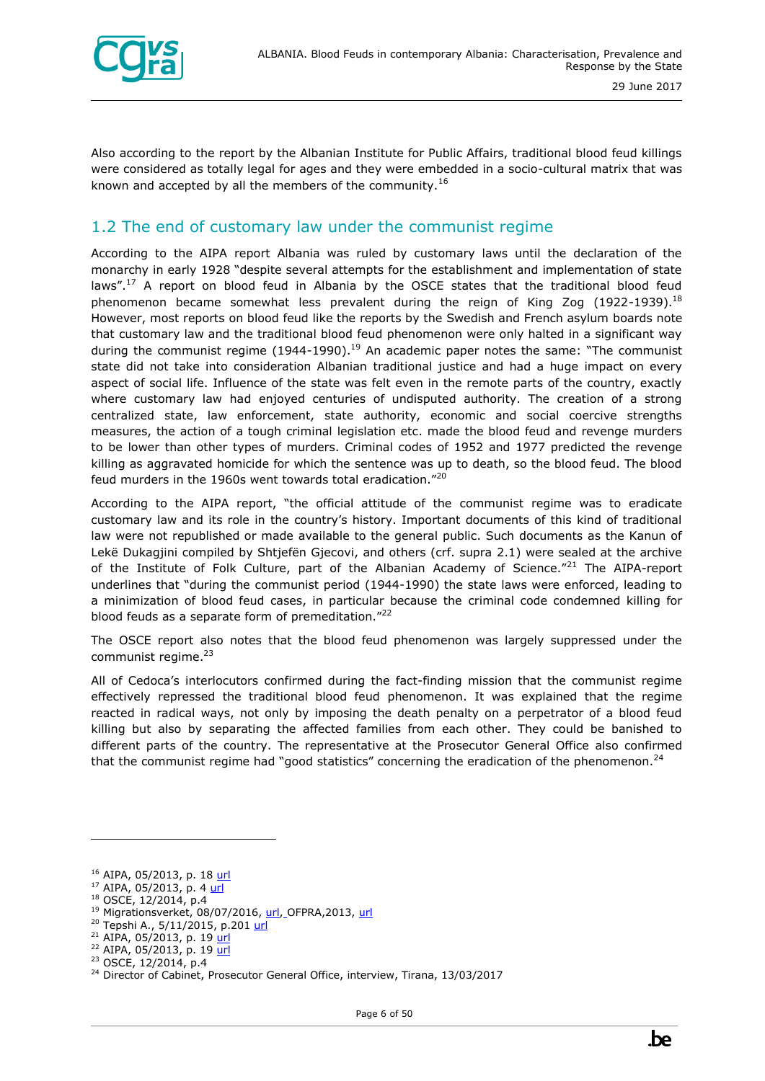

Also according to the report by the Albanian Institute for Public Affairs, traditional blood feud killings were considered as totally legal for ages and they were embedded in a socio-cultural matrix that was known and accepted by all the members of the community.<sup>16</sup>

#### <span id="page-5-0"></span>1.2 The end of customary law under the communist regime

According to the AIPA report Albania was ruled by customary laws until the declaration of the monarchy in early 1928 "despite several attempts for the establishment and implementation of state laws".<sup>17</sup> A report on blood feud in Albania by the OSCE states that the traditional blood feud phenomenon became somewhat less prevalent during the reign of King Zog (1922-1939).<sup>18</sup> However, most reports on blood feud like the reports by the Swedish and French asylum boards note that customary law and the traditional blood feud phenomenon were only halted in a significant way during the communist regime  $(1944-1990).$ <sup>19</sup> An academic paper notes the same: "The communist state did not take into consideration Albanian traditional justice and had a huge impact on every aspect of social life. Influence of the state was felt even in the remote parts of the country, exactly where customary law had enjoyed centuries of undisputed authority. The creation of a strong centralized state, law enforcement, state authority, economic and social coercive strengths measures, the action of a tough criminal legislation etc. made the blood feud and revenge murders to be lower than other types of murders. Criminal codes of 1952 and 1977 predicted the revenge killing as aggravated homicide for which the sentence was up to death, so the blood feud. The blood feud murders in the 1960s went towards total eradication."<sup>20</sup>

According to the AIPA report, "the official attitude of the communist regime was to eradicate customary law and its role in the country's history. Important documents of this kind of traditional law were not republished or made available to the general public. Such documents as the Kanun of Lekë Dukagjini compiled by Shtjefën Gjecovi, and others (crf. supra 2.1) were sealed at the archive of the Institute of Folk Culture, part of the Albanian Academy of Science."<sup>21</sup> The AIPA-report underlines that "during the communist period (1944-1990) the state laws were enforced, leading to a minimization of blood feud cases, in particular because the criminal code condemned killing for blood feuds as a separate form of premeditation."<sup>22</sup>

The OSCE report also notes that the blood feud phenomenon was largely suppressed under the communist regime. $23$ 

All of Cedoca's interlocutors confirmed during the fact-finding mission that the communist regime effectively repressed the traditional blood feud phenomenon. It was explained that the regime reacted in radical ways, not only by imposing the death penalty on a perpetrator of a blood feud killing but also by separating the affected families from each other. They could be banished to different parts of the country. The representative at the Prosecutor General Office also confirmed that the communist regime had "good statistics" concerning the eradication of the phenomenon.<sup>24</sup>

 $16$  AIPA, 05/2013, p. 18 [url](https://www.researchgate.net/publication/298786990_Effects_of_blood_feuds_on_albanian_girls_and_women)

 $17$  AIPA, 05/2013, p. 4 [url](https://www.researchgate.net/publication/298786990_Effects_of_blood_feuds_on_albanian_girls_and_women)

<sup>18</sup> OSCE, 12/2014, p.4

<sup>19</sup> Migrationsverket, 08/07/2016, [url,](https://goo.gl/g47DZv) OFPRA,2013, [url](https://goo.gl/ZijWnj) 

<sup>&</sup>lt;sup>20</sup> Tepshi A., 5/11/2015, p.20[1 url](http://www.mcser.org/journal/index.php/ajis/article/viewFile/8179/7843)

<sup>&</sup>lt;sup>21</sup> AIPA, 05/2013, p. 19 [url](https://www.researchgate.net/publication/298786990_Effects_of_blood_feuds_on_albanian_girls_and_women)

<sup>&</sup>lt;sup>22</sup> AIPA, 05/2013, p. 19 [url](https://www.researchgate.net/publication/298786990_Effects_of_blood_feuds_on_albanian_girls_and_women) <sup>23</sup> OSCE, 12/2014, p.4

<sup>&</sup>lt;sup>24</sup> Director of Cabinet, Prosecutor General Office, interview, Tirana, 13/03/2017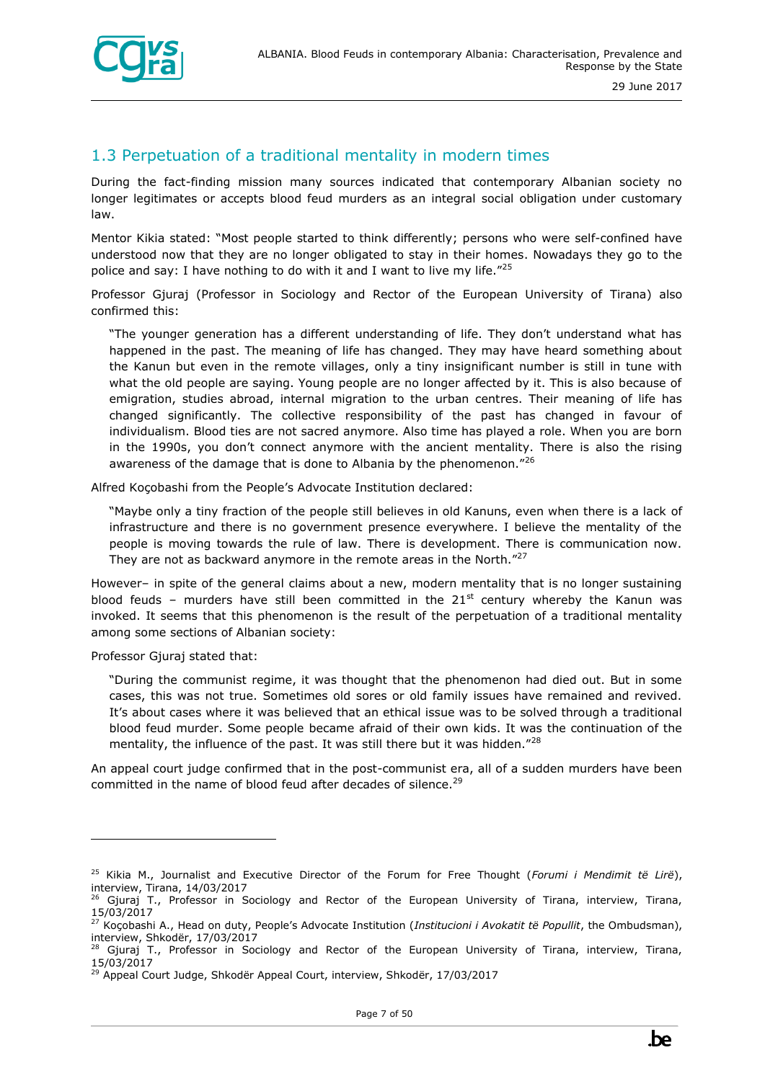

#### <span id="page-6-0"></span>1.3 Perpetuation of a traditional mentality in modern times

During the fact-finding mission many sources indicated that contemporary Albanian society no longer legitimates or accepts blood feud murders as an integral social obligation under customary law.

Mentor Kikia stated: "Most people started to think differently; persons who were self-confined have understood now that they are no longer obligated to stay in their homes. Nowadays they go to the police and say: I have nothing to do with it and I want to live my life."25

Professor Gjuraj (Professor in Sociology and Rector of the European University of Tirana) also confirmed this:

"The younger generation has a different understanding of life. They don't understand what has happened in the past. The meaning of life has changed. They may have heard something about the Kanun but even in the remote villages, only a tiny insignificant number is still in tune with what the old people are saying. Young people are no longer affected by it. This is also because of emigration, studies abroad, internal migration to the urban centres. Their meaning of life has changed significantly. The collective responsibility of the past has changed in favour of individualism. Blood ties are not sacred anymore. Also time has played a role. When you are born in the 1990s, you don't connect anymore with the ancient mentality. There is also the rising awareness of the damage that is done to Albania by the phenomenon." $^{26}$ 

Alfred Koçobashi from the People's Advocate Institution declared:

"Maybe only a tiny fraction of the people still believes in old Kanuns, even when there is a lack of infrastructure and there is no government presence everywhere. I believe the mentality of the people is moving towards the rule of law. There is development. There is communication now. They are not as backward anymore in the remote areas in the North."<sup>27</sup>

However– in spite of the general claims about a new, modern mentality that is no longer sustaining blood feuds – murders have still been committed in the  $21^{st}$  century whereby the Kanun was invoked. It seems that this phenomenon is the result of the perpetuation of a traditional mentality among some sections of Albanian society:

Professor Gjuraj stated that:

ł

"During the communist regime, it was thought that the phenomenon had died out. But in some cases, this was not true. Sometimes old sores or old family issues have remained and revived. It's about cases where it was believed that an ethical issue was to be solved through a traditional blood feud murder. Some people became afraid of their own kids. It was the continuation of the mentality, the influence of the past. It was still there but it was hidden."<sup>28</sup>

An appeal court judge confirmed that in the post-communist era, all of a sudden murders have been committed in the name of blood feud after decades of silence.<sup>29</sup>

<sup>25</sup> Kikia M., Journalist and Executive Director of the Forum for Free Thought (*Forumi i Mendimit të Lirë*), interview, Tirana, 14/03/2017

<sup>&</sup>lt;sup>26</sup> Gjuraj T., Professor in Sociology and Rector of the European University of Tirana, interview, Tirana, 15/03/2017

<sup>27</sup> Koçobashi A., Head on duty, People's Advocate Institution (*Institucioni i Avokatit të Popullit*, the Ombudsman), interview, Shkodër, 17/03/2017

<sup>28</sup> Gjuraj T., Professor in Sociology and Rector of the European University of Tirana, interview, Tirana, 15/03/2017

 $^{9}$  Appeal Court Judge, Shkodër Appeal Court, interview, Shkodër, 17/03/2017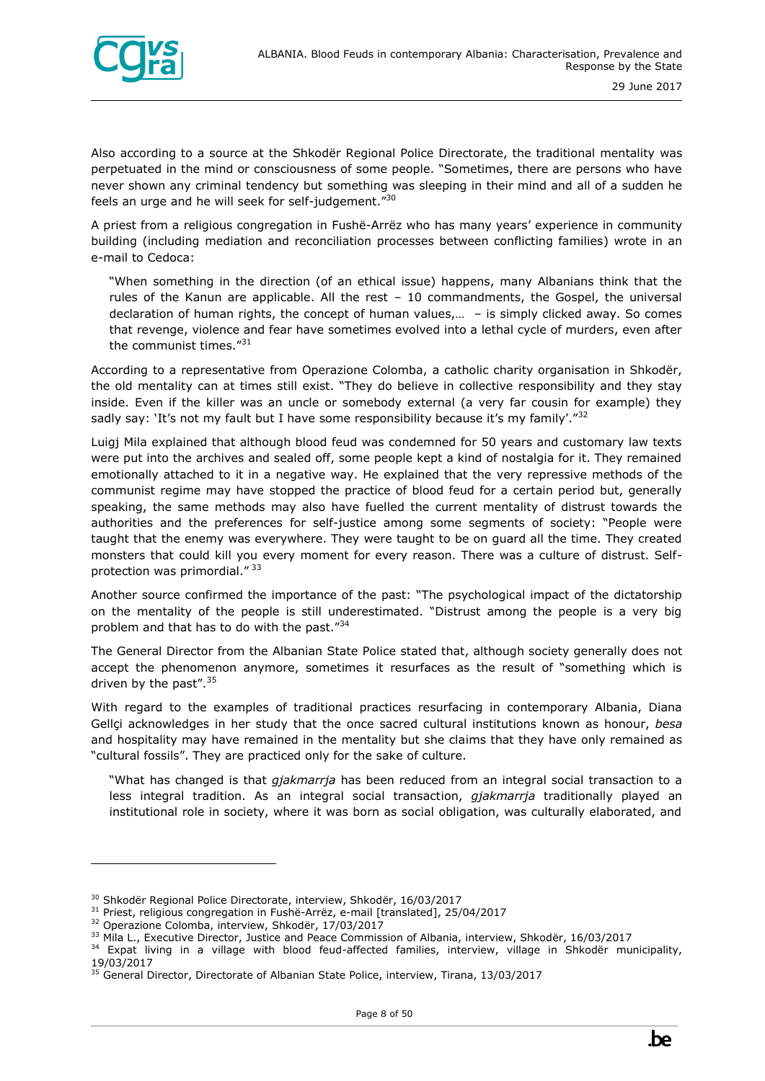

Also according to a source at the Shkodër Regional Police Directorate, the traditional mentality was perpetuated in the mind or consciousness of some people. "Sometimes, there are persons who have never shown any criminal tendency but something was sleeping in their mind and all of a sudden he feels an urge and he will seek for self-judgement."<sup>30</sup>

A priest from a religious congregation in Fushë-Arrëz who has many years' experience in community building (including mediation and reconciliation processes between conflicting families) wrote in an e-mail to Cedoca:

"When something in the direction (of an ethical issue) happens, many Albanians think that the rules of the Kanun are applicable. All the rest – 10 commandments, the Gospel, the universal declaration of human rights, the concept of human values,… – is simply clicked away. So comes that revenge, violence and fear have sometimes evolved into a lethal cycle of murders, even after the communist times."<sup>31</sup>

According to a representative from Operazione Colomba, a catholic charity organisation in Shkodër, the old mentality can at times still exist. "They do believe in collective responsibility and they stay inside. Even if the killer was an uncle or somebody external (a very far cousin for example) they sadly say: 'It's not my fault but I have some responsibility because it's my family'." $32$ 

Luigj Mila explained that although blood feud was condemned for 50 years and customary law texts were put into the archives and sealed off, some people kept a kind of nostalgia for it. They remained emotionally attached to it in a negative way. He explained that the very repressive methods of the communist regime may have stopped the practice of blood feud for a certain period but, generally speaking, the same methods may also have fuelled the current mentality of distrust towards the authorities and the preferences for self-justice among some segments of society: "People were taught that the enemy was everywhere. They were taught to be on guard all the time. They created monsters that could kill you every moment for every reason. There was a culture of distrust. Selfprotection was primordial." <sup>33</sup>

Another source confirmed the importance of the past: "The psychological impact of the dictatorship on the mentality of the people is still underestimated. "Distrust among the people is a very big problem and that has to do with the past."34

The General Director from the Albanian State Police stated that, although society generally does not accept the phenomenon anymore, sometimes it resurfaces as the result of "something which is driven by the past".<sup>35</sup>

With regard to the examples of traditional practices resurfacing in contemporary Albania, Diana Gellçi acknowledges in her study that the once sacred cultural institutions known as honour, *besa* and hospitality may have remained in the mentality but she claims that they have only remained as "cultural fossils". They are practiced only for the sake of culture.

"What has changed is that *gjakmarrja* has been reduced from an integral social transaction to a less integral tradition. As an integral social transaction, *gjakmarrja* traditionally played an institutional role in society, where it was born as social obligation, was culturally elaborated, and

<sup>&</sup>lt;sup>30</sup> Shkodër Regional Police Directorate, interview, Shkodër, 16/03/2017

<sup>&</sup>lt;sup>31</sup> Priest, religious congregation in Fushë-Arrëz, e-mail [translated], 25/04/2017

<sup>32</sup> Operazione Colomba, interview, Shkodër, 17/03/2017

<sup>&</sup>lt;sup>33</sup> Mila L., Executive Director, Justice and Peace Commission of Albania, interview, Shkodër, 16/03/2017

<sup>&</sup>lt;sup>34</sup> Expat living in a village with blood feud-affected families, interview, village in Shkodër municipality, 19/03/2017

<sup>&</sup>lt;sup>35</sup> General Director, Directorate of Albanian State Police, interview, Tirana, 13/03/2017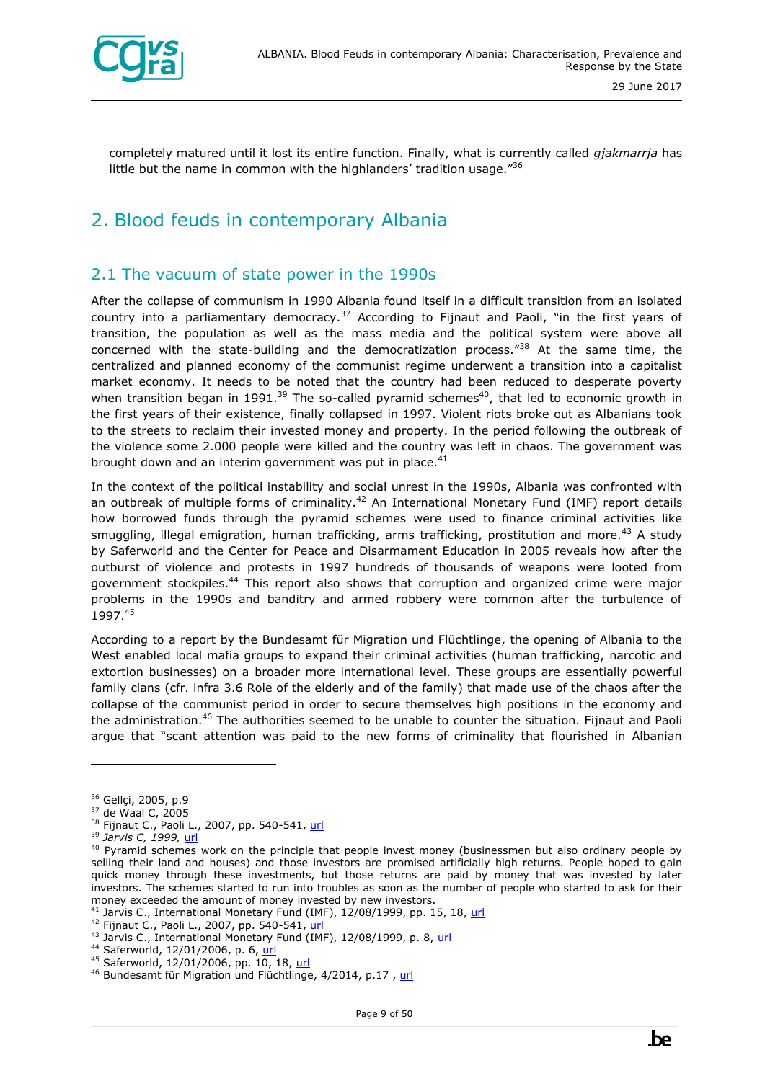

completely matured until it lost its entire function. Finally, what is currently called *gjakmarrja* has little but the name in common with the highlanders' tradition usage. $^{736}$ 

## <span id="page-8-0"></span>2. Blood feuds in contemporary Albania

#### <span id="page-8-1"></span>2.1 The vacuum of state power in the 1990s

After the collapse of communism in 1990 Albania found itself in a difficult transition from an isolated country into a parliamentary democracy.<sup>37</sup> According to Fijnaut and Paoli, "in the first years of transition, the population as well as the mass media and the political system were above all concerned with the state-building and the democratization process." $38$  At the same time, the centralized and planned economy of the communist regime underwent a transition into a capitalist market economy. It needs to be noted that the country had been reduced to desperate poverty when transition began in 1991.<sup>39</sup> The so-called pyramid schemes<sup>40</sup>, that led to economic growth in the first years of their existence, finally collapsed in 1997. Violent riots broke out as Albanians took to the streets to reclaim their invested money and property. In the period following the outbreak of the violence some 2.000 people were killed and the country was left in chaos. The government was brought down and an interim government was put in place. $41$ 

In the context of the political instability and social unrest in the 1990s, Albania was confronted with an outbreak of multiple forms of criminality.<sup>42</sup> An International Monetary Fund (IMF) report details how borrowed funds through the pyramid schemes were used to finance criminal activities like smuggling, illegal emigration, human trafficking, arms trafficking, prostitution and more.<sup>43</sup> A study by Saferworld and the Center for Peace and Disarmament Education in 2005 reveals how after the outburst of violence and protests in 1997 hundreds of thousands of weapons were looted from government stockpiles.<sup>44</sup> This report also shows that corruption and organized crime were major problems in the 1990s and banditry and armed robbery were common after the turbulence of 1997.<sup>45</sup>

According to a report by the Bundesamt für Migration und Flüchtlinge, the opening of Albania to the West enabled local mafia groups to expand their criminal activities (human trafficking, narcotic and extortion businesses) on a broader more international level. These groups are essentially powerful family clans (cfr. infra 3.6 Role of the elderly and of the family) that made use of the chaos after the collapse of the communist period in order to secure themselves high positions in the economy and the administration.<sup>46</sup> The authorities seemed to be unable to counter the situation. Fijnaut and Paoli argue that "scant attention was paid to the new forms of criminality that flourished in Albanian

<sup>&</sup>lt;sup>36</sup> Gellci, 2005, p.9

<sup>37</sup> de Waal C, 2005

<sup>&</sup>lt;sup>38</sup> Fijnaut C., Paoli L., 2007, pp. 540-541, [url](https://goo.gl/Rwirw1)

<sup>39</sup> *Jarvis C, 1999,* [url](https://www.imf.org/external/pubs/ft/wp/1999/wp9998.pdf)

 $40$  Pyramid schemes work on the principle that people invest money (businessmen but also ordinary people by selling their land and houses) and those investors are promised artificially high returns. People hoped to gain quick money through these investments, but those returns are paid by money that was invested by later investors. The schemes started to run into troubles as soon as the number of people who started to ask for their money exceeded the amount of money invested by new investors.

 $41$  Jarvis C., International Monetary Fund (IMF), 12/08/1999, pp. 15, 18, [url](http://www.imf.org/external/pubs/ft/fandd/2000/03/jarvis.htm)

<sup>&</sup>lt;sup>42</sup> Fijnaut C., Paoli L., 2007, pp. 540-541, [url](https://goo.gl/Rwirw1)

<sup>&</sup>lt;sup>43</sup> Jarvis C., International Monetary Fund (IMF), 12/08/1999, p. 8, [url](http://www.imf.org/external/pubs/ft/fandd/2000/03/jarvis.htm)

<sup>44</sup> Saferworld, 12/01/2006, p. 6, [url](http://www.saferworld.org.uk/resources/view-resource/115-turning-the-page)

<sup>45</sup> Saferworld, 12/01/2006, pp. 10, 18, [url](http://www.saferworld.org.uk/resources/view-resource/115-turning-the-page)

<sup>46</sup> Bundesamt für Migration und Flüchtlinge, 4/2014, p.17, [url](https://www.google.com/url?sa=t&rct=j&q=&esrc=s&source=web&cd=1&ved=0ahUKEwjYs9S5wczUAhWCJcAKHX5gCnoQFggkMAA&url=https%3A%2F%2Fwww.bamf.de%2FSharedDocs%2FAnlagen%2FDE%2FPublikationen%2FHerkunftslaenderinformationen%2Falbanien-blickpunkt-2014-10.pdf%3F__blob%3DpublicationFile&usg=AFQjCNGRiblya2u7sF8fM9BghDhVE0XQkw&sig2=3048_Tffl4jcYVUctpKd4w)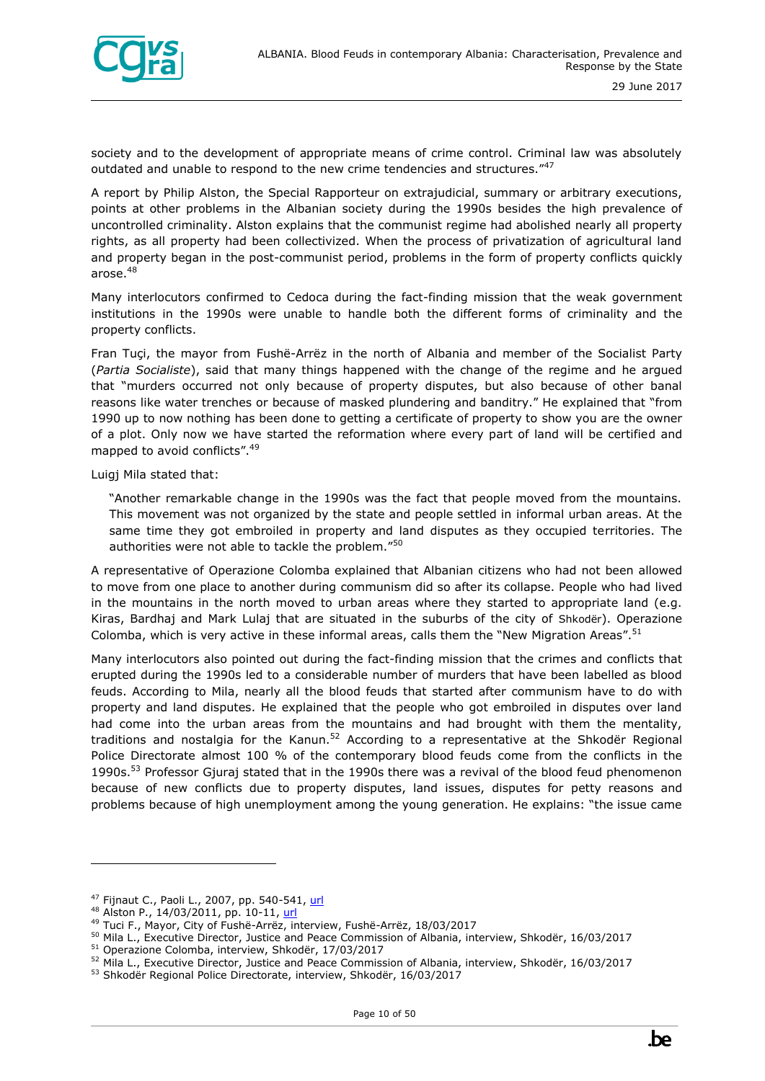

society and to the development of appropriate means of crime control. Criminal law was absolutely outdated and unable to respond to the new crime tendencies and structures."47

A report by Philip Alston, the Special Rapporteur on extrajudicial, summary or arbitrary executions, points at other problems in the Albanian society during the 1990s besides the high prevalence of uncontrolled criminality. Alston explains that the communist regime had abolished nearly all property rights, as all property had been collectivized. When the process of privatization of agricultural land and property began in the post-communist period, problems in the form of property conflicts quickly arose.<sup>48</sup>

Many interlocutors confirmed to Cedoca during the fact-finding mission that the weak government institutions in the 1990s were unable to handle both the different forms of criminality and the property conflicts.

Fran Tuçi, the mayor from Fushë-Arrëz in the north of Albania and member of the Socialist Party (*Partia Socialiste*), said that many things happened with the change of the regime and he argued that "murders occurred not only because of property disputes, but also because of other banal reasons like water trenches or because of masked plundering and banditry." He explained that "from 1990 up to now nothing has been done to getting a certificate of property to show you are the owner of a plot. Only now we have started the reformation where every part of land will be certified and mapped to avoid conflicts".<sup>49</sup>

Luigj Mila stated that:

"Another remarkable change in the 1990s was the fact that people moved from the mountains. This movement was not organized by the state and people settled in informal urban areas. At the same time they got embroiled in property and land disputes as they occupied territories. The authorities were not able to tackle the problem."<sup>50</sup>

A representative of Operazione Colomba explained that Albanian citizens who had not been allowed to move from one place to another during communism did so after its collapse. People who had lived in the mountains in the north moved to urban areas where they started to appropriate land (e.g. Kiras, Bardhaj and Mark Lulaj that are situated in the suburbs of the city of Shkodër). Operazione Colomba, which is very active in these informal areas, calls them the "New Migration Areas".<sup>51</sup>

Many interlocutors also pointed out during the fact-finding mission that the crimes and conflicts that erupted during the 1990s led to a considerable number of murders that have been labelled as blood feuds. According to Mila, nearly all the blood feuds that started after communism have to do with property and land disputes. He explained that the people who got embroiled in disputes over land had come into the urban areas from the mountains and had brought with them the mentality, traditions and nostalgia for the Kanun.<sup>52</sup> According to a representative at the Shkodër Regional Police Directorate almost 100 % of the contemporary blood feuds come from the conflicts in the 1990s.<sup>53</sup> Professor Gjuraj stated that in the 1990s there was a revival of the blood feud phenomenon because of new conflicts due to property disputes, land issues, disputes for petty reasons and problems because of high unemployment among the young generation. He explains: "the issue came

<sup>&</sup>lt;sup>47</sup> Fijnaut C., Paoli L., 2007, pp. 540-541, [url](https://goo.gl/Rwirw1)

<sup>48</sup> Alston P., 14/03/2011, pp. 10-11, [url](http://reliefweb.int/report/albania/report-special-rapporteur-extrajudicial-summary-or-arbitrary-executions-philip-alston)

<sup>49</sup> Tuci F., Mayor, City of Fushë-Arrëz, interview, Fushë-Arrëz, 18/03/2017

<sup>50</sup> Mila L., Executive Director, Justice and Peace Commission of Albania, interview, Shkodër, 16/03/2017 <sup>51</sup> Operazione Colomba, interview, Shkodër, 17/03/2017

<sup>52</sup> Mila L., Executive Director, Justice and Peace Commission of Albania, interview, Shkodër, 16/03/2017

<sup>53</sup> Shkodër Regional Police Directorate, interview, Shkodër, 16/03/2017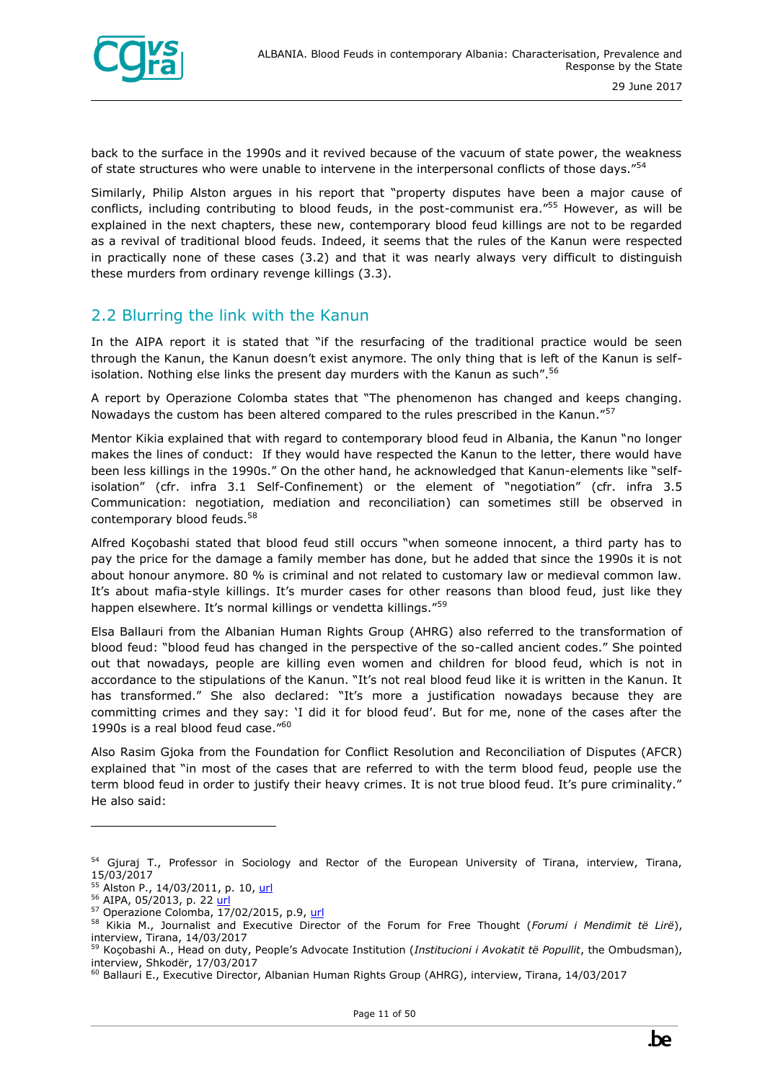

back to the surface in the 1990s and it revived because of the vacuum of state power, the weakness of state structures who were unable to intervene in the interpersonal conflicts of those days."<sup>54</sup>

Similarly, Philip Alston argues in his report that "property disputes have been a major cause of conflicts, including contributing to blood feuds, in the post-communist era."<sup>55</sup> However, as will be explained in the next chapters, these new, contemporary blood feud killings are not to be regarded as a revival of traditional blood feuds. Indeed, it seems that the rules of the Kanun were respected in practically none of these cases (3.2) and that it was nearly always very difficult to distinguish these murders from ordinary revenge killings (3.3).

#### <span id="page-10-0"></span>2.2 Blurring the link with the Kanun

In the AIPA report it is stated that "if the resurfacing of the traditional practice would be seen through the Kanun, the Kanun doesn't exist anymore. The only thing that is left of the Kanun is selfisolation. Nothing else links the present day murders with the Kanun as such".<sup>56</sup>

A report by Operazione Colomba states that "The phenomenon has changed and keeps changing. Nowadays the custom has been altered compared to the rules prescribed in the Kanun."<sup>57</sup>

Mentor Kikia explained that with regard to contemporary blood feud in Albania, the Kanun "no longer makes the lines of conduct: If they would have respected the Kanun to the letter, there would have been less killings in the 1990s." On the other hand, he acknowledged that Kanun-elements like "selfisolation" (cfr. infra 3.1 Self-Confinement) or the element of "negotiation" (cfr. infra 3.5 Communication: negotiation, mediation and reconciliation) can sometimes still be observed in contemporary blood feuds.<sup>58</sup>

Alfred Koçobashi stated that blood feud still occurs "when someone innocent, a third party has to pay the price for the damage a family member has done, but he added that since the 1990s it is not about honour anymore. 80 % is criminal and not related to customary law or medieval common law. It's about mafia-style killings. It's murder cases for other reasons than blood feud, just like they happen elsewhere. It's normal killings or vendetta killings."<sup>59</sup>

Elsa Ballauri from the Albanian Human Rights Group (AHRG) also referred to the transformation of blood feud: "blood feud has changed in the perspective of the so-called ancient codes." She pointed out that nowadays, people are killing even women and children for blood feud, which is not in accordance to the stipulations of the Kanun. "It's not real blood feud like it is written in the Kanun. It has transformed." She also declared: "It's more a justification nowadays because they are committing crimes and they say: 'I did it for blood feud'. But for me, none of the cases after the 1990s is a real blood feud case."<sup>60</sup>

Also Rasim Gjoka from the Foundation for Conflict Resolution and Reconciliation of Disputes (AFCR) explained that "in most of the cases that are referred to with the term blood feud, people use the term blood feud in order to justify their heavy crimes. It is not true blood feud. It's pure criminality." He also said:

<sup>&</sup>lt;sup>54</sup> Gjuraj T., Professor in Sociology and Rector of the European University of Tirana, interview, Tirana, 15/03/2017

<sup>&</sup>lt;sup>55</sup> Alston P., 14/03/2011, p. 10, [url](http://reliefweb.int/report/albania/report-special-rapporteur-extrajudicial-summary-or-arbitrary-executions-philip-alston)

<sup>56</sup> AIPA, 05/2013, p. 22 [url](https://www.researchgate.net/publication/298786990_Effects_of_blood_feuds_on_albanian_girls_and_women)

 $57$  Operazione Colomba,  $\overline{17}/02/2015$ , p.9, [url](http://www.operazionecolomba.it/docs/Report_ENG.pdf)

<sup>58</sup> Kikia M., Journalist and Executive Director of the Forum for Free Thought (*Forumi i Mendimit të Lirë*), interview, Tirana, 14/03/2017

<sup>59</sup> Koçobashi A., Head on duty, People's Advocate Institution (*Institucioni i Avokatit të Popullit*, the Ombudsman), interview, Shkodër, 17/03/2017

<sup>&</sup>lt;sup>60</sup> Ballauri E., Executive Director, Albanian Human Rights Group (AHRG), interview, Tirana, 14/03/2017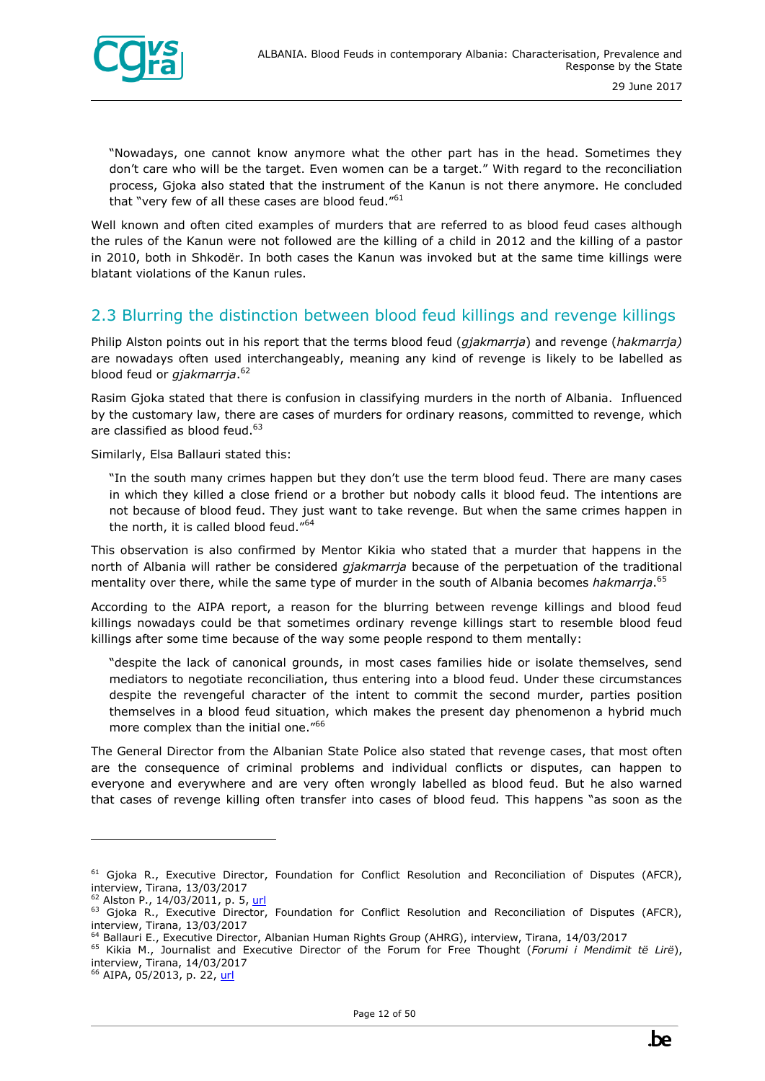

"Nowadays, one cannot know anymore what the other part has in the head. Sometimes they don't care who will be the target. Even women can be a target." With regard to the reconciliation process, Gjoka also stated that the instrument of the Kanun is not there anymore. He concluded that "very few of all these cases are blood feud."<sup>61</sup>

Well known and often cited examples of murders that are referred to as blood feud cases although the rules of the Kanun were not followed are the killing of a child in 2012 and the killing of a pastor in 2010, both in Shkodër. In both cases the Kanun was invoked but at the same time killings were blatant violations of the Kanun rules.

#### <span id="page-11-0"></span>2.3 Blurring the distinction between blood feud killings and revenge killings

Philip Alston points out in his report that the terms blood feud (*gjakmarrja*) and revenge (*hakmarrja)* are nowadays often used interchangeably, meaning any kind of revenge is likely to be labelled as blood feud or *gjakmarrja*. 62

Rasim Gjoka stated that there is confusion in classifying murders in the north of Albania. Influenced by the customary law, there are cases of murders for ordinary reasons, committed to revenge, which are classified as blood feud.<sup>63</sup>

Similarly, Elsa Ballauri stated this:

"In the south many crimes happen but they don't use the term blood feud. There are many cases in which they killed a close friend or a brother but nobody calls it blood feud. The intentions are not because of blood feud. They just want to take revenge. But when the same crimes happen in the north, it is called blood feud."<sup>64</sup>

This observation is also confirmed by Mentor Kikia who stated that a murder that happens in the north of Albania will rather be considered *gjakmarrja* because of the perpetuation of the traditional mentality over there, while the same type of murder in the south of Albania becomes *hakmarrja*. 65

According to the AIPA report, a reason for the blurring between revenge killings and blood feud killings nowadays could be that sometimes ordinary revenge killings start to resemble blood feud killings after some time because of the way some people respond to them mentally:

"despite the lack of canonical grounds, in most cases families hide or isolate themselves, send mediators to negotiate reconciliation, thus entering into a blood feud. Under these circumstances despite the revengeful character of the intent to commit the second murder, parties position themselves in a blood feud situation, which makes the present day phenomenon a hybrid much more complex than the initial one."<sup>66</sup>

The General Director from the Albanian State Police also stated that revenge cases, that most often are the consequence of criminal problems and individual conflicts or disputes, can happen to everyone and everywhere and are very often wrongly labelled as blood feud. But he also warned that cases of revenge killing often transfer into cases of blood feud*.* This happens "as soon as the

<sup>66</sup> AIPA, 05/2013, p. 22, [url](https://www.researchgate.net/publication/298786990_Effects_of_blood_feuds_on_albanian_girls_and_women)

<sup>&</sup>lt;sup>61</sup> Gjoka R., Executive Director, Foundation for Conflict Resolution and Reconciliation of Disputes (AFCR), interview, Tirana, 13/03/2017

<sup>&</sup>lt;sup>62</sup> Alston P., 14/03/2011, p. 5, [url](http://reliefweb.int/report/albania/report-special-rapporteur-extrajudicial-summary-or-arbitrary-executions-philip-alston)

<sup>&</sup>lt;sup>63</sup> Gjoka R., Executive Director, Foundation for Conflict Resolution and Reconciliation of Disputes (AFCR), interview, Tirana, 13/03/2017

<sup>64</sup> Ballauri E., Executive Director, Albanian Human Rights Group (AHRG), interview, Tirana, 14/03/2017

<sup>65</sup> Kikia M., Journalist and Executive Director of the Forum for Free Thought (*Forumi i Mendimit të Lirë*), interview, Tirana, 14/03/2017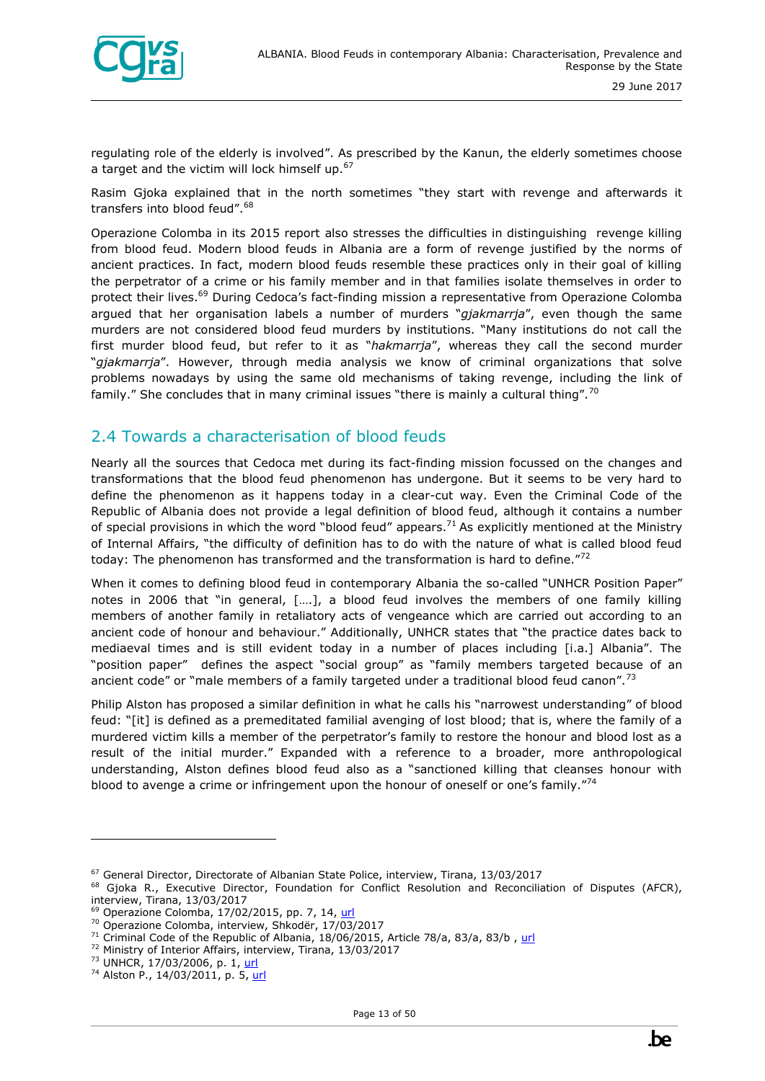

regulating role of the elderly is involved". As prescribed by the Kanun, the elderly sometimes choose a target and the victim will lock himself up.<sup>67</sup>

Rasim Gjoka explained that in the north sometimes "they start with revenge and afterwards it transfers into blood feud". 68

Operazione Colomba in its 2015 report also stresses the difficulties in distinguishing revenge killing from blood feud. Modern blood feuds in Albania are a form of revenge justified by the norms of ancient practices. In fact, modern blood feuds resemble these practices only in their goal of killing the perpetrator of a crime or his family member and in that families isolate themselves in order to protect their lives.<sup>69</sup> During Cedoca's fact-finding mission a representative from Operazione Colomba argued that her organisation labels a number of murders "*gjakmarrja*", even though the same murders are not considered blood feud murders by institutions. "Many institutions do not call the first murder blood feud, but refer to it as "*hakmarrja*", whereas they call the second murder "*gjakmarrja*". However, through media analysis we know of criminal organizations that solve problems nowadays by using the same old mechanisms of taking revenge, including the link of family." She concludes that in many criminal issues "there is mainly a cultural thing".<sup>70</sup>

#### <span id="page-12-0"></span>2.4 Towards a characterisation of blood feuds

Nearly all the sources that Cedoca met during its fact-finding mission focussed on the changes and transformations that the blood feud phenomenon has undergone. But it seems to be very hard to define the phenomenon as it happens today in a clear-cut way. Even the Criminal Code of the Republic of Albania does not provide a legal definition of blood feud, although it contains a number of special provisions in which the word "blood feud" appears.<sup>71</sup> As explicitly mentioned at the Ministry of Internal Affairs, "the difficulty of definition has to do with the nature of what is called blood feud today: The phenomenon has transformed and the transformation is hard to define." $72$ 

When it comes to defining blood feud in contemporary Albania the so-called "UNHCR Position Paper" notes in 2006 that "in general, [….], a blood feud involves the members of one family killing members of another family in retaliatory acts of vengeance which are carried out according to an ancient code of honour and behaviour." Additionally, UNHCR states that "the practice dates back to mediaeval times and is still evident today in a number of places including [i.a.] Albania". The "position paper" defines the aspect "social group" as "family members targeted because of an ancient code" or "male members of a family targeted under a traditional blood feud canon".<sup>73</sup>

Philip Alston has proposed a similar definition in what he calls his "narrowest understanding" of blood feud: "[it] is defined as a premeditated familial avenging of lost blood; that is, where the family of a murdered victim kills a member of the perpetrator's family to restore the honour and blood lost as a result of the initial murder." Expanded with a reference to a broader, more anthropological understanding, Alston defines blood feud also as a "sanctioned killing that cleanses honour with blood to avenge a crime or infringement upon the honour of oneself or one's family."<sup>74</sup>

 $67$  General Director, Directorate of Albanian State Police, interview, Tirana, 13/03/2017

<sup>&</sup>lt;sup>68</sup> Gjoka R., Executive Director, Foundation for Conflict Resolution and Reconciliation of Disputes (AFCR), interview, Tirana, 13/03/2017

<sup>69</sup> Operazione Colomba, 17/02/2015, pp. 7, 14, [url](http://www.operazionecolomba.it/docs/Report_ENG.pdf)

<sup>70</sup> Operazione Colomba, interview, Shkodër, 17/03/2017

 $71$  Criminal Code of the Republic of Albania, 18/06/2015, Article 78/a, 83/a, 83/b, [url](http://rai-see.org/wp-content/uploads/2015/08/Criminal-Code-11-06-2015-EN.pdf)

<sup>72</sup> Ministry of Interior Affairs, interview, Tirana, 13/03/2017

<sup>73</sup> UNHCR, 17/03/2006, p. 1, [url](http://www.refworld.org/pdfid/44201a574.pdf)

<sup>74</sup> Alston P., 14/03/2011, p. 5, [url](http://reliefweb.int/report/albania/report-special-rapporteur-extrajudicial-summary-or-arbitrary-executions-philip-alston)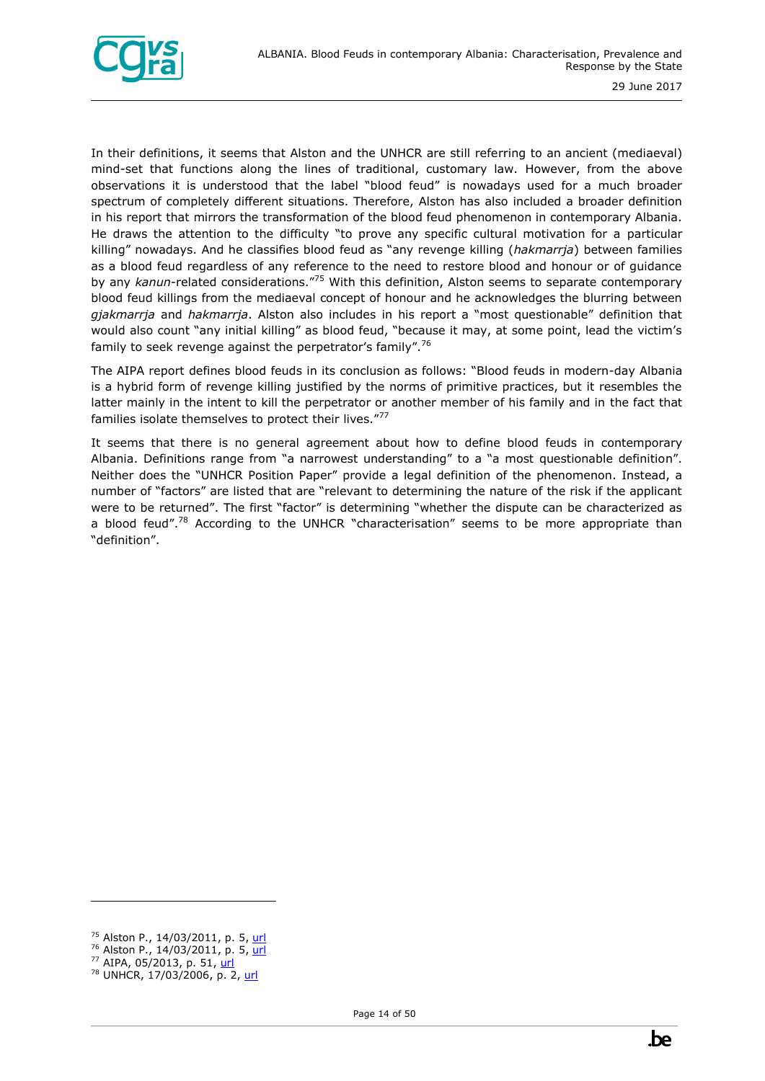

In their definitions, it seems that Alston and the UNHCR are still referring to an ancient (mediaeval) mind-set that functions along the lines of traditional, customary law. However, from the above observations it is understood that the label "blood feud" is nowadays used for a much broader spectrum of completely different situations. Therefore, Alston has also included a broader definition in his report that mirrors the transformation of the blood feud phenomenon in contemporary Albania. He draws the attention to the difficulty "to prove any specific cultural motivation for a particular killing" nowadays. And he classifies blood feud as "any revenge killing (*hakmarrja*) between families as a blood feud regardless of any reference to the need to restore blood and honour or of guidance by any *kanun*-related considerations."<sup>75</sup> With this definition, Alston seems to separate contemporary blood feud killings from the mediaeval concept of honour and he acknowledges the blurring between *gjakmarrja* and *hakmarrja*. Alston also includes in his report a "most questionable" definition that would also count "any initial killing" as blood feud, "because it may, at some point, lead the victim's family to seek revenge against the perpetrator's family".<sup>76</sup>

The AIPA report defines blood feuds in its conclusion as follows: "Blood feuds in modern-day Albania is a hybrid form of revenge killing justified by the norms of primitive practices, but it resembles the latter mainly in the intent to kill the perpetrator or another member of his family and in the fact that families isolate themselves to protect their lives."77

It seems that there is no general agreement about how to define blood feuds in contemporary Albania. Definitions range from "a narrowest understanding" to a "a most questionable definition". Neither does the "UNHCR Position Paper" provide a legal definition of the phenomenon. Instead, a number of "factors" are listed that are "relevant to determining the nature of the risk if the applicant were to be returned". The first "factor" is determining "whether the dispute can be characterized as a blood feud".<sup>78</sup> According to the UNHCR "characterisation" seems to be more appropriate than "definition".

<sup>75</sup> Alston P., 14/03/2011, p. 5, [url](http://reliefweb.int/report/albania/report-special-rapporteur-extrajudicial-summary-or-arbitrary-executions-philip-alston)

<sup>&</sup>lt;sup>76</sup> Alston P., 14/03/2011, p. 5, [url](http://reliefweb.int/report/albania/report-special-rapporteur-extrajudicial-summary-or-arbitrary-executions-philip-alston)

<sup>77</sup> AIPA, 05/2013, p. 51, [url](https://www.researchgate.net/publication/298786990_Effects_of_blood_feuds_on_albanian_girls_and_women)

<sup>&</sup>lt;sup>78</sup> UNHCR, 17/03/2006, p. 2, [url](http://www.refworld.org/pdfid/44201a574.pdf)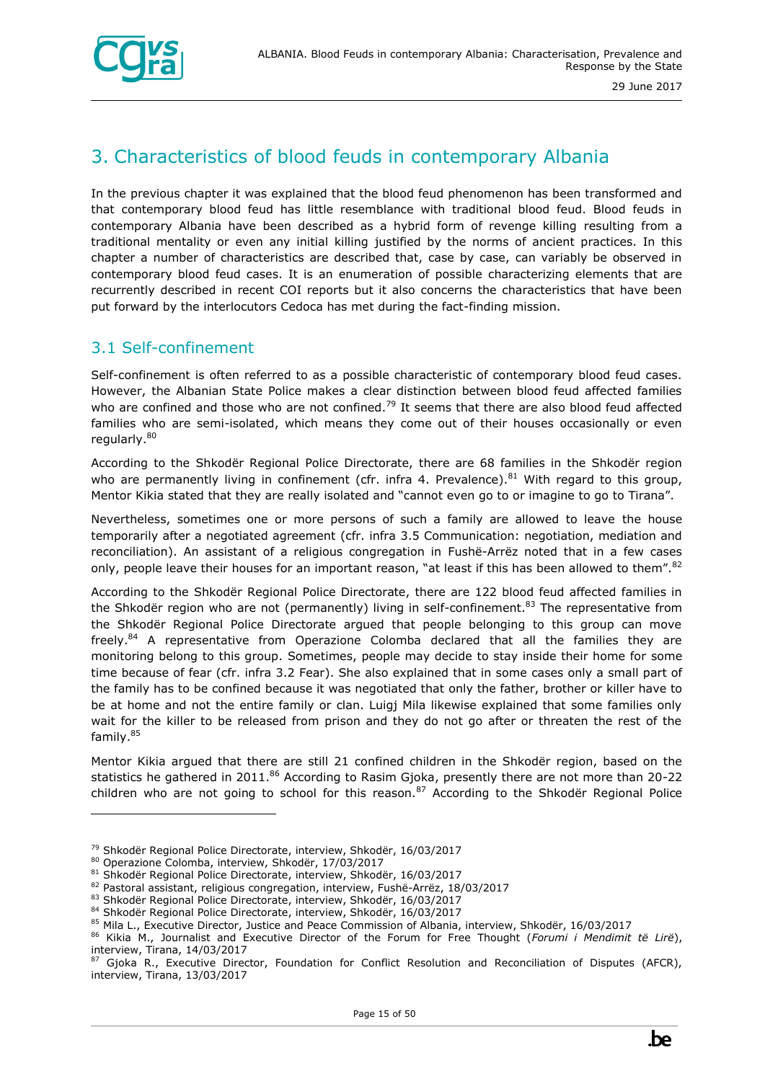

## <span id="page-14-0"></span>3. Characteristics of blood feuds in contemporary Albania

In the previous chapter it was explained that the blood feud phenomenon has been transformed and that contemporary blood feud has little resemblance with traditional blood feud. Blood feuds in contemporary Albania have been described as a hybrid form of revenge killing resulting from a traditional mentality or even any initial killing justified by the norms of ancient practices. In this chapter a number of characteristics are described that, case by case, can variably be observed in contemporary blood feud cases. It is an enumeration of possible characterizing elements that are recurrently described in recent COI reports but it also concerns the characteristics that have been put forward by the interlocutors Cedoca has met during the fact-finding mission.

#### <span id="page-14-1"></span>3.1 Self-confinement

Self-confinement is often referred to as a possible characteristic of contemporary blood feud cases. However, the Albanian State Police makes a clear distinction between blood feud affected families who are confined and those who are not confined.<sup>79</sup> It seems that there are also blood feud affected families who are semi-isolated, which means they come out of their houses occasionally or even regularly.<sup>80</sup>

According to the Shkodër Regional Police Directorate, there are 68 families in the Shkodër region who are permanently living in confinement (cfr. infra 4. Prevalence).<sup>81</sup> With regard to this group, Mentor Kikia stated that they are really isolated and "cannot even go to or imagine to go to Tirana".

Nevertheless, sometimes one or more persons of such a family are allowed to leave the house temporarily after a negotiated agreement (cfr. infra 3.5 Communication: negotiation, mediation and reconciliation). An assistant of a religious congregation in Fushë-Arrëz noted that in a few cases only, people leave their houses for an important reason, "at least if this has been allowed to them".<sup>82</sup>

According to the Shkodër Regional Police Directorate, there are 122 blood feud affected families in the Shkodër region who are not (permanently) living in self-confinement.<sup>83</sup> The representative from the Shkodër Regional Police Directorate argued that people belonging to this group can move freely.<sup>84</sup> A representative from Operazione Colomba declared that all the families they are monitoring belong to this group. Sometimes, people may decide to stay inside their home for some time because of fear (cfr. infra 3.2 Fear). She also explained that in some cases only a small part of the family has to be confined because it was negotiated that only the father, brother or killer have to be at home and not the entire family or clan. Luigj Mila likewise explained that some families only wait for the killer to be released from prison and they do not go after or threaten the rest of the family.<sup>85</sup>

Mentor Kikia argued that there are still 21 confined children in the Shkodër region, based on the statistics he gathered in 2011.<sup>86</sup> According to Rasim Gjoka, presently there are not more than 20-22 children who are not going to school for this reason.<sup>87</sup> According to the Shkodër Regional Police

<sup>79</sup> Shkodër Regional Police Directorate, interview, Shkodër, 16/03/2017

<sup>80</sup> Operazione Colomba, interview, Shkodër, 17/03/2017

<sup>81</sup> Shkodër Regional Police Directorate, interview, Shkodër, 16/03/2017

<sup>82</sup> Pastoral assistant, religious congregation, interview, Fushë-Arrëz, 18/03/2017

<sup>83</sup> Shkodër Regional Police Directorate, interview, Shkodër, 16/03/2017

<sup>84</sup> Shkodër Regional Police Directorate, interview, Shkodër, 16/03/2017

<sup>85</sup> Mila L., Executive Director, Justice and Peace Commission of Albania, interview, Shkodër, 16/03/2017

<sup>86</sup> Kikia M., Journalist and Executive Director of the Forum for Free Thought (*Forumi i Mendimit të Lirë*), interview, Tirana, 14/03/2017

Gjoka R., Executive Director, Foundation for Conflict Resolution and Reconciliation of Disputes (AFCR), interview, Tirana, 13/03/2017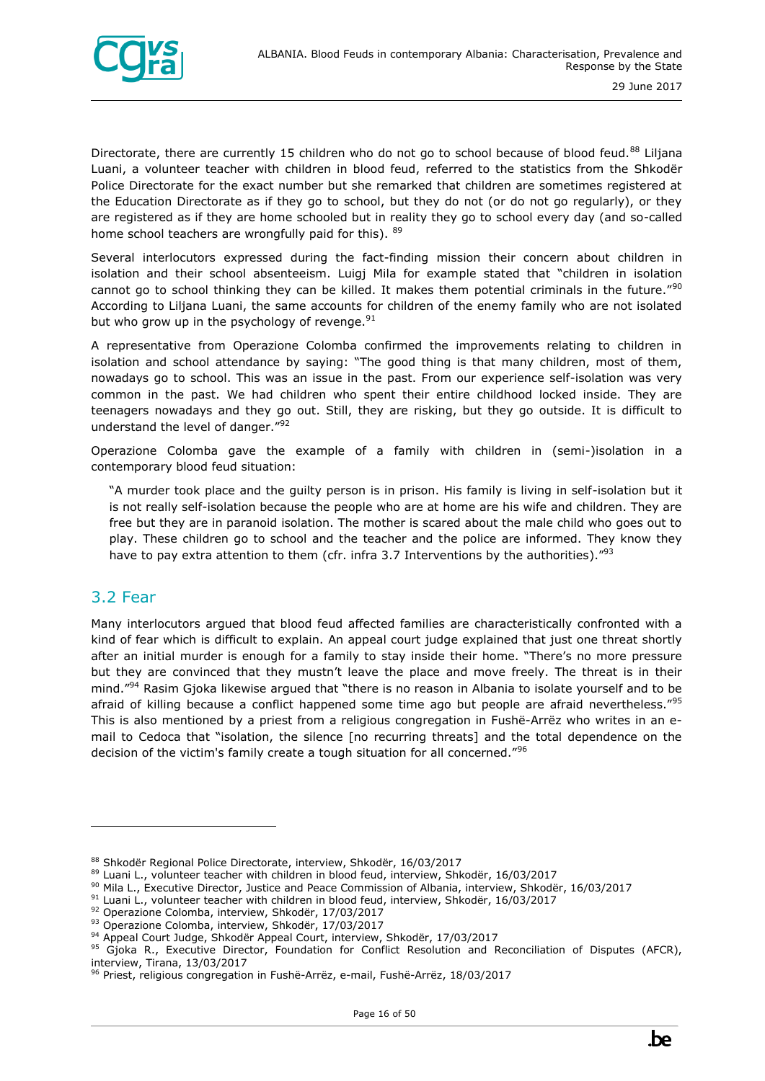

Directorate, there are currently 15 children who do not go to school because of blood feud.<sup>88</sup> Liljana Luani, a volunteer teacher with children in blood feud, referred to the statistics from the Shkodër Police Directorate for the exact number but she remarked that children are sometimes registered at the Education Directorate as if they go to school, but they do not (or do not go regularly), or they are registered as if they are home schooled but in reality they go to school every day (and so-called home school teachers are wrongfully paid for this). 89

Several interlocutors expressed during the fact-finding mission their concern about children in isolation and their school absenteeism. Luigj Mila for example stated that "children in isolation cannot go to school thinking they can be killed. It makes them potential criminals in the future."<sup>90</sup> According to Liljana Luani, the same accounts for children of the enemy family who are not isolated but who grow up in the psychology of revenge.  $91$ 

A representative from Operazione Colomba confirmed the improvements relating to children in isolation and school attendance by saying: "The good thing is that many children, most of them, nowadays go to school. This was an issue in the past. From our experience self-isolation was very common in the past. We had children who spent their entire childhood locked inside. They are teenagers nowadays and they go out. Still, they are risking, but they go outside. It is difficult to understand the level of danger."<sup>92</sup>

Operazione Colomba gave the example of a family with children in (semi-)isolation in a contemporary blood feud situation:

"A murder took place and the guilty person is in prison. His family is living in self-isolation but it is not really self-isolation because the people who are at home are his wife and children. They are free but they are in paranoid isolation. The mother is scared about the male child who goes out to play. These children go to school and the teacher and the police are informed. They know they have to pay extra attention to them (cfr. infra 3.7 Interventions by the authorities)." $93$ 

#### <span id="page-15-0"></span>3.2 Fear

ł

Many interlocutors argued that blood feud affected families are characteristically confronted with a kind of fear which is difficult to explain. An appeal court judge explained that just one threat shortly after an initial murder is enough for a family to stay inside their home. "There's no more pressure but they are convinced that they mustn't leave the place and move freely. The threat is in their mind."<sup>94</sup> Rasim Gjoka likewise argued that "there is no reason in Albania to isolate yourself and to be afraid of killing because a conflict happened some time ago but people are afraid nevertheless."<sup>95</sup> This is also mentioned by a priest from a religious congregation in Fushë-Arrëz who writes in an email to Cedoca that "isolation, the silence [no recurring threats] and the total dependence on the decision of the victim's family create a tough situation for all concerned."<sup>96</sup>

<sup>88</sup> Shkodër Regional Police Directorate, interview, Shkodër, 16/03/2017

<sup>89</sup> Luani L., volunteer teacher with children in blood feud, interview, Shkodër, 16/03/2017

<sup>90</sup> Mila L., Executive Director, Justice and Peace Commission of Albania, interview, Shkodër, 16/03/2017

<sup>91</sup> Luani L., volunteer teacher with children in blood feud, interview, Shkodër, 16/03/2017

<sup>92</sup> Operazione Colomba, interview, Shkodër, 17/03/2017

<sup>93</sup> Operazione Colomba, interview, Shkodër, 17/03/2017

<sup>94</sup> Appeal Court Judge, Shkodër Appeal Court, interview, Shkodër, 17/03/2017

<sup>95</sup> Gjoka R., Executive Director, Foundation for Conflict Resolution and Reconciliation of Disputes (AFCR), interview, Tirana, 13/03/2017

<sup>&</sup>lt;sup>96</sup> Priest, religious congregation in Fushë-Arrëz, e-mail, Fushë-Arrëz, 18/03/2017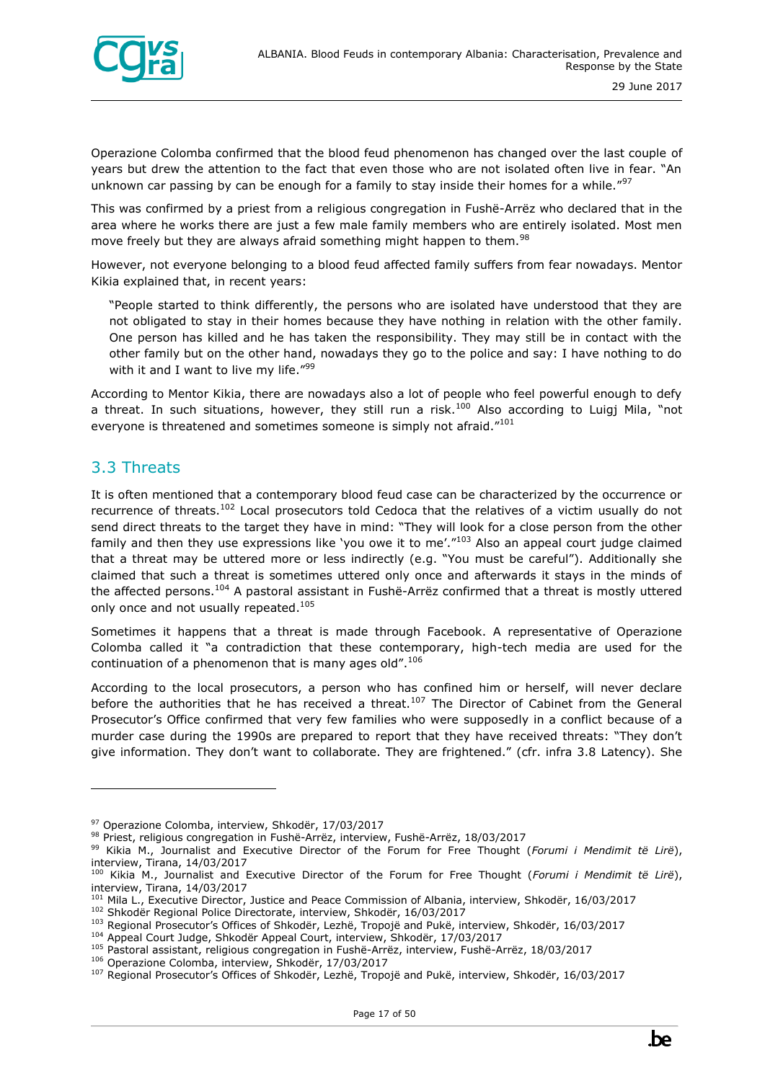

Operazione Colomba confirmed that the blood feud phenomenon has changed over the last couple of years but drew the attention to the fact that even those who are not isolated often live in fear. "An unknown car passing by can be enough for a family to stay inside their homes for a while."<sup>97</sup>

This was confirmed by a priest from a religious congregation in Fushë-Arrëz who declared that in the area where he works there are just a few male family members who are entirely isolated. Most men move freely but they are always afraid something might happen to them.<sup>98</sup>

However, not everyone belonging to a blood feud affected family suffers from fear nowadays. Mentor Kikia explained that, in recent years:

"People started to think differently, the persons who are isolated have understood that they are not obligated to stay in their homes because they have nothing in relation with the other family. One person has killed and he has taken the responsibility. They may still be in contact with the other family but on the other hand, nowadays they go to the police and say: I have nothing to do with it and I want to live my life. $199$ 

According to Mentor Kikia, there are nowadays also a lot of people who feel powerful enough to defy a threat. In such situations, however, they still run a risk.<sup>100</sup> Also according to Luigi Mila, "not everyone is threatened and sometimes someone is simply not afraid."<sup>101</sup>

#### <span id="page-16-0"></span>3.3 Threats

ł

It is often mentioned that a contemporary blood feud case can be characterized by the occurrence or recurrence of threats.<sup>102</sup> Local prosecutors told Cedoca that the relatives of a victim usually do not send direct threats to the target they have in mind: "They will look for a close person from the other family and then they use expressions like 'you owe it to me'."<sup>103</sup> Also an appeal court judge claimed that a threat may be uttered more or less indirectly (e.g. "You must be careful"). Additionally she claimed that such a threat is sometimes uttered only once and afterwards it stays in the minds of the affected persons.<sup>104</sup> A pastoral assistant in Fushë-Arrëz confirmed that a threat is mostly uttered only once and not usually repeated.<sup>105</sup>

Sometimes it happens that a threat is made through Facebook. A representative of Operazione Colomba called it "a contradiction that these contemporary, high-tech media are used for the continuation of a phenomenon that is many ages old".<sup>106</sup>

According to the local prosecutors, a person who has confined him or herself, will never declare before the authorities that he has received a threat.<sup>107</sup> The Director of Cabinet from the General Prosecutor's Office confirmed that very few families who were supposedly in a conflict because of a murder case during the 1990s are prepared to report that they have received threats: "They don't give information. They don't want to collaborate. They are frightened." (cfr. infra 3.8 Latency). She



<sup>97</sup> Operazione Colomba, interview, Shkodër, 17/03/2017

<sup>98</sup> Priest, religious congregation in Fushë-Arrëz, interview, Fushë-Arrëz, 18/03/2017

<sup>99</sup> Kikia M., Journalist and Executive Director of the Forum for Free Thought (*Forumi i Mendimit të Lirë*), interview, Tirana, 14/03/2017

<sup>100</sup> Kikia M., Journalist and Executive Director of the Forum for Free Thought (*Forumi i Mendimit të Lirë*), interview, Tirana, 14/03/2017

<sup>&</sup>lt;sup>101</sup> Mila L., Executive Director, Justice and Peace Commission of Albania, interview, Shkodër, 16/03/2017

<sup>102</sup> Shkodër Regional Police Directorate, interview, Shkodër, 16/03/2017

<sup>103</sup> Regional Prosecutor's Offices of Shkodër, Lezhë, Tropojë and Pukë, interview, Shkodër, 16/03/2017

<sup>104</sup> Appeal Court Judge, Shkodër Appeal Court, interview, Shkodër, 17/03/2017

<sup>105</sup> Pastoral assistant, religious congregation in Fushë-Arrëz, interview, Fushë-Arrëz, 18/03/2017

<sup>106</sup> Operazione Colomba, interview, Shkodër, 17/03/2017

<sup>107</sup> Regional Prosecutor's Offices of Shkodër, Lezhë, Tropojë and Pukë, interview, Shkodër, 16/03/2017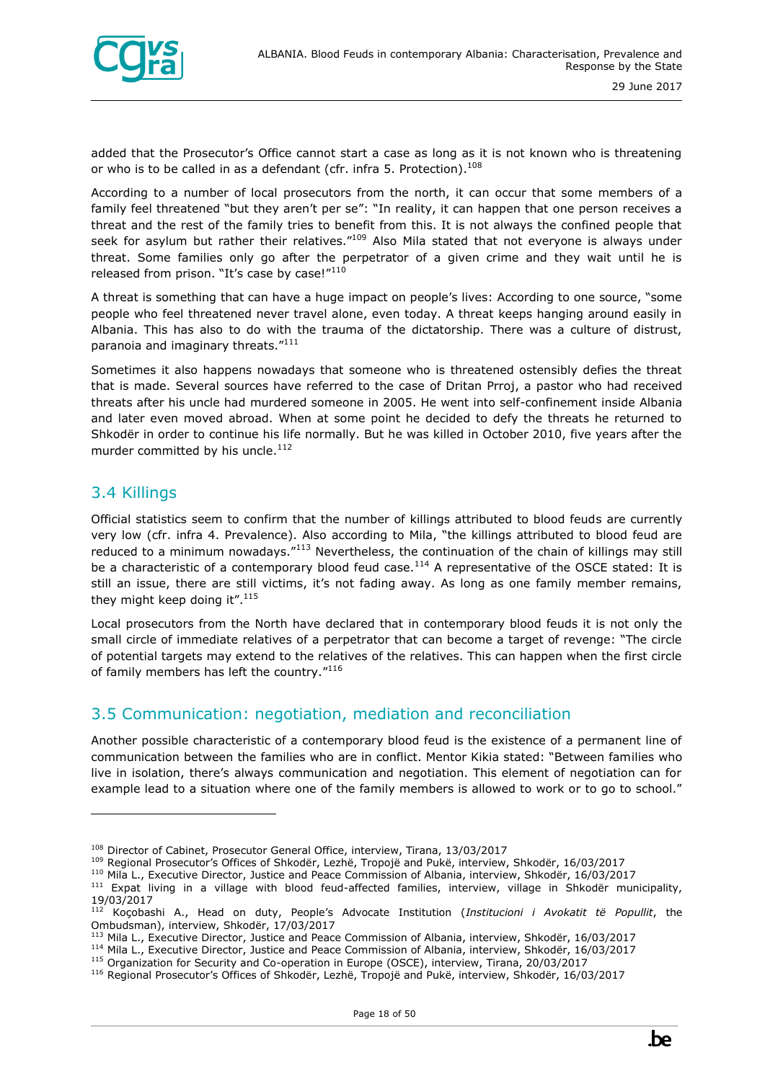

added that the Prosecutor's Office cannot start a case as long as it is not known who is threatening or who is to be called in as a defendant (cfr. infra 5. Protection).<sup>108</sup>

According to a number of local prosecutors from the north, it can occur that some members of a family feel threatened "but they aren't per se": "In reality, it can happen that one person receives a threat and the rest of the family tries to benefit from this. It is not always the confined people that seek for asylum but rather their relatives."<sup>109</sup> Also Mila stated that not everyone is always under threat. Some families only go after the perpetrator of a given crime and they wait until he is released from prison. "It's case by case!"<sup>110</sup>

A threat is something that can have a huge impact on people's lives: According to one source, "some people who feel threatened never travel alone, even today. A threat keeps hanging around easily in Albania. This has also to do with the trauma of the dictatorship. There was a culture of distrust, paranoia and imaginary threats."<sup>111</sup>

Sometimes it also happens nowadays that someone who is threatened ostensibly defies the threat that is made. Several sources have referred to the case of Dritan Prroj, a pastor who had received threats after his uncle had murdered someone in 2005. He went into self-confinement inside Albania and later even moved abroad. When at some point he decided to defy the threats he returned to Shkodër in order to continue his life normally. But he was killed in October 2010, five years after the murder committed by his uncle. $^{112}$ 

#### <span id="page-17-0"></span>3.4 Killings

ł

Official statistics seem to confirm that the number of killings attributed to blood feuds are currently very low (cfr. infra 4. Prevalence). Also according to Mila, "the killings attributed to blood feud are reduced to a minimum nowadays."<sup>113</sup> Nevertheless, the continuation of the chain of killings may still be a characteristic of a contemporary blood feud case.<sup>114</sup> A representative of the OSCE stated: It is still an issue, there are still victims, it's not fading away. As long as one family member remains, they might keep doing it".<sup>115</sup>

Local prosecutors from the North have declared that in contemporary blood feuds it is not only the small circle of immediate relatives of a perpetrator that can become a target of revenge: "The circle of potential targets may extend to the relatives of the relatives. This can happen when the first circle of family members has left the country."<sup>116</sup>

#### <span id="page-17-1"></span>3.5 Communication: negotiation, mediation and reconciliation

Another possible characteristic of a contemporary blood feud is the existence of a permanent line of communication between the families who are in conflict. Mentor Kikia stated: "Between families who live in isolation, there's always communication and negotiation. This element of negotiation can for example lead to a situation where one of the family members is allowed to work or to go to school."

<sup>&</sup>lt;sup>108</sup> Director of Cabinet, Prosecutor General Office, interview, Tirana, 13/03/2017

<sup>109</sup> Regional Prosecutor's Offices of Shkodër, Lezhë, Tropojë and Pukë, interview, Shkodër, 16/03/2017

<sup>110</sup> Mila L., Executive Director, Justice and Peace Commission of Albania, interview, Shkodër, 16/03/2017

<sup>&</sup>lt;sup>111</sup> Expat living in a village with blood feud-affected families, interview, village in Shkodër municipality, 19/03/2017

<sup>112</sup> Koçobashi A., Head on duty, People's Advocate Institution (*Institucioni i Avokatit të Popullit*, the Ombudsman), interview, Shkodër, 17/03/2017

<sup>113</sup> Mila L., Executive Director, Justice and Peace Commission of Albania, interview, Shkodër, 16/03/2017

<sup>114</sup> Mila L., Executive Director, Justice and Peace Commission of Albania, interview, Shkodër, 16/03/2017

<sup>115</sup> Organization for Security and Co-operation in Europe (OSCE), interview, Tirana, 20/03/2017

<sup>116</sup> Regional Prosecutor's Offices of Shkodër, Lezhë, Tropojë and Pukë, interview, Shkodër, 16/03/2017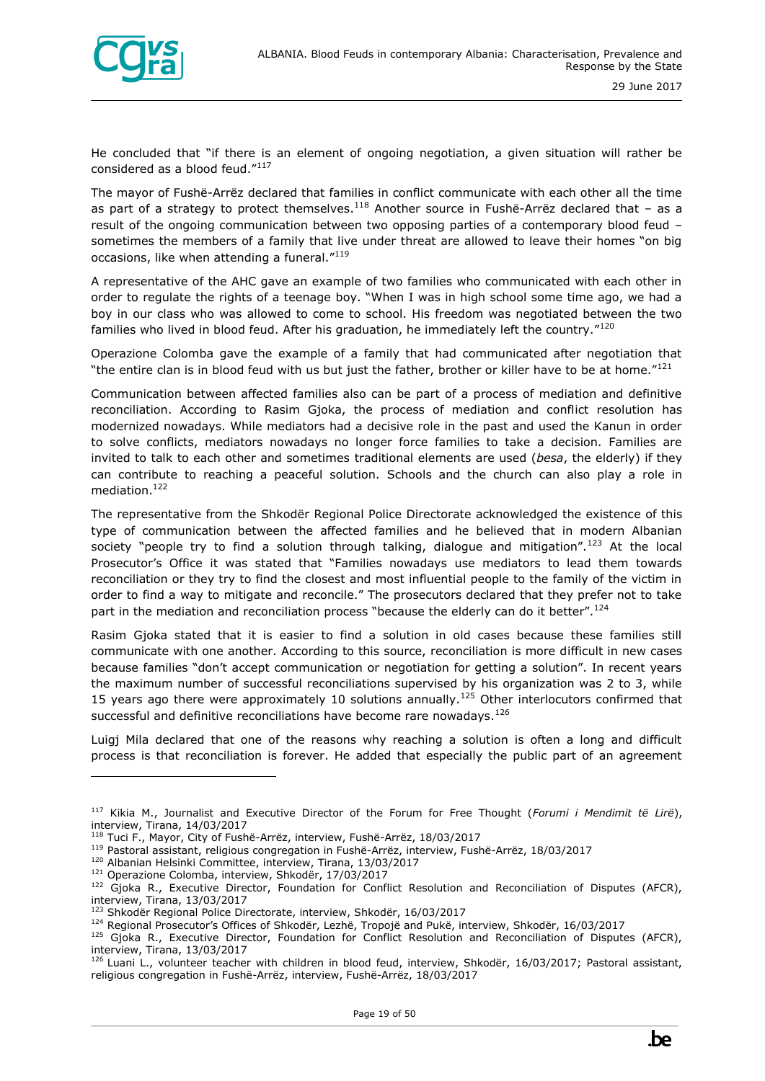

He concluded that "if there is an element of ongoing negotiation, a given situation will rather be considered as a blood feud."117

The mayor of Fushë-Arrëz declared that families in conflict communicate with each other all the time as part of a strategy to protect themselves.<sup>118</sup> Another source in Fushë-Arrëz declared that - as a result of the ongoing communication between two opposing parties of a contemporary blood feud – sometimes the members of a family that live under threat are allowed to leave their homes "on big occasions, like when attending a funeral."<sup>119</sup>

A representative of the AHC gave an example of two families who communicated with each other in order to regulate the rights of a teenage boy. "When I was in high school some time ago, we had a boy in our class who was allowed to come to school. His freedom was negotiated between the two families who lived in blood feud. After his graduation, he immediately left the country. $120$ 

Operazione Colomba gave the example of a family that had communicated after negotiation that "the entire clan is in blood feud with us but just the father, brother or killer have to be at home."<sup>121</sup>

Communication between affected families also can be part of a process of mediation and definitive reconciliation. According to Rasim Gjoka, the process of mediation and conflict resolution has modernized nowadays. While mediators had a decisive role in the past and used the Kanun in order to solve conflicts, mediators nowadays no longer force families to take a decision. Families are invited to talk to each other and sometimes traditional elements are used (*besa*, the elderly) if they can contribute to reaching a peaceful solution. Schools and the church can also play a role in mediation.<sup>122</sup>

The representative from the Shkodër Regional Police Directorate acknowledged the existence of this type of communication between the affected families and he believed that in modern Albanian society "people try to find a solution through talking, dialoque and mitigation".<sup>123</sup> At the local Prosecutor's Office it was stated that "Families nowadays use mediators to lead them towards reconciliation or they try to find the closest and most influential people to the family of the victim in order to find a way to mitigate and reconcile." The prosecutors declared that they prefer not to take part in the mediation and reconciliation process "because the elderly can do it better".<sup>124</sup>

Rasim Gjoka stated that it is easier to find a solution in old cases because these families still communicate with one another. According to this source, reconciliation is more difficult in new cases because families "don't accept communication or negotiation for getting a solution". In recent years the maximum number of successful reconciliations supervised by his organization was 2 to 3, while 15 years ago there were approximately 10 solutions annually.<sup>125</sup> Other interlocutors confirmed that successful and definitive reconciliations have become rare nowadays.<sup>126</sup>

Luigj Mila declared that one of the reasons why reaching a solution is often a long and difficult process is that reconciliation is forever. He added that especially the public part of an agreement

<sup>117</sup> Kikia M., Journalist and Executive Director of the Forum for Free Thought (*Forumi i Mendimit të Lirë*), interview, Tirana, 14/03/2017

<sup>118</sup> Tuci F., Mayor, City of Fushë-Arrëz, interview, Fushë-Arrëz, 18/03/2017

<sup>119</sup> Pastoral assistant, religious congregation in Fushë-Arrëz, interview, Fushë-Arrëz, 18/03/2017

<sup>120</sup> Albanian Helsinki Committee, interview, Tirana, 13/03/2017

<sup>121</sup> Operazione Colomba, interview, Shkodër, 17/03/2017

<sup>&</sup>lt;sup>122</sup> Gjoka R., Executive Director, Foundation for Conflict Resolution and Reconciliation of Disputes (AFCR), interview, Tirana, 13/03/2017

<sup>123</sup> Shkodër Regional Police Directorate, interview, Shkodër, 16/03/2017

<sup>124</sup> Regional Prosecutor's Offices of Shkodër, Lezhë, Tropojë and Pukë, interview, Shkodër, 16/03/2017

<sup>&</sup>lt;sup>125</sup> Gjoka R., Executive Director, Foundation for Conflict Resolution and Reconciliation of Disputes (AFCR), interview, Tirana, 13/03/2017

 $126$  Luani L., volunteer teacher with children in blood feud, interview, Shkodër, 16/03/2017; Pastoral assistant, religious congregation in Fushë-Arrëz, interview, Fushë-Arrëz, 18/03/2017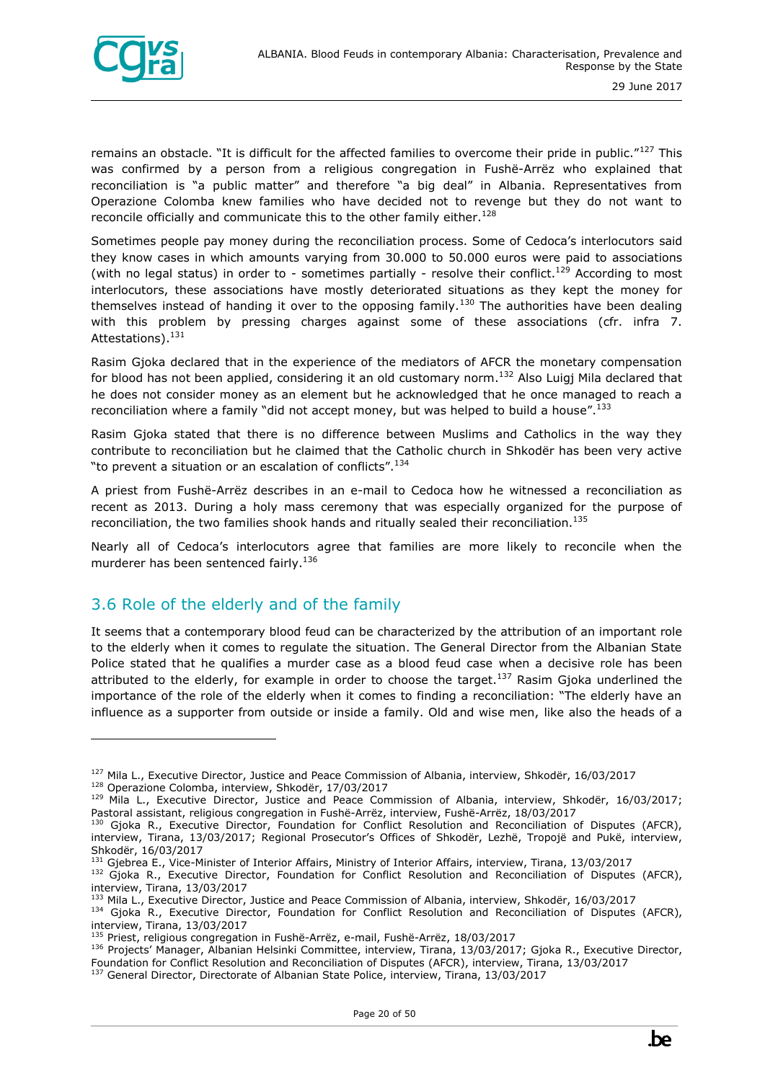

ł

remains an obstacle. "It is difficult for the affected families to overcome their pride in public."<sup>127</sup> This was confirmed by a person from a religious congregation in Fushë-Arrëz who explained that reconciliation is "a public matter" and therefore "a big deal" in Albania. Representatives from Operazione Colomba knew families who have decided not to revenge but they do not want to reconcile officially and communicate this to the other family either.<sup>128</sup>

Sometimes people pay money during the reconciliation process. Some of Cedoca's interlocutors said they know cases in which amounts varying from 30.000 to 50.000 euros were paid to associations (with no legal status) in order to - sometimes partially - resolve their conflict.<sup>129</sup> According to most interlocutors, these associations have mostly deteriorated situations as they kept the money for themselves instead of handing it over to the opposing family.<sup>130</sup> The authorities have been dealing with this problem by pressing charges against some of these associations (cfr. infra 7. Attestations).<sup>131</sup>

Rasim Gjoka declared that in the experience of the mediators of AFCR the monetary compensation for blood has not been applied, considering it an old customary norm.<sup>132</sup> Also Luigj Mila declared that he does not consider money as an element but he acknowledged that he once managed to reach a reconciliation where a family "did not accept money, but was helped to build a house".<sup>133</sup>

Rasim Gjoka stated that there is no difference between Muslims and Catholics in the way they contribute to reconciliation but he claimed that the Catholic church in Shkodër has been very active "to prevent a situation or an escalation of conflicts".<sup>134</sup>

A priest from Fushë-Arrëz describes in an e-mail to Cedoca how he witnessed a reconciliation as recent as 2013. During a holy mass ceremony that was especially organized for the purpose of reconciliation, the two families shook hands and ritually sealed their reconciliation.<sup>135</sup>

Nearly all of Cedoca's interlocutors agree that families are more likely to reconcile when the murderer has been sentenced fairly.<sup>136</sup>

#### <span id="page-19-0"></span>3.6 Role of the elderly and of the family

It seems that a contemporary blood feud can be characterized by the attribution of an important role to the elderly when it comes to regulate the situation. The General Director from the Albanian State Police stated that he qualifies a murder case as a blood feud case when a decisive role has been attributed to the elderly, for example in order to choose the target.<sup>137</sup> Rasim Gjoka underlined the importance of the role of the elderly when it comes to finding a reconciliation: "The elderly have an influence as a supporter from outside or inside a family. Old and wise men, like also the heads of a

<sup>131</sup> Gjebrea E., Vice-Minister of Interior Affairs, Ministry of Interior Affairs, interview, Tirana, 13/03/2017

<sup>127</sup> Mila L., Executive Director, Justice and Peace Commission of Albania, interview, Shkodër, 16/03/2017 <sup>128</sup> Operazione Colomba, interview, Shkodër, 17/03/2017

<sup>&</sup>lt;sup>129</sup> Mila L., Executive Director, Justice and Peace Commission of Albania, interview, Shkodër, 16/03/2017; Pastoral assistant, religious congregation in Fushë-Arrëz, interview, Fushë-Arrëz, 18/03/2017

<sup>130</sup> Gjoka R., Executive Director, Foundation for Conflict Resolution and Reconciliation of Disputes (AFCR), interview, Tirana, 13/03/2017; Regional Prosecutor's Offices of Shkodër, Lezhë, Tropojë and Pukë, interview, Shkodër, 16/03/2017

<sup>&</sup>lt;sup>132</sup> Gjoka R., Executive Director, Foundation for Conflict Resolution and Reconciliation of Disputes (AFCR), interview, Tirana, 13/03/2017

<sup>&</sup>lt;sup>133</sup> Mila L., Executive Director, Justice and Peace Commission of Albania, interview, Shkodër, 16/03/2017 134 Gjoka R., Executive Director, Foundation for Conflict Resolution and Reconciliation of Disputes (AFCR), interview, Tirana, 13/03/2017

<sup>135</sup> Priest, religious congregation in Fushë-Arrëz, e-mail, Fushë-Arrëz, 18/03/2017

<sup>136</sup> Projects' Manager, Albanian Helsinki Committee, interview, Tirana, 13/03/2017; Gjoka R., Executive Director, Foundation for Conflict Resolution and Reconciliation of Disputes (AFCR), interview, Tirana, 13/03/2017

<sup>137</sup> General Director, Directorate of Albanian State Police, interview, Tirana, 13/03/2017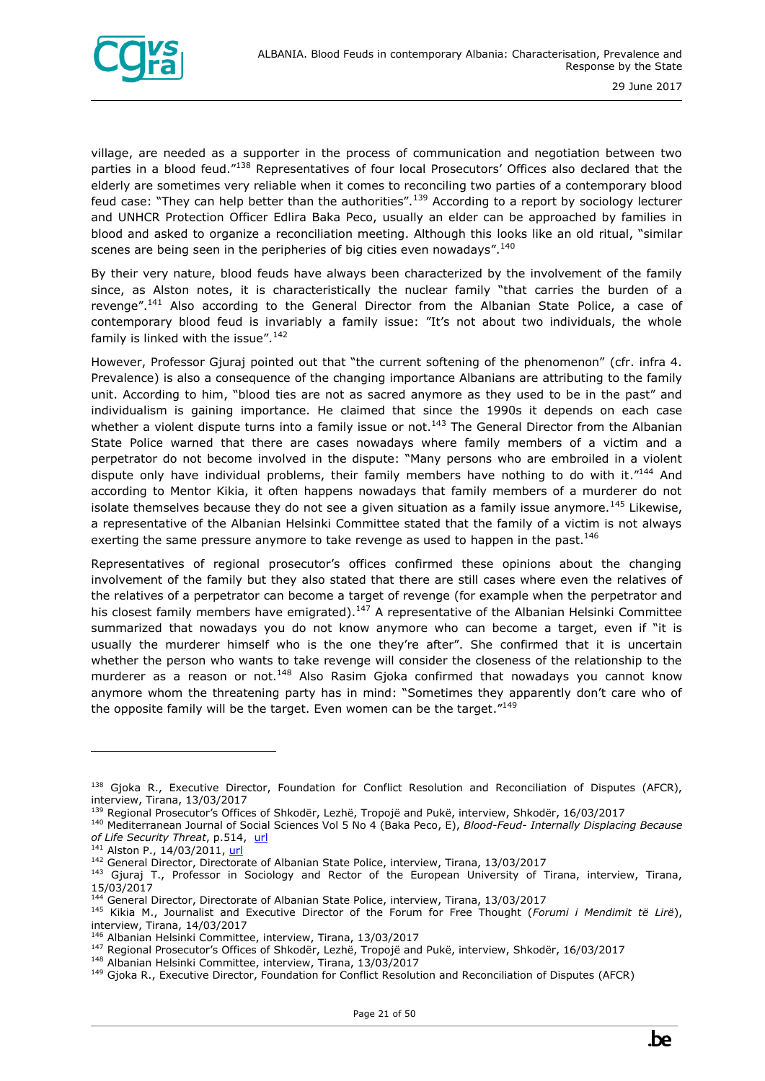

village, are needed as a supporter in the process of communication and negotiation between two parties in a blood feud."<sup>138</sup> Representatives of four local Prosecutors' Offices also declared that the elderly are sometimes very reliable when it comes to reconciling two parties of a contemporary blood feud case: "They can help better than the authorities".<sup>139</sup> According to a report by sociology lecturer and UNHCR Protection Officer Edlira Baka Peco, usually an elder can be approached by families in blood and asked to organize a reconciliation meeting. Although this looks like an old ritual, "similar scenes are being seen in the peripheries of big cities even nowadays". $^{140}$ 

By their very nature, blood feuds have always been characterized by the involvement of the family since, as Alston notes, it is characteristically the nuclear family "that carries the burden of a revenge".<sup>141</sup> Also according to the General Director from the Albanian State Police, a case of contemporary blood feud is invariably a family issue: "It's not about two individuals, the whole family is linked with the issue".<sup>142</sup>

However, Professor Gjuraj pointed out that "the current softening of the phenomenon" (cfr. infra 4. Prevalence) is also a consequence of the changing importance Albanians are attributing to the family unit. According to him, "blood ties are not as sacred anymore as they used to be in the past" and individualism is gaining importance. He claimed that since the 1990s it depends on each case whether a violent dispute turns into a family issue or not.<sup>143</sup> The General Director from the Albanian State Police warned that there are cases nowadays where family members of a victim and a perpetrator do not become involved in the dispute: "Many persons who are embroiled in a violent dispute only have individual problems, their family members have nothing to do with it."<sup>144</sup> And according to Mentor Kikia, it often happens nowadays that family members of a murderer do not isolate themselves because they do not see a given situation as a family issue anymore.<sup>145</sup> Likewise, a representative of the Albanian Helsinki Committee stated that the family of a victim is not always exerting the same pressure anymore to take revenge as used to happen in the past.<sup>146</sup>

Representatives of regional prosecutor's offices confirmed these opinions about the changing involvement of the family but they also stated that there are still cases where even the relatives of the relatives of a perpetrator can become a target of revenge (for example when the perpetrator and his closest family members have emigrated).<sup>147</sup> A representative of the Albanian Helsinki Committee summarized that nowadays you do not know anymore who can become a target, even if "it is usually the murderer himself who is the one they're after". She confirmed that it is uncertain whether the person who wants to take revenge will consider the closeness of the relationship to the murderer as a reason or not.<sup>148</sup> Also Rasim Gjoka confirmed that nowadays you cannot know anymore whom the threatening party has in mind: "Sometimes they apparently don't care who of the opposite family will be the target. Even women can be the target."<sup>149</sup>



<sup>&</sup>lt;sup>138</sup> Gjoka R., Executive Director, Foundation for Conflict Resolution and Reconciliation of Disputes (AFCR), interview, Tirana, 13/03/2017

<sup>&</sup>lt;sup>139</sup> Regional Prosecutor's Offices of Shkodër, Lezhë, Tropojë and Pukë, interview, Shkodër, 16/03/2017

<sup>140</sup> Mediterranean Journal of Social Sciences Vol 5 No 4 (Baka Peco, E), *Blood-Feud- Internally Displacing Because*  of Life Security Threat, p.514, [url](http://www.mcser.org/journal/index.php/mjss/article/view/2241)

<sup>&</sup>lt;sup>141</sup> Alston P., 14/03/2011, [url](http://reliefweb.int/report/albania/report-special-rapporteur-extrajudicial-summary-or-arbitrary-executions-philip-alston)

<sup>&</sup>lt;sup>142</sup> General Director, Directorate of Albanian State Police, interview, Tirana, 13/03/2017

<sup>&</sup>lt;sup>143</sup> Gjuraj T., Professor in Sociology and Rector of the European University of Tirana, interview, Tirana, 15/03/2017

<sup>144</sup> General Director, Directorate of Albanian State Police, interview, Tirana, 13/03/2017

<sup>145</sup> Kikia M., Journalist and Executive Director of the Forum for Free Thought (*Forumi i Mendimit të Lirë*), interview, Tirana, 14/03/2017

<sup>146</sup> Albanian Helsinki Committee, interview, Tirana, 13/03/2017

<sup>147</sup> Regional Prosecutor's Offices of Shkodër, Lezhë, Tropojë and Pukë, interview, Shkodër, 16/03/2017

<sup>148</sup> Albanian Helsinki Committee, interview, Tirana, 13/03/2017

<sup>149</sup> Gjoka R., Executive Director, Foundation for Conflict Resolution and Reconciliation of Disputes (AFCR)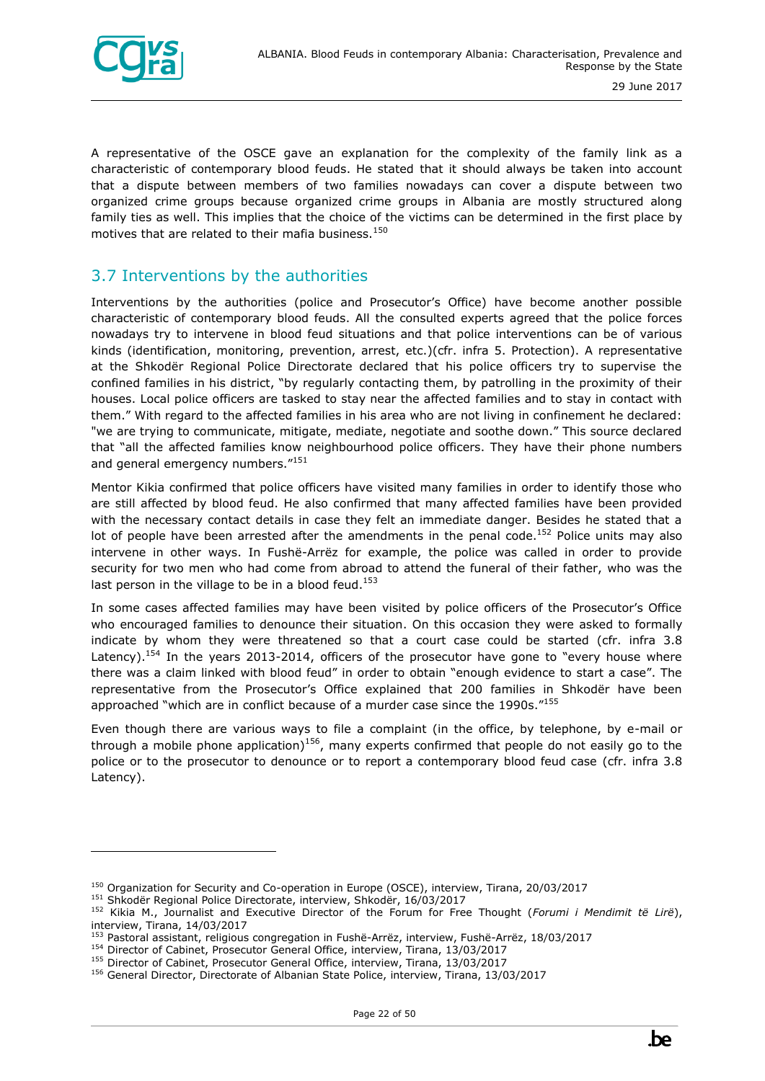

A representative of the OSCE gave an explanation for the complexity of the family link as a characteristic of contemporary blood feuds. He stated that it should always be taken into account that a dispute between members of two families nowadays can cover a dispute between two organized crime groups because organized crime groups in Albania are mostly structured along family ties as well. This implies that the choice of the victims can be determined in the first place by motives that are related to their mafia business.<sup>150</sup>

#### <span id="page-21-0"></span>3.7 Interventions by the authorities

Interventions by the authorities (police and Prosecutor's Office) have become another possible characteristic of contemporary blood feuds. All the consulted experts agreed that the police forces nowadays try to intervene in blood feud situations and that police interventions can be of various kinds (identification, monitoring, prevention, arrest, etc.)(cfr. infra 5. Protection). A representative at the Shkodër Regional Police Directorate declared that his police officers try to supervise the confined families in his district, "by regularly contacting them, by patrolling in the proximity of their houses. Local police officers are tasked to stay near the affected families and to stay in contact with them." With regard to the affected families in his area who are not living in confinement he declared: "we are trying to communicate, mitigate, mediate, negotiate and soothe down." This source declared that "all the affected families know neighbourhood police officers. They have their phone numbers and general emergency numbers."151

Mentor Kikia confirmed that police officers have visited many families in order to identify those who are still affected by blood feud. He also confirmed that many affected families have been provided with the necessary contact details in case they felt an immediate danger. Besides he stated that a lot of people have been arrested after the amendments in the penal code.<sup>152</sup> Police units may also intervene in other ways. In Fushë-Arrëz for example, the police was called in order to provide security for two men who had come from abroad to attend the funeral of their father, who was the last person in the village to be in a blood feud.<sup>153</sup>

In some cases affected families may have been visited by police officers of the Prosecutor's Office who encouraged families to denounce their situation. On this occasion they were asked to formally indicate by whom they were threatened so that a court case could be started (cfr. infra 3.8 Latency).<sup>154</sup> In the years 2013-2014, officers of the prosecutor have gone to "every house where there was a claim linked with blood feud" in order to obtain "enough evidence to start a case". The representative from the Prosecutor's Office explained that 200 families in Shkodër have been approached "which are in conflict because of a murder case since the 1990s."155

Even though there are various ways to file a complaint (in the office, by telephone, by e-mail or through a mobile phone application)<sup>156</sup>, many experts confirmed that people do not easily go to the police or to the prosecutor to denounce or to report a contemporary blood feud case (cfr. infra 3.8 Latency).

<sup>&</sup>lt;sup>150</sup> Organization for Security and Co-operation in Europe (OSCE), interview, Tirana, 20/03/2017

<sup>151</sup> Shkodër Regional Police Directorate, interview, Shkodër, 16/03/2017

<sup>152</sup> Kikia M., Journalist and Executive Director of the Forum for Free Thought (*Forumi i Mendimit të Lirë*), interview, Tirana, 14/03/2017

<sup>153</sup> Pastoral assistant, religious congregation in Fushë-Arrëz, interview, Fushë-Arrëz, 18/03/2017

<sup>154</sup> Director of Cabinet, Prosecutor General Office, interview, Tirana, 13/03/2017

<sup>&</sup>lt;sup>155</sup> Director of Cabinet, Prosecutor General Office, interview, Tirana, 13/03/2017

<sup>156</sup> General Director, Directorate of Albanian State Police, interview, Tirana, 13/03/2017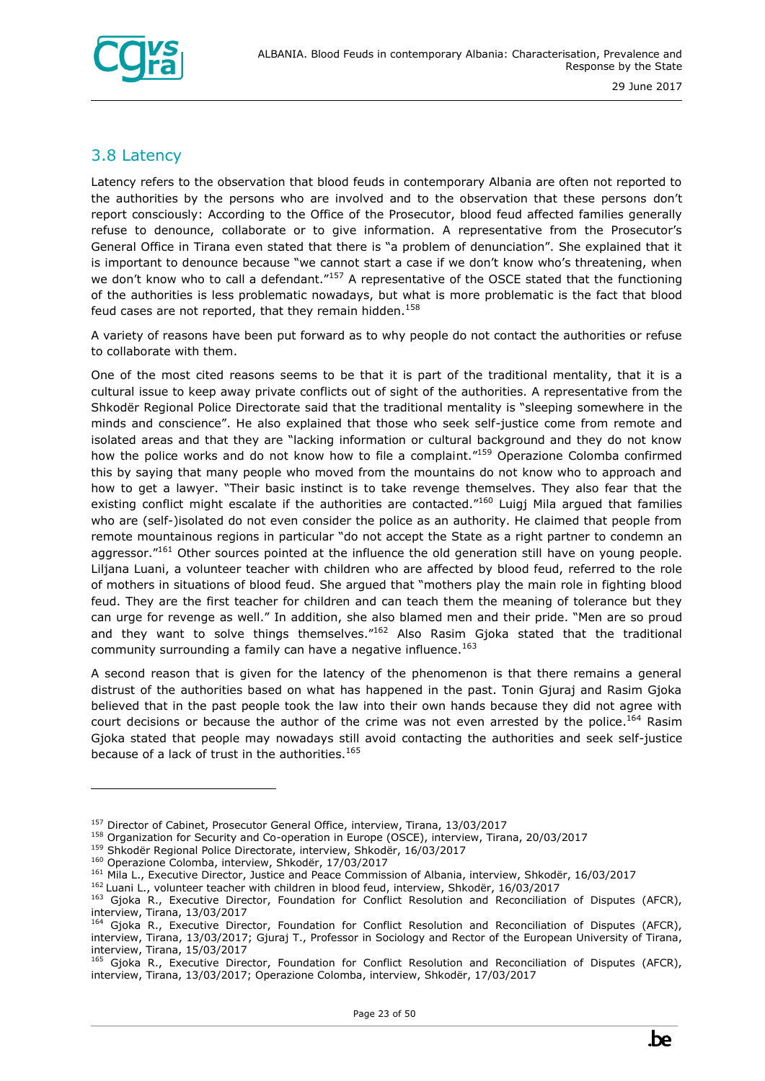

#### <span id="page-22-0"></span>3.8 Latency

Latency refers to the observation that blood feuds in contemporary Albania are often not reported to the authorities by the persons who are involved and to the observation that these persons don't report consciously: According to the Office of the Prosecutor, blood feud affected families generally refuse to denounce, collaborate or to give information. A representative from the Prosecutor's General Office in Tirana even stated that there is "a problem of denunciation". She explained that it is important to denounce because "we cannot start a case if we don't know who's threatening, when we don't know who to call a defendant."<sup>157</sup> A representative of the OSCE stated that the functioning of the authorities is less problematic nowadays, but what is more problematic is the fact that blood feud cases are not reported, that they remain hidden.<sup>158</sup>

A variety of reasons have been put forward as to why people do not contact the authorities or refuse to collaborate with them.

One of the most cited reasons seems to be that it is part of the traditional mentality, that it is a cultural issue to keep away private conflicts out of sight of the authorities. A representative from the Shkodër Regional Police Directorate said that the traditional mentality is "sleeping somewhere in the minds and conscience". He also explained that those who seek self-justice come from remote and isolated areas and that they are "lacking information or cultural background and they do not know how the police works and do not know how to file a complaint."159 Operazione Colomba confirmed this by saying that many people who moved from the mountains do not know who to approach and how to get a lawyer. "Their basic instinct is to take revenge themselves. They also fear that the existing conflict might escalate if the authorities are contacted."<sup>160</sup> Luigi Mila argued that families who are (self-)isolated do not even consider the police as an authority. He claimed that people from remote mountainous regions in particular "do not accept the State as a right partner to condemn an aggressor."<sup>161</sup> Other sources pointed at the influence the old generation still have on young people. Liljana Luani, a volunteer teacher with children who are affected by blood feud, referred to the role of mothers in situations of blood feud. She argued that "mothers play the main role in fighting blood feud. They are the first teacher for children and can teach them the meaning of tolerance but they can urge for revenge as well." In addition, she also blamed men and their pride. "Men are so proud and they want to solve things themselves."<sup>162</sup> Also Rasim Gjoka stated that the traditional community surrounding a family can have a negative influence.<sup>163</sup>

A second reason that is given for the latency of the phenomenon is that there remains a general distrust of the authorities based on what has happened in the past. Tonin Gjuraj and Rasim Gjoka believed that in the past people took the law into their own hands because they did not agree with court decisions or because the author of the crime was not even arrested by the police.<sup>164</sup> Rasim Gjoka stated that people may nowadays still avoid contacting the authorities and seek self-justice because of a lack of trust in the authorities. $165$ 

<sup>&</sup>lt;sup>157</sup> Director of Cabinet, Prosecutor General Office, interview, Tirana, 13/03/2017

<sup>&</sup>lt;sup>158</sup> Organization for Security and Co-operation in Europe (OSCE), interview, Tirana, 20/03/2017

<sup>159</sup> Shkodër Regional Police Directorate, interview, Shkodër, 16/03/2017

<sup>160</sup> Operazione Colomba, interview, Shkodër, 17/03/2017

<sup>&</sup>lt;sup>161</sup> Mila L., Executive Director, Justice and Peace Commission of Albania, interview, Shkodër, 16/03/2017

<sup>&</sup>lt;sup>162</sup> Luani L., volunteer teacher with children in blood feud, interview, Shkodër, 16/03/2017

<sup>163</sup> Gjoka R., Executive Director, Foundation for Conflict Resolution and Reconciliation of Disputes (AFCR), interview, Tirana, 13/03/2017

<sup>164</sup> Gjoka R., Executive Director, Foundation for Conflict Resolution and Reconciliation of Disputes (AFCR), interview, Tirana, 13/03/2017; Gjuraj T., Professor in Sociology and Rector of the European University of Tirana, interview, Tirana, 15/03/2017

<sup>165</sup> Gjoka R., Executive Director, Foundation for Conflict Resolution and Reconciliation of Disputes (AFCR), interview, Tirana, 13/03/2017; Operazione Colomba, interview, Shkodër, 17/03/2017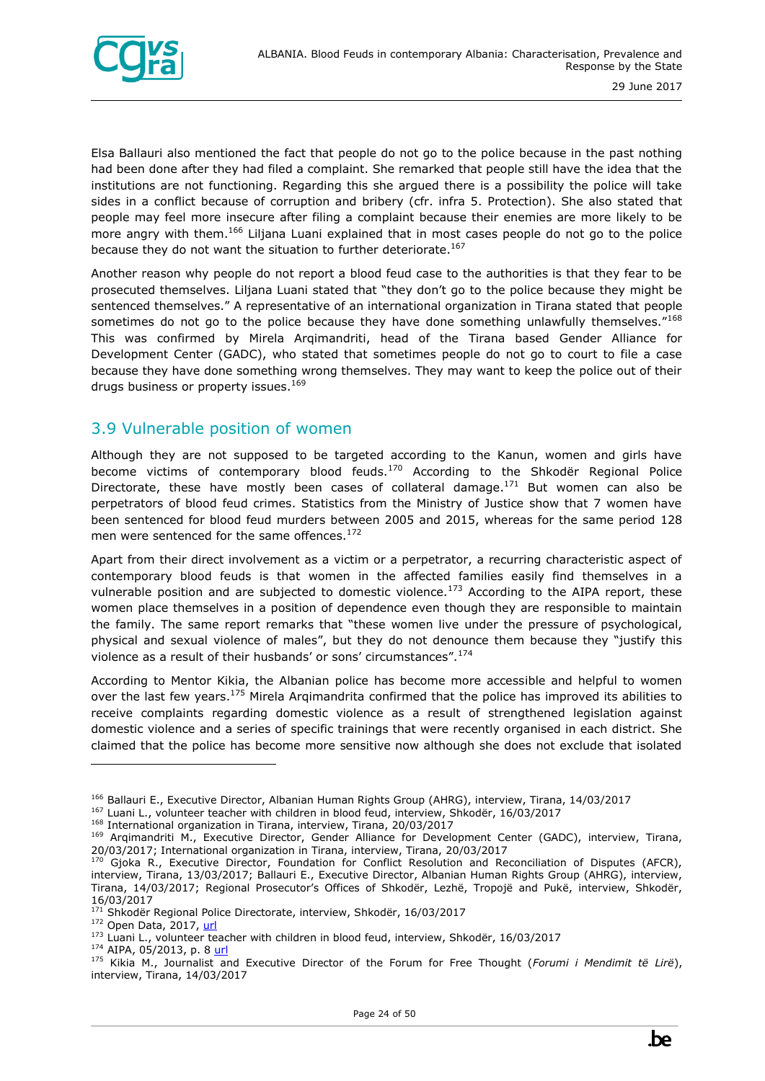

Elsa Ballauri also mentioned the fact that people do not go to the police because in the past nothing had been done after they had filed a complaint. She remarked that people still have the idea that the institutions are not functioning. Regarding this she argued there is a possibility the police will take sides in a conflict because of corruption and bribery (cfr. infra 5. Protection). She also stated that people may feel more insecure after filing a complaint because their enemies are more likely to be more angry with them.<sup>166</sup> Liljana Luani explained that in most cases people do not go to the police because they do not want the situation to further deteriorate.<sup>167</sup>

Another reason why people do not report a blood feud case to the authorities is that they fear to be prosecuted themselves. Liljana Luani stated that "they don't go to the police because they might be sentenced themselves." A representative of an international organization in Tirana stated that people sometimes do not go to the police because they have done something unlawfully themselves." $168$ This was confirmed by Mirela Arqimandriti, head of the Tirana based Gender Alliance for Development Center (GADC), who stated that sometimes people do not go to court to file a case because they have done something wrong themselves. They may want to keep the police out of their drugs business or property issues.<sup>169</sup>

#### <span id="page-23-0"></span>3.9 Vulnerable position of women

Although they are not supposed to be targeted according to the Kanun, women and girls have become victims of contemporary blood feuds.<sup>170</sup> According to the Shkodër Regional Police Directorate, these have mostly been cases of collateral damage.<sup>171</sup> But women can also be perpetrators of blood feud crimes. Statistics from the Ministry of Justice show that 7 women have been sentenced for blood feud murders between 2005 and 2015, whereas for the same period 128 men were sentenced for the same offences.<sup>172</sup>

Apart from their direct involvement as a victim or a perpetrator, a recurring characteristic aspect of contemporary blood feuds is that women in the affected families easily find themselves in a vulnerable position and are subjected to domestic violence.<sup>173</sup> According to the AIPA report, these women place themselves in a position of dependence even though they are responsible to maintain the family. The same report remarks that "these women live under the pressure of psychological, physical and sexual violence of males", but they do not denounce them because they "justify this violence as a result of their husbands' or sons' circumstances". $174$ 

According to Mentor Kikia, the Albanian police has become more accessible and helpful to women over the last few years.<sup>175</sup> Mirela Argimandrita confirmed that the police has improved its abilities to receive complaints regarding domestic violence as a result of strengthened legislation against domestic violence and a series of specific trainings that were recently organised in each district. She claimed that the police has become more sensitive now although she does not exclude that isolated



<sup>166</sup> Ballauri E., Executive Director, Albanian Human Rights Group (AHRG), interview, Tirana, 14/03/2017

<sup>167</sup> Luani L., volunteer teacher with children in blood feud, interview, Shkodër, 16/03/2017

<sup>168</sup> International organization in Tirana, interview, Tirana, 20/03/2017

<sup>169</sup> Arqimandriti M., Executive Director, Gender Alliance for Development Center (GADC), interview, Tirana, 20/03/2017; International organization in Tirana, interview, Tirana, 20/03/2017

 $170$  Gjoka R., Executive Director, Foundation for Conflict Resolution and Reconciliation of Disputes (AFCR), interview, Tirana, 13/03/2017; Ballauri E., Executive Director, Albanian Human Rights Group (AHRG), interview, Tirana, 14/03/2017; Regional Prosecutor's Offices of Shkodër, Lezhë, Tropojë and Pukë, interview, Shkodër, 16/03/2017

<sup>&</sup>lt;sup>171</sup> Shkodër Regional Police Directorate, interview, Shkodër, 16/03/2017

<sup>172</sup> Open Data, 2017, [url](http://open.data.al/en/lajme/lajm/id/1918/titull/Criminal-proceedings-against-murder-threats-and-incitement-of-revenge-and-blood-feud-during-2005-2015)

<sup>&</sup>lt;sup>173</sup> Luani L., volunteer teacher with children in blood feud, interview, Shkodër, 16/03/2017

<sup>&</sup>lt;sup>174</sup> AIPA, 05/2013, p. 8 [url](https://www.researchgate.net/publication/298786990_Effects_of_blood_feuds_on_albanian_girls_and_women)

<sup>175</sup> Kikia M., Journalist and Executive Director of the Forum for Free Thought (*Forumi i Mendimit të Lirë*), interview, Tirana, 14/03/2017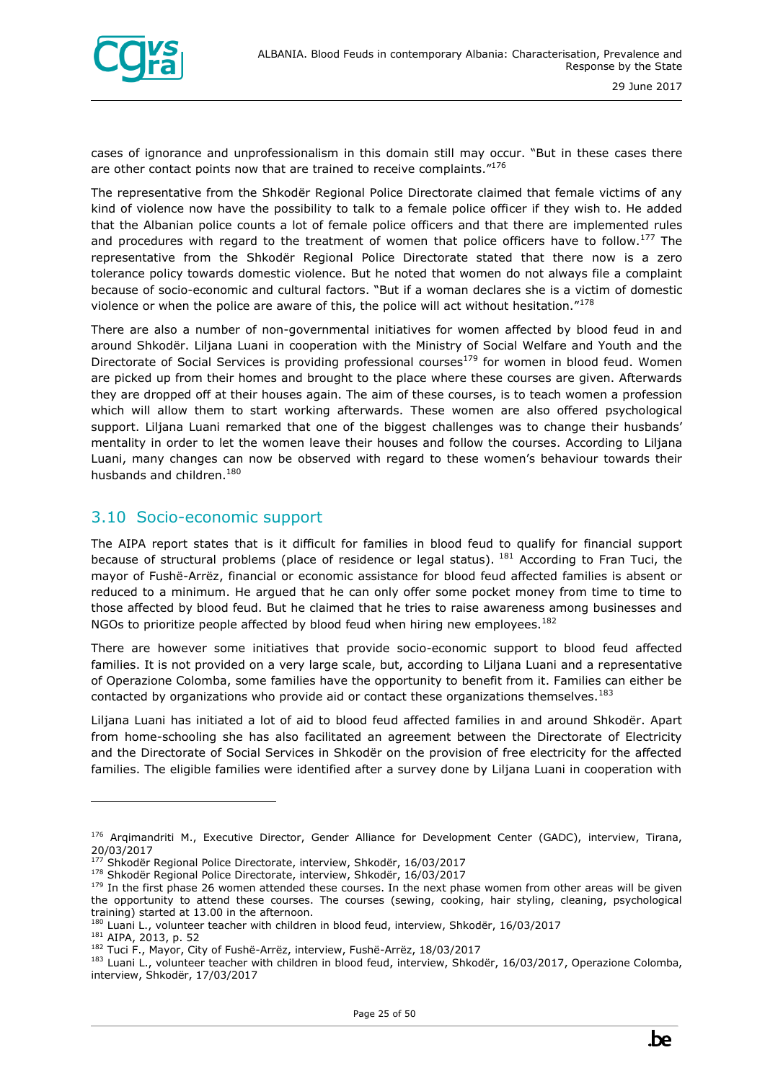

cases of ignorance and unprofessionalism in this domain still may occur. "But in these cases there are other contact points now that are trained to receive complaints."<sup>176</sup>

The representative from the Shkodër Regional Police Directorate claimed that female victims of any kind of violence now have the possibility to talk to a female police officer if they wish to. He added that the Albanian police counts a lot of female police officers and that there are implemented rules and procedures with regard to the treatment of women that police officers have to follow.<sup>177</sup> The representative from the Shkodër Regional Police Directorate stated that there now is a zero tolerance policy towards domestic violence. But he noted that women do not always file a complaint because of socio-economic and cultural factors. "But if a woman declares she is a victim of domestic violence or when the police are aware of this, the police will act without hesitation."<sup>178</sup>

There are also a number of non-governmental initiatives for women affected by blood feud in and around Shkodër. Liljana Luani in cooperation with the Ministry of Social Welfare and Youth and the Directorate of Social Services is providing professional courses<sup>179</sup> for women in blood feud. Women are picked up from their homes and brought to the place where these courses are given. Afterwards they are dropped off at their houses again. The aim of these courses, is to teach women a profession which will allow them to start working afterwards. These women are also offered psychological support. Liljana Luani remarked that one of the biggest challenges was to change their husbands' mentality in order to let the women leave their houses and follow the courses. According to Liljana Luani, many changes can now be observed with regard to these women's behaviour towards their husbands and children.<sup>180</sup>

#### <span id="page-24-0"></span>3.10 Socio-economic support

The AIPA report states that is it difficult for families in blood feud to qualify for financial support because of structural problems (place of residence or legal status). <sup>181</sup> According to Fran Tuci, the mayor of Fushë-Arrëz, financial or economic assistance for blood feud affected families is absent or reduced to a minimum. He argued that he can only offer some pocket money from time to time to those affected by blood feud. But he claimed that he tries to raise awareness among businesses and NGOs to prioritize people affected by blood feud when hiring new employees.<sup>182</sup>

There are however some initiatives that provide socio-economic support to blood feud affected families. It is not provided on a very large scale, but, according to Liljana Luani and a representative of Operazione Colomba, some families have the opportunity to benefit from it. Families can either be contacted by organizations who provide aid or contact these organizations themselves.<sup>183</sup>

Liljana Luani has initiated a lot of aid to blood feud affected families in and around Shkodër. Apart from home-schooling she has also facilitated an agreement between the Directorate of Electricity and the Directorate of Social Services in Shkodër on the provision of free electricity for the affected families. The eligible families were identified after a survey done by Liljana Luani in cooperation with

<sup>181</sup> AIPA, 2013, p. 52

<sup>176</sup> Arqimandriti M., Executive Director, Gender Alliance for Development Center (GADC), interview, Tirana, 20/03/2017

<sup>&</sup>lt;sup>177</sup> Shkodër Regional Police Directorate, interview, Shkodër, 16/03/2017

<sup>178</sup> Shkodër Regional Police Directorate, interview, Shkodër, 16/03/2017

<sup>&</sup>lt;sup>179</sup> In the first phase 26 women attended these courses. In the next phase women from other areas will be given the opportunity to attend these courses. The courses (sewing, cooking, hair styling, cleaning, psychological training) started at 13.00 in the afternoon.

<sup>&</sup>lt;sup>180</sup> Luani L., volunteer teacher with children in blood feud, interview, Shkodër, 16/03/2017

<sup>182</sup> Tuci F., Mayor, City of Fushë-Arrëz, interview, Fushë-Arrëz, 18/03/2017

<sup>&</sup>lt;sup>183</sup> Luani L., volunteer teacher with children in blood feud, interview, Shkodër, 16/03/2017, Operazione Colomba, interview, Shkodër, 17/03/2017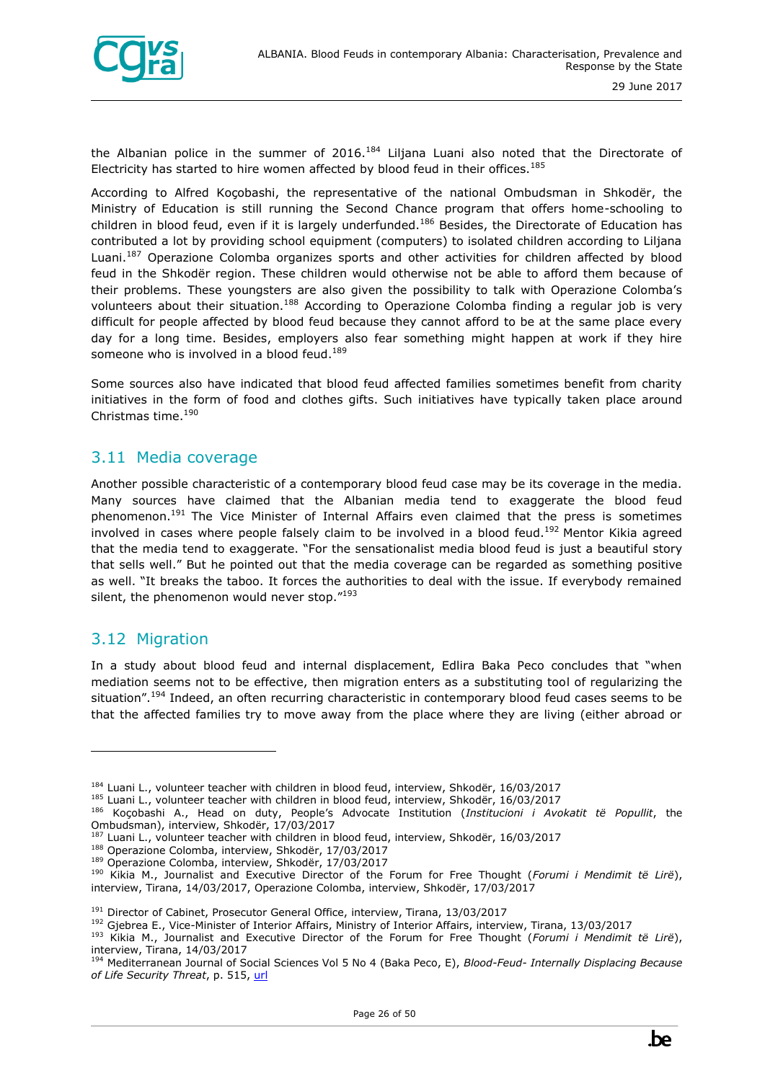

the Albanian police in the summer of 2016.<sup>184</sup> Liljana Luani also noted that the Directorate of Electricity has started to hire women affected by blood feud in their offices.<sup>185</sup>

According to Alfred Koçobashi, the representative of the national Ombudsman in Shkodër, the Ministry of Education is still running the Second Chance program that offers home-schooling to children in blood feud, even if it is largely underfunded.<sup>186</sup> Besides, the Directorate of Education has contributed a lot by providing school equipment (computers) to isolated children according to Liljana Luani.<sup>187</sup> Operazione Colomba organizes sports and other activities for children affected by blood feud in the Shkodër region. These children would otherwise not be able to afford them because of their problems. These youngsters are also given the possibility to talk with Operazione Colomba's volunteers about their situation.<sup>188</sup> According to Operazione Colomba finding a regular job is very difficult for people affected by blood feud because they cannot afford to be at the same place every day for a long time. Besides, employers also fear something might happen at work if they hire someone who is involved in a blood feud.<sup>189</sup>

Some sources also have indicated that blood feud affected families sometimes benefit from charity initiatives in the form of food and clothes gifts. Such initiatives have typically taken place around Christmas time.<sup>190</sup>

#### <span id="page-25-0"></span>3.11 Media coverage

Another possible characteristic of a contemporary blood feud case may be its coverage in the media. Many sources have claimed that the Albanian media tend to exaggerate the blood feud phenomenon.<sup>191</sup> The Vice Minister of Internal Affairs even claimed that the press is sometimes involved in cases where people falsely claim to be involved in a blood feud.<sup>192</sup> Mentor Kikia agreed that the media tend to exaggerate. "For the sensationalist media blood feud is just a beautiful story that sells well." But he pointed out that the media coverage can be regarded as something positive as well. "It breaks the taboo. It forces the authorities to deal with the issue. If everybody remained silent, the phenomenon would never stop."<sup>193</sup>

#### <span id="page-25-1"></span>3.12 Migration

ł

In a study about blood feud and internal displacement, Edlira Baka Peco concludes that "when mediation seems not to be effective, then migration enters as a substituting tool of regularizing the situation".<sup>194</sup> Indeed, an often recurring characteristic in contemporary blood feud cases seems to be that the affected families try to move away from the place where they are living (either abroad or

<sup>&</sup>lt;sup>184</sup> Luani L., volunteer teacher with children in blood feud, interview, Shkodër, 16/03/2017

<sup>&</sup>lt;sup>185</sup> Luani L., volunteer teacher with children in blood feud, interview, Shkodër, 16/03/2017

<sup>186</sup> Koçobashi A., Head on duty, People's Advocate Institution (*Institucioni i Avokatit të Popullit*, the Ombudsman), interview, Shkodër, 17/03/2017

<sup>&</sup>lt;sup>187</sup> Luani L., volunteer teacher with children in blood feud, interview, Shkodër, 16/03/2017

<sup>188</sup> Operazione Colomba, interview, Shkodër, 17/03/2017

<sup>189</sup> Operazione Colomba, interview, Shkodër, 17/03/2017

<sup>190</sup> Kikia M., Journalist and Executive Director of the Forum for Free Thought (*Forumi i Mendimit të Lirë*), interview, Tirana, 14/03/2017, Operazione Colomba, interview, Shkodër, 17/03/2017

<sup>&</sup>lt;sup>191</sup> Director of Cabinet, Prosecutor General Office, interview, Tirana, 13/03/2017

<sup>192</sup> Gjebrea E., Vice-Minister of Interior Affairs, Ministry of Interior Affairs, interview, Tirana, 13/03/2017

<sup>193</sup> Kikia M., Journalist and Executive Director of the Forum for Free Thought (*Forumi i Mendimit të Lirë*), interview, Tirana, 14/03/2017

<sup>194</sup> Mediterranean Journal of Social Sciences Vol 5 No 4 (Baka Peco, E), *Blood-Feud- Internally Displacing Because of Life Security Threat*, p. 515, [url](http://www.mcser.org/journal/index.php/mjss/article/view/2241)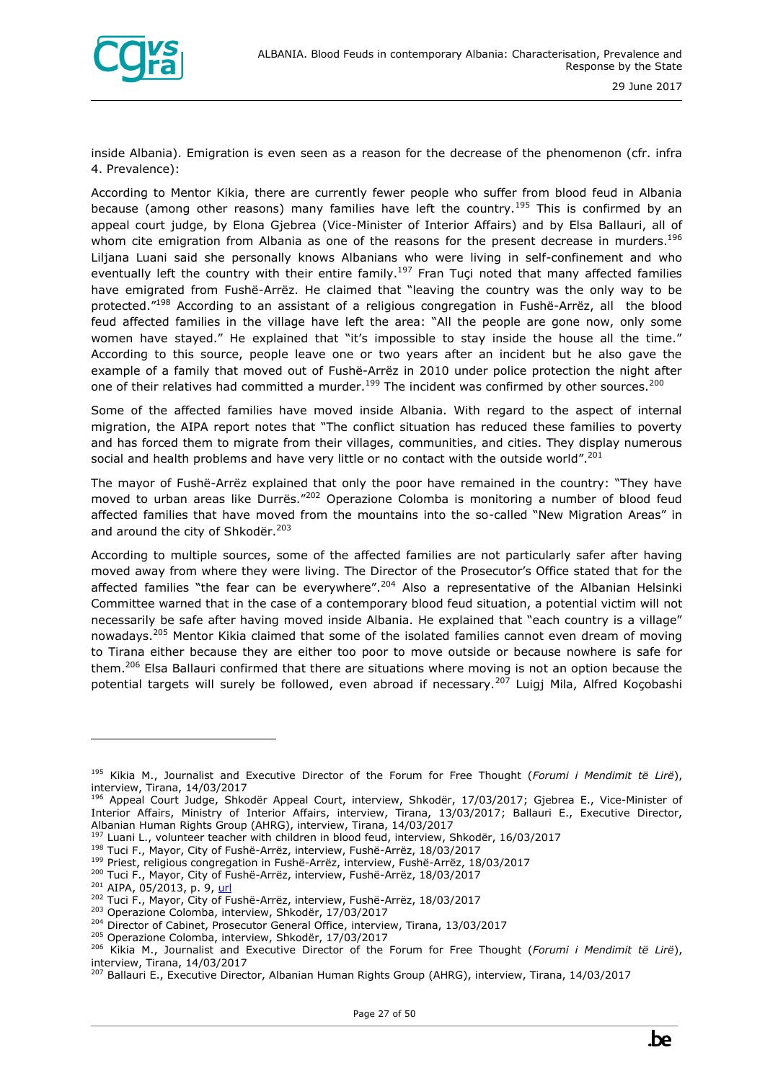

inside Albania). Emigration is even seen as a reason for the decrease of the phenomenon (cfr. infra 4. Prevalence):

According to Mentor Kikia, there are currently fewer people who suffer from blood feud in Albania because (among other reasons) many families have left the country.<sup>195</sup> This is confirmed by an appeal court judge, by Elona Gjebrea (Vice-Minister of Interior Affairs) and by Elsa Ballauri, all of whom cite emigration from Albania as one of the reasons for the present decrease in murders.<sup>196</sup> Liljana Luani said she personally knows Albanians who were living in self-confinement and who eventually left the country with their entire family.<sup>197</sup> Fran Tuçi noted that many affected families have emigrated from Fushë-Arrëz. He claimed that "leaving the country was the only way to be protected."<sup>198</sup> According to an assistant of a religious congregation in Fushë-Arrëz, all the blood feud affected families in the village have left the area: "All the people are gone now, only some women have stayed." He explained that "it's impossible to stay inside the house all the time." According to this source, people leave one or two years after an incident but he also gave the example of a family that moved out of Fushë-Arrëz in 2010 under police protection the night after one of their relatives had committed a murder.<sup>199</sup> The incident was confirmed by other sources.<sup>200</sup>

Some of the affected families have moved inside Albania. With regard to the aspect of internal migration, the AIPA report notes that "The conflict situation has reduced these families to poverty and has forced them to migrate from their villages, communities, and cities. They display numerous social and health problems and have very little or no contact with the outside world".<sup>201</sup>

The mayor of Fushë-Arrëz explained that only the poor have remained in the country: "They have moved to urban areas like Durrës."<sup>202</sup> Operazione Colomba is monitoring a number of blood feud affected families that have moved from the mountains into the so-called "New Migration Areas" in and around the city of Shkodër.<sup>203</sup>

According to multiple sources, some of the affected families are not particularly safer after having moved away from where they were living. The Director of the Prosecutor's Office stated that for the affected families "the fear can be everywhere".<sup>204</sup> Also a representative of the Albanian Helsinki Committee warned that in the case of a contemporary blood feud situation, a potential victim will not necessarily be safe after having moved inside Albania. He explained that "each country is a village" nowadays.<sup>205</sup> Mentor Kikia claimed that some of the isolated families cannot even dream of moving to Tirana either because they are either too poor to move outside or because nowhere is safe for them.<sup>206</sup> Elsa Ballauri confirmed that there are situations where moving is not an option because the potential targets will surely be followed, even abroad if necessary.<sup>207</sup> Luigi Mila, Alfred Kocobashi

<sup>197</sup> Luani L., volunteer teacher with children in blood feud, interview, Shkodër, 16/03/2017

<sup>199</sup> Priest, religious congregation in Fushë-Arrëz, interview, Fushë-Arrëz, 18/03/2017 <sup>200</sup> Tuci F., Mayor, City of Fushë-Arrëz, interview, Fushë-Arrëz, 18/03/2017



<sup>195</sup> Kikia M., Journalist and Executive Director of the Forum for Free Thought (*Forumi i Mendimit të Lirë*), interview, Tirana, 14/03/2017

<sup>196</sup> Appeal Court Judge, Shkodër Appeal Court, interview, Shkodër, 17/03/2017; Gjebrea E., Vice-Minister of Interior Affairs, Ministry of Interior Affairs, interview, Tirana, 13/03/2017; Ballauri E., Executive Director, Albanian Human Rights Group (AHRG), interview, Tirana, 14/03/2017

<sup>198</sup> Tuci F., Mayor, City of Fushë-Arrëz, interview, Fushë-Arrëz, 18/03/2017

<sup>&</sup>lt;sup>201</sup> AIPA, 05/2013, p. 9, [url](https://www.researchgate.net/publication/298786990_Effects_of_blood_feuds_on_albanian_girls_and_women)

<sup>&</sup>lt;sup>202</sup> Tuci F., Mayor, City of Fushë-Arrëz, interview, Fushë-Arrëz, 18/03/2017

<sup>203</sup> Operazione Colomba, interview, Shkodër, 17/03/2017

<sup>&</sup>lt;sup>204</sup> Director of Cabinet, Prosecutor General Office, interview, Tirana, 13/03/2017

<sup>205</sup> Operazione Colomba, interview, Shkodër, 17/03/2017

<sup>206</sup> Kikia M., Journalist and Executive Director of the Forum for Free Thought (*Forumi i Mendimit të Lirë*), interview, Tirana, 14/03/2017

<sup>&</sup>lt;sup>207</sup> Ballauri E., Executive Director, Albanian Human Rights Group (AHRG), interview, Tirana, 14/03/2017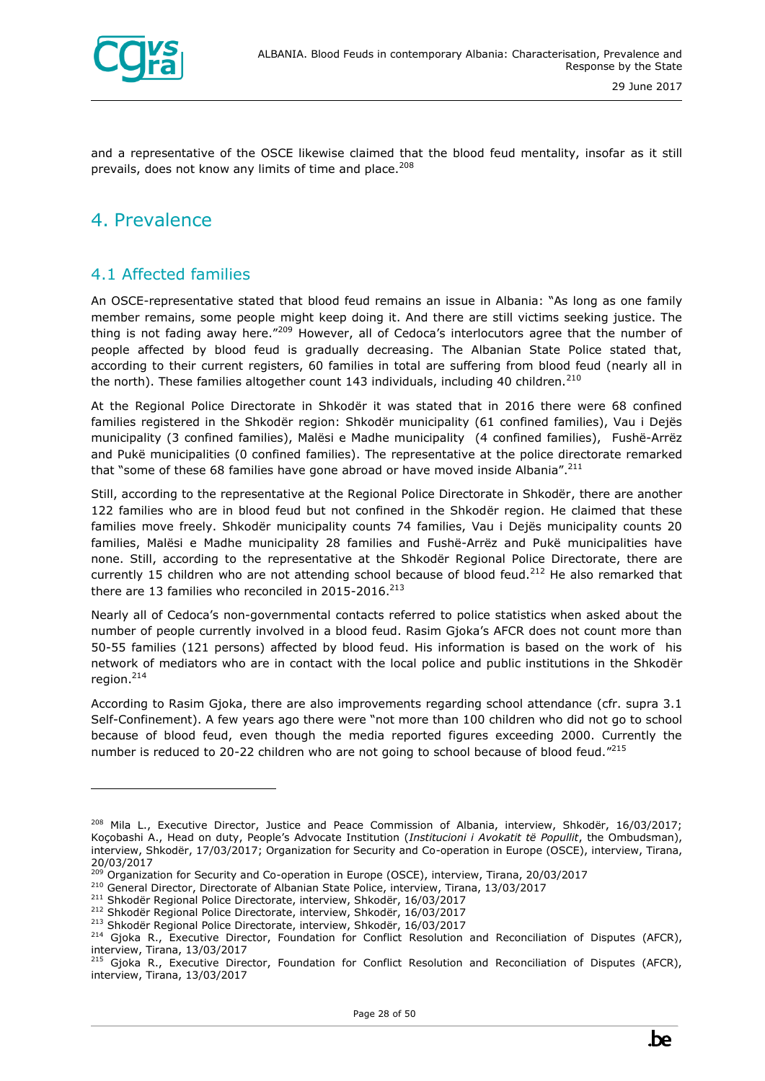

and a representative of the OSCE likewise claimed that the blood feud mentality, insofar as it still prevails, does not know any limits of time and place.<sup>208</sup>

## <span id="page-27-0"></span>4. Prevalence

ł

#### <span id="page-27-1"></span>4.1 Affected families

An OSCE-representative stated that blood feud remains an issue in Albania: "As long as one family member remains, some people might keep doing it. And there are still victims seeking justice. The thing is not fading away here."<sup>209</sup> However, all of Cedoca's interlocutors agree that the number of people affected by blood feud is gradually decreasing. The Albanian State Police stated that, according to their current registers, 60 families in total are suffering from blood feud (nearly all in the north). These families altogether count 143 individuals, including 40 children.<sup>210</sup>

At the Regional Police Directorate in Shkodër it was stated that in 2016 there were 68 confined families registered in the Shkodër region: Shkodër municipality (61 confined families), Vau i Dejës municipality (3 confined families), Malësi e Madhe municipality (4 confined families), Fushë-Arrëz and Pukë municipalities (0 confined families). The representative at the police directorate remarked that "some of these 68 families have gone abroad or have moved inside Albania".<sup>211</sup>

Still, according to the representative at the Regional Police Directorate in Shkodër, there are another 122 families who are in blood feud but not confined in the Shkodër region. He claimed that these families move freely. Shkodër municipality counts 74 families, Vau i Dejës municipality counts 20 families, Malësi e Madhe municipality 28 families and Fushë-Arrëz and Pukë municipalities have none. Still, according to the representative at the Shkodër Regional Police Directorate, there are currently 15 children who are not attending school because of blood feud.<sup>212</sup> He also remarked that there are 13 families who reconciled in 2015-2016. $213$ 

Nearly all of Cedoca's non-governmental contacts referred to police statistics when asked about the number of people currently involved in a blood feud. Rasim Gjoka's AFCR does not count more than 50-55 families (121 persons) affected by blood feud. His information is based on the work of his network of mediators who are in contact with the local police and public institutions in the Shkodër region. 214

According to Rasim Gjoka, there are also improvements regarding school attendance (cfr. supra 3.1 Self-Confinement). A few years ago there were "not more than 100 children who did not go to school because of blood feud, even though the media reported figures exceeding 2000. Currently the number is reduced to 20-22 children who are not going to school because of blood feud."<sup>215</sup>

<sup>&</sup>lt;sup>208</sup> Mila L., Executive Director, Justice and Peace Commission of Albania, interview, Shkodër, 16/03/2017; Koçobashi A., Head on duty, People's Advocate Institution (*Institucioni i Avokatit të Popullit*, the Ombudsman), interview, Shkodër, 17/03/2017; Organization for Security and Co-operation in Europe (OSCE), interview, Tirana, 20/03/2017

<sup>&</sup>lt;sup>209</sup> Organization for Security and Co-operation in Europe (OSCE), interview, Tirana, 20/03/2017

<sup>&</sup>lt;sup>210</sup> General Director, Directorate of Albanian State Police, interview, Tirana, 13/03/2017

<sup>211</sup> Shkodër Regional Police Directorate, interview, Shkodër, 16/03/2017

<sup>212</sup> Shkodër Regional Police Directorate, interview, Shkodër, 16/03/2017

<sup>213</sup> Shkodër Regional Police Directorate, interview, Shkodër, 16/03/2017

<sup>&</sup>lt;sup>214</sup> Gjoka R., Executive Director, Foundation for Conflict Resolution and Reconciliation of Disputes (AFCR), interview, Tirana, 13/03/2017

<sup>&</sup>lt;sup>215</sup> Gjoka R., Executive Director, Foundation for Conflict Resolution and Reconciliation of Disputes (AFCR), interview, Tirana, 13/03/2017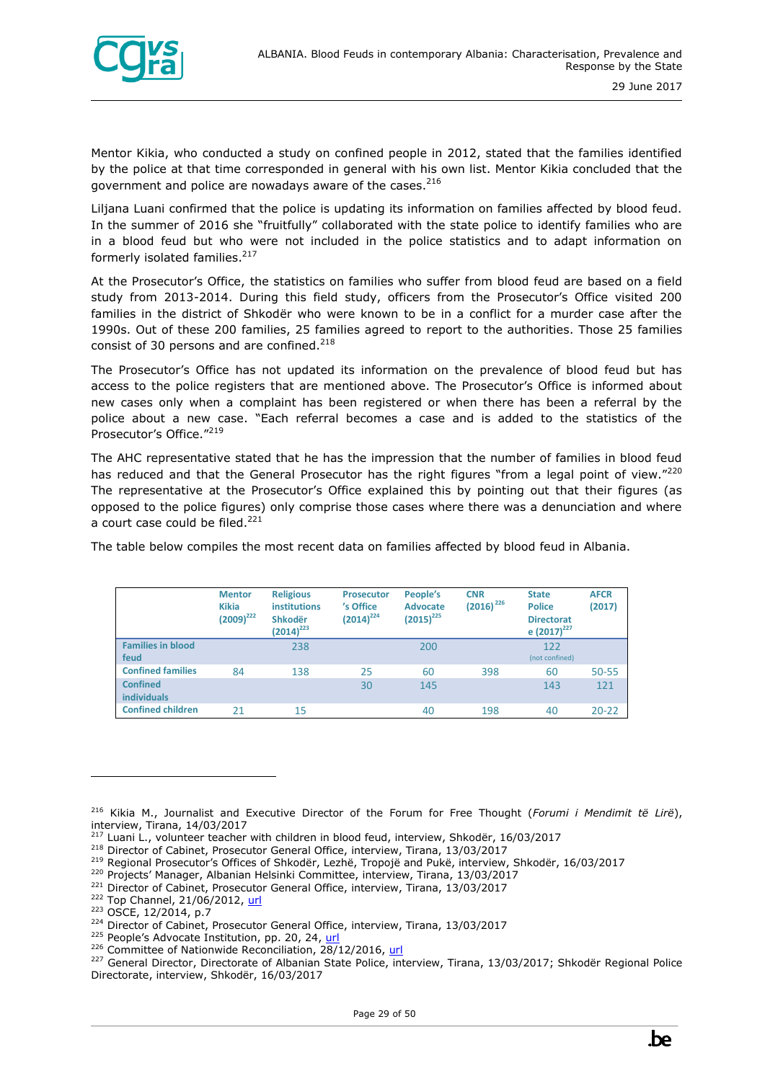

Mentor Kikia, who conducted a study on confined people in 2012, stated that the families identified by the police at that time corresponded in general with his own list. Mentor Kikia concluded that the government and police are nowadays aware of the cases.<sup>216</sup>

Liljana Luani confirmed that the police is updating its information on families affected by blood feud. In the summer of 2016 she "fruitfully" collaborated with the state police to identify families who are in a blood feud but who were not included in the police statistics and to adapt information on formerly isolated families.<sup>217</sup>

At the Prosecutor's Office, the statistics on families who suffer from blood feud are based on a field study from 2013-2014. During this field study, officers from the Prosecutor's Office visited 200 families in the district of Shkodër who were known to be in a conflict for a murder case after the 1990s. Out of these 200 families, 25 families agreed to report to the authorities. Those 25 families consist of 30 persons and are confined.<sup>218</sup>

The Prosecutor's Office has not updated its information on the prevalence of blood feud but has access to the police registers that are mentioned above. The Prosecutor's Office is informed about new cases only when a complaint has been registered or when there has been a referral by the police about a new case. "Each referral becomes a case and is added to the statistics of the Prosecutor's Office."<sup>219</sup>

The AHC representative stated that he has the impression that the number of families in blood feud has reduced and that the General Prosecutor has the right figures "from a legal point of view."<sup>220</sup> The representative at the Prosecutor's Office explained this by pointing out that their figures (as opposed to the police figures) only comprise those cases where there was a denunciation and where a court case could be filed.<sup>221</sup>

The table below compiles the most recent data on families affected by blood feud in Albania.

|                                       | <b>Mentor</b><br><b>Kikia</b><br>$(2009)^{222}$ | <b>Religious</b><br><b>institutions</b><br><b>Shkodër</b><br>$(2014)^{223}$ | <b>Prosecutor</b><br>'s Office<br>$(2014)^{224}$ | People's<br><b>Advocate</b><br>$(2015)^{225}$ | <b>CNR</b><br>$(2016)^{226}$ | <b>State</b><br><b>Police</b><br><b>Directorat</b><br>e $(2017)^{227}$ | <b>AFCR</b><br>(2017) |
|---------------------------------------|-------------------------------------------------|-----------------------------------------------------------------------------|--------------------------------------------------|-----------------------------------------------|------------------------------|------------------------------------------------------------------------|-----------------------|
| <b>Families in blood</b><br>feud      |                                                 | 238                                                                         |                                                  | 200                                           |                              | 122<br>(not confined)                                                  |                       |
| <b>Confined families</b>              | 84                                              | 138                                                                         | 25                                               | 60                                            | 398                          | 60                                                                     | $50 - 55$             |
| <b>Confined</b><br><b>individuals</b> |                                                 |                                                                             | 30                                               | 145                                           |                              | 143                                                                    | 121                   |
| <b>Confined children</b>              | 21                                              | 15                                                                          |                                                  | 40                                            | 198                          | 40                                                                     | $20 - 22$             |

<sup>216</sup> Kikia M., Journalist and Executive Director of the Forum for Free Thought (*Forumi i Mendimit të Lirë*), interview, Tirana, 14/03/2017

<sup>&</sup>lt;sup>217</sup> Luani L., volunteer teacher with children in blood feud, interview, Shkodër, 16/03/2017

<sup>&</sup>lt;sup>218</sup> Director of Cabinet, Prosecutor General Office, interview, Tirana, 13/03/2017

<sup>&</sup>lt;sup>219</sup> Regional Prosecutor's Offices of Shkodër, Lezhë, Tropojë and Pukë, interview, Shkodër, 16/03/2017

<sup>&</sup>lt;sup>220</sup> Projects' Manager, Albanian Helsinki Committee, interview, Tirana, 13/03/2017

<sup>&</sup>lt;sup>221</sup> Director of Cabinet, Prosecutor General Office, interview, Tirana, 13/03/2017

<sup>&</sup>lt;sup>222</sup> Top Channel, 21/06/2012, [url](http://top-channel.tv/english/artikull.php?id=6209)

<sup>223</sup> OSCE, 12/2014, p.7

<sup>&</sup>lt;sup>224</sup> Director of Cabinet, Prosecutor General Office, interview, Tirana, 13/03/2017

<sup>&</sup>lt;sup>225</sup> People's Advocate Institution, pp. 20, 24, [url](http://www.avokatipopullit.gov.al/sq/raporte-t%C3%AB-ve%C3%A7anta)

<sup>&</sup>lt;sup>226</sup> Committee of Nationwide Reconciliation, 28/12/2016[, url](http://www.pajtimi.com/Statistics-of-reconciliation-expedition.docx)

<sup>&</sup>lt;sup>227</sup> General Director, Directorate of Albanian State Police, interview, Tirana, 13/03/2017; Shkodër Regional Police Directorate, interview, Shkodër, 16/03/2017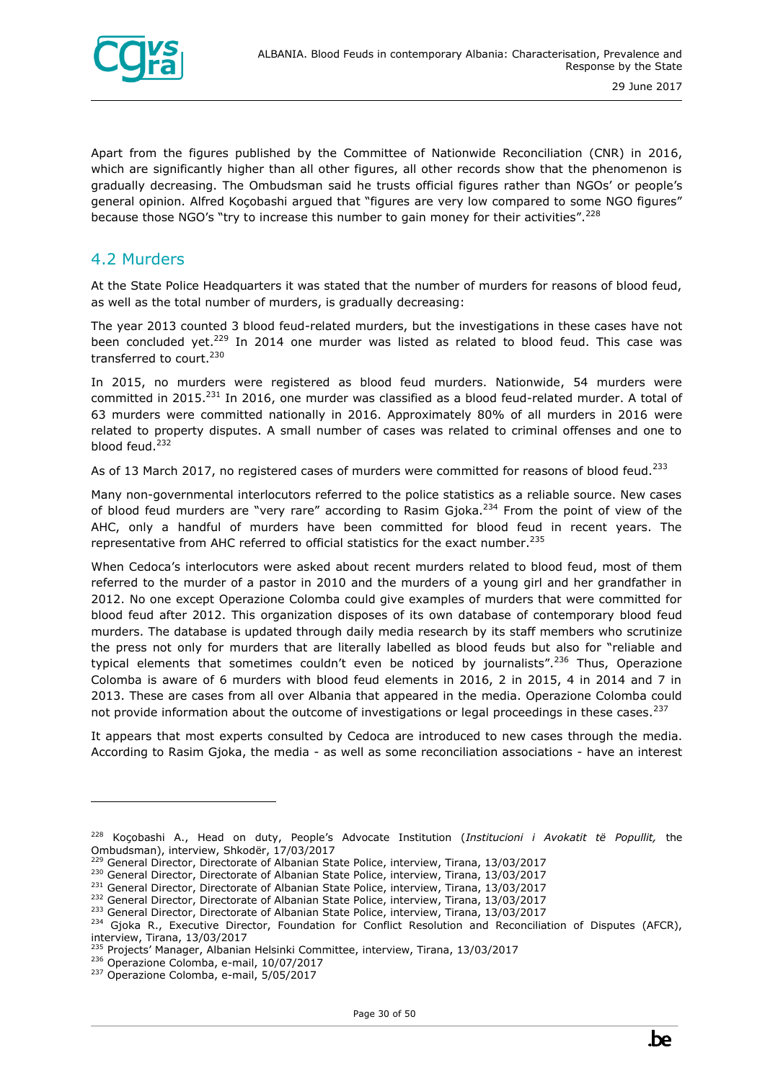

Apart from the figures published by the Committee of Nationwide Reconciliation (CNR) in 2016, which are significantly higher than all other figures, all other records show that the phenomenon is gradually decreasing. The Ombudsman said he trusts official figures rather than NGOs' or people's general opinion. Alfred Koçobashi argued that "figures are very low compared to some NGO figures" because those NGO's "try to increase this number to gain money for their activities".<sup>228</sup>

#### <span id="page-29-0"></span>4.2 Murders

At the State Police Headquarters it was stated that the number of murders for reasons of blood feud, as well as the total number of murders, is gradually decreasing:

The year 2013 counted 3 blood feud-related murders, but the investigations in these cases have not been concluded yet.<sup>229</sup> In 2014 one murder was listed as related to blood feud. This case was transferred to court.<sup>230</sup>

In 2015, no murders were registered as blood feud murders. Nationwide, 54 murders were committed in 2015.<sup>231</sup> In 2016, one murder was classified as a blood feud-related murder. A total of 63 murders were committed nationally in 2016. Approximately 80% of all murders in 2016 were related to property disputes. A small number of cases was related to criminal offenses and one to blood feud.<sup>232</sup>

As of 13 March 2017, no registered cases of murders were committed for reasons of blood feud.<sup>233</sup>

Many non-governmental interlocutors referred to the police statistics as a reliable source. New cases of blood feud murders are "very rare" according to Rasim Gjoka.<sup>234</sup> From the point of view of the AHC, only a handful of murders have been committed for blood feud in recent years. The representative from AHC referred to official statistics for the exact number.<sup>235</sup>

When Cedoca's interlocutors were asked about recent murders related to blood feud, most of them referred to the murder of a pastor in 2010 and the murders of a young girl and her grandfather in 2012. No one except Operazione Colomba could give examples of murders that were committed for blood feud after 2012. This organization disposes of its own database of contemporary blood feud murders. The database is updated through daily media research by its staff members who scrutinize the press not only for murders that are literally labelled as blood feuds but also for "reliable and typical elements that sometimes couldn't even be noticed by journalists".<sup>236</sup> Thus, Operazione Colomba is aware of 6 murders with blood feud elements in 2016, 2 in 2015, 4 in 2014 and 7 in 2013. These are cases from all over Albania that appeared in the media. Operazione Colomba could not provide information about the outcome of investigations or legal proceedings in these cases.<sup>237</sup>

It appears that most experts consulted by Cedoca are introduced to new cases through the media. According to Rasim Gjoka, the media - as well as some reconciliation associations - have an interest

<sup>233</sup> General Director, Directorate of Albanian State Police, interview, Tirana, 13/03/2017

<sup>228</sup> Koçobashi A., Head on duty, People's Advocate Institution (*Institucioni i Avokatit të Popullit,* the Ombudsman), interview, Shkodër, 17/03/2017

<sup>&</sup>lt;sup>229</sup> General Director, Directorate of Albanian State Police, interview, Tirana, 13/03/2017

<sup>&</sup>lt;sup>230</sup> General Director, Directorate of Albanian State Police, interview, Tirana, 13/03/2017

<sup>&</sup>lt;sup>231</sup> General Director, Directorate of Albanian State Police, interview, Tirana, 13/03/2017

<sup>&</sup>lt;sup>232</sup> General Director, Directorate of Albanian State Police, interview, Tirana, 13/03/2017

<sup>&</sup>lt;sup>234</sup> Gjoka R., Executive Director, Foundation for Conflict Resolution and Reconciliation of Disputes (AFCR), interview, Tirana, 13/03/2017

<sup>235</sup> Projects' Manager, Albanian Helsinki Committee, interview, Tirana, 13/03/2017

<sup>236</sup> Operazione Colomba, e-mail, 10/07/2017

<sup>237</sup> Operazione Colomba, e-mail, 5/05/2017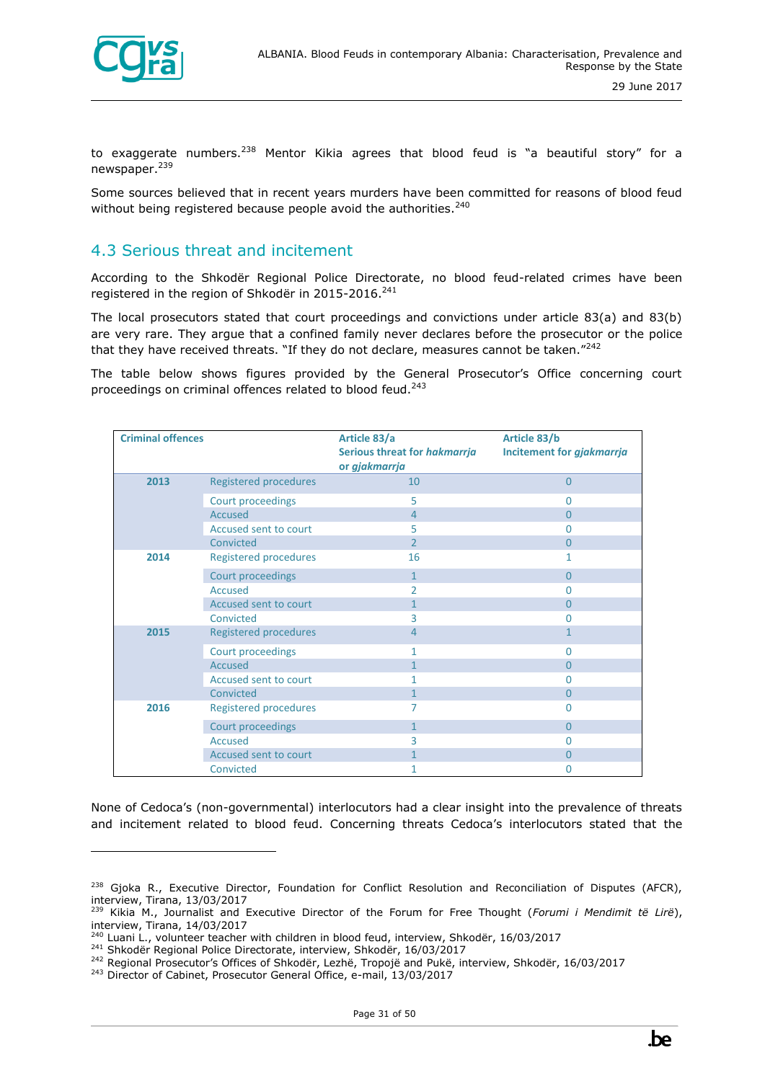

ł

to exaggerate numbers.<sup>238</sup> Mentor Kikia agrees that blood feud is "a beautiful story" for a newspaper.<sup>239</sup>

Some sources believed that in recent years murders have been committed for reasons of blood feud without being registered because people avoid the authorities.<sup>240</sup>

#### <span id="page-30-0"></span>4.3 Serious threat and incitement

According to the Shkodër Regional Police Directorate, no blood feud-related crimes have been registered in the region of Shkodër in 2015-2016.<sup>241</sup>

The local prosecutors stated that court proceedings and convictions under article 83(a) and 83(b) are very rare. They argue that a confined family never declares before the prosecutor or the police that they have received threats. "If they do not declare, measures cannot be taken. $"^{242}$ 

The table below shows figures provided by the General Prosecutor's Office concerning court proceedings on criminal offences related to blood feud.<sup>243</sup>

| <b>Criminal offences</b> |                              | Article 83/a<br>Serious threat for hakmarrja<br>or gjakmarrja | Article 83/b<br>Incitement for gjakmarrja |
|--------------------------|------------------------------|---------------------------------------------------------------|-------------------------------------------|
| 2013                     | <b>Registered procedures</b> | 10                                                            | $\overline{0}$                            |
|                          | Court proceedings            | 5                                                             | 0                                         |
|                          | Accused                      | $\overline{4}$                                                | $\Omega$                                  |
|                          | Accused sent to court        | 5                                                             | 0                                         |
|                          | Convicted                    | $\overline{2}$                                                | $\overline{0}$                            |
| 2014                     | <b>Registered procedures</b> | 16                                                            | 1                                         |
|                          | Court proceedings            | $\mathbf{1}$                                                  | $\overline{0}$                            |
|                          | <b>Accused</b>               | 2                                                             | 0                                         |
|                          | Accused sent to court        | 1                                                             | $\Omega$                                  |
|                          | Convicted                    | 3                                                             | O                                         |
| 2015                     | <b>Registered procedures</b> | 4                                                             | 1                                         |
|                          | <b>Court proceedings</b>     | 1                                                             | 0                                         |
|                          | Accused                      | $\mathbf{1}$                                                  | $\overline{0}$                            |
|                          | Accused sent to court        | 1                                                             | 0                                         |
|                          | Convicted                    | 1                                                             | $\Omega$                                  |
| 2016                     | <b>Registered procedures</b> | 7                                                             | 0                                         |
|                          | <b>Court proceedings</b>     | $\mathbf{1}$                                                  | $\overline{0}$                            |
|                          | <b>Accused</b>               | 3                                                             | 0                                         |
|                          | Accused sent to court        | 1                                                             | $\overline{0}$                            |
|                          | Convicted                    | 1                                                             | 0                                         |

None of Cedoca's (non-governmental) interlocutors had a clear insight into the prevalence of threats and incitement related to blood feud. Concerning threats Cedoca's interlocutors stated that the

<sup>&</sup>lt;sup>238</sup> Gjoka R., Executive Director, Foundation for Conflict Resolution and Reconciliation of Disputes (AFCR), interview, Tirana, 13/03/2017

<sup>239</sup> Kikia M., Journalist and Executive Director of the Forum for Free Thought (*Forumi i Mendimit të Lirë*), interview, Tirana, 14/03/2017

<sup>240</sup> Luani L., volunteer teacher with children in blood feud, interview, Shkodër, 16/03/2017

<sup>241</sup> Shkodër Regional Police Directorate, interview, Shkodër, 16/03/2017

<sup>242</sup> Regional Prosecutor's Offices of Shkodër, Lezhë, Tropojë and Pukë, interview, Shkodër, 16/03/2017

<sup>&</sup>lt;sup>243</sup> Director of Cabinet, Prosecutor General Office, e-mail, 13/03/2017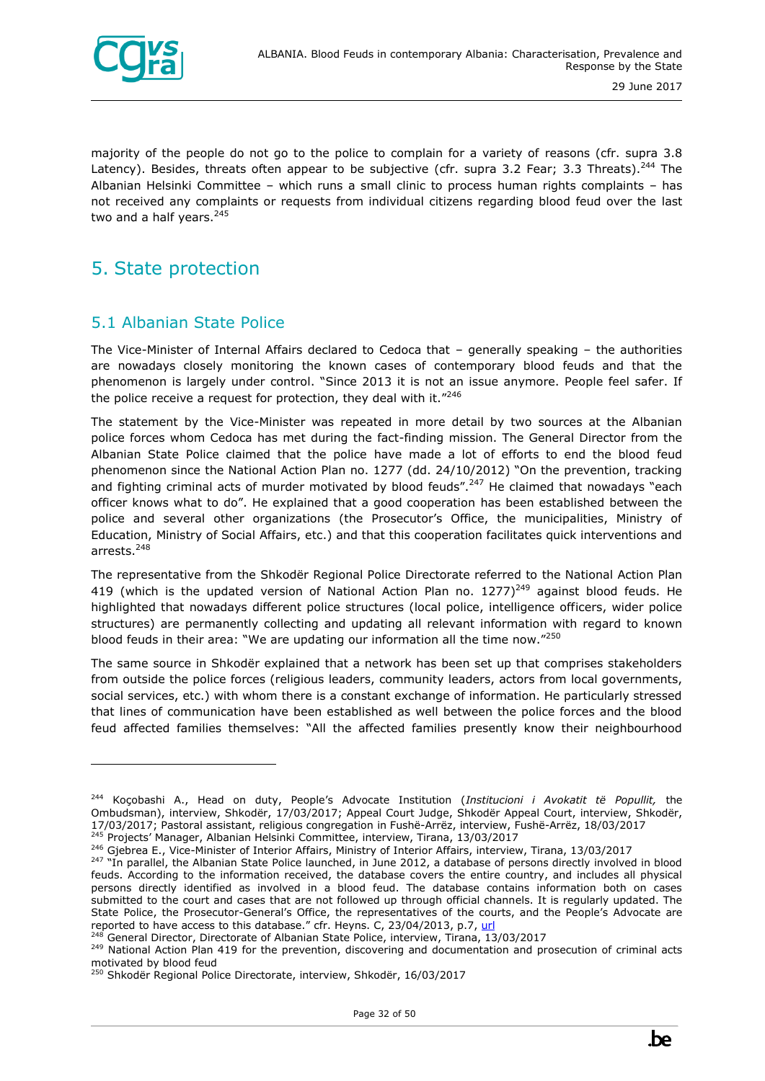

majority of the people do not go to the police to complain for a variety of reasons (cfr. supra 3.8 Latency). Besides, threats often appear to be subjective (cfr. supra 3.2 Fear; 3.3 Threats).<sup>244</sup> The Albanian Helsinki Committee – which runs a small clinic to process human rights complaints – has not received any complaints or requests from individual citizens regarding blood feud over the last two and a half years. $245$ 

## <span id="page-31-0"></span>5. State protection

ł

#### <span id="page-31-1"></span>5.1 Albanian State Police

The Vice-Minister of Internal Affairs declared to Cedoca that – generally speaking – the authorities are nowadays closely monitoring the known cases of contemporary blood feuds and that the phenomenon is largely under control. "Since 2013 it is not an issue anymore. People feel safer. If the police receive a request for protection, they deal with it."246

The statement by the Vice-Minister was repeated in more detail by two sources at the Albanian police forces whom Cedoca has met during the fact-finding mission. The General Director from the Albanian State Police claimed that the police have made a lot of efforts to end the blood feud phenomenon since the National Action Plan no. 1277 (dd. 24/10/2012) "On the prevention, tracking and fighting criminal acts of murder motivated by blood feuds".<sup>247</sup> He claimed that nowadays "each officer knows what to do". He explained that a good cooperation has been established between the police and several other organizations (the Prosecutor's Office, the municipalities, Ministry of Education, Ministry of Social Affairs, etc.) and that this cooperation facilitates quick interventions and arrests.<sup>248</sup>

The representative from the Shkodër Regional Police Directorate referred to the National Action Plan 419 (which is the updated version of National Action Plan no.  $1277)^{249}$  against blood feuds. He highlighted that nowadays different police structures (local police, intelligence officers, wider police structures) are permanently collecting and updating all relevant information with regard to known blood feuds in their area: "We are updating our information all the time now."250

The same source in Shkodër explained that a network has been set up that comprises stakeholders from outside the police forces (religious leaders, community leaders, actors from local governments, social services, etc.) with whom there is a constant exchange of information. He particularly stressed that lines of communication have been established as well between the police forces and the blood feud affected families themselves: "All the affected families presently know their neighbourhood

<sup>244</sup> Koçobashi A., Head on duty, People's Advocate Institution (*Institucioni i Avokatit të Popullit,* the Ombudsman), interview, Shkodër, 17/03/2017; Appeal Court Judge, Shkodër Appeal Court, interview, Shkodër, 17/03/2017; Pastoral assistant, religious congregation in Fushë-Arrëz, interview, Fushë-Arrëz, 18/03/2017

<sup>&</sup>lt;sup>245</sup> Projects' Manager, Albanian Helsinki Committee, interview, Tirana, 13/03/2017

<sup>&</sup>lt;sup>246</sup> Giebrea E., Vice-Minister of Interior Affairs, Ministry of Interior Affairs, interview, Tirana, 13/03/2017

<sup>&</sup>lt;sup>247</sup> "In parallel, the Albanian State Police launched, in June 2012, a database of persons directly involved in blood feuds. According to the information received, the database covers the entire country, and includes all physical persons directly identified as involved in a blood feud. The database contains information both on cases submitted to the court and cases that are not followed up through official channels. It is regularly updated. The State Police, the Prosecutor-General's Office, the representatives of the courts, and the People's Advocate are reported to have access to this database." cfr. Heyns. C, 23/04/2013, p.7, [url](http://www.ohchr.org/Documents/HRBodies/HRCouncil/RegularSession/Session23/A.HRC.23.47.Add.4_EN.pdf)

<sup>248</sup> General Director, Directorate of Albanian State Police, interview, Tirana, 13/03/2017

<sup>&</sup>lt;sup>249</sup> National Action Plan 419 for the prevention, discovering and documentation and prosecution of criminal acts motivated by blood feud

<sup>&</sup>lt;sup>50</sup> Shkodër Regional Police Directorate, interview, Shkodër, 16/03/2017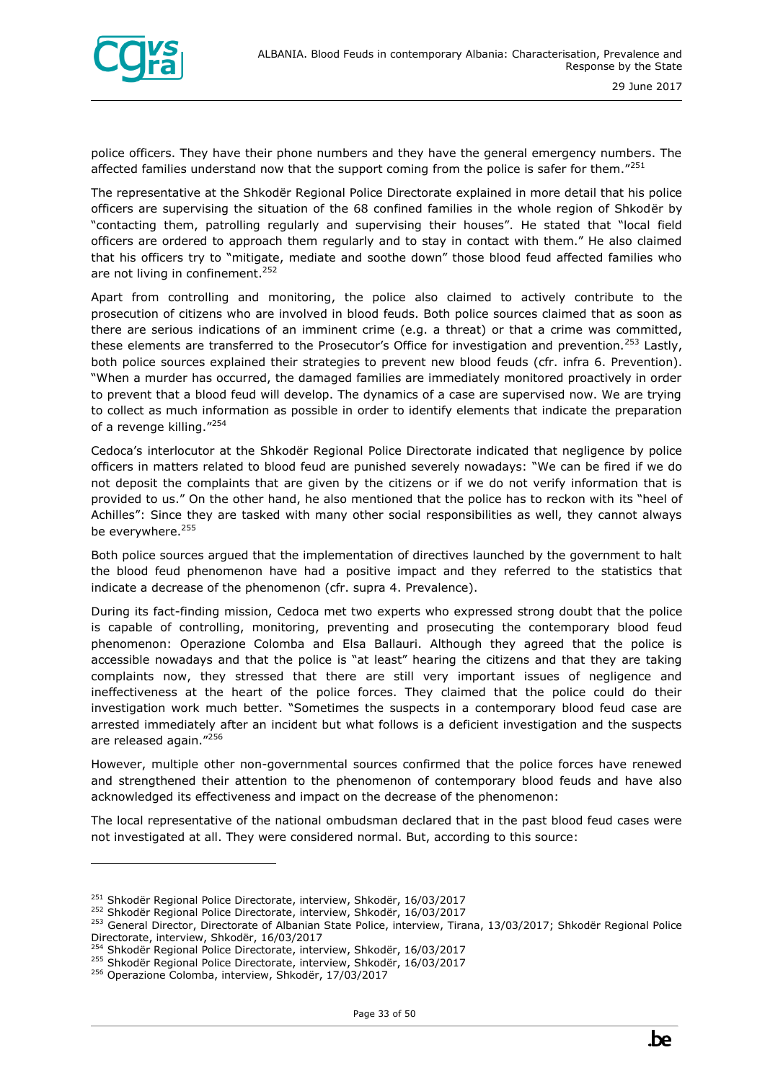

police officers. They have their phone numbers and they have the general emergency numbers. The affected families understand now that the support coming from the police is safer for them."<sup>251</sup>

The representative at the Shkodër Regional Police Directorate explained in more detail that his police officers are supervising the situation of the 68 confined families in the whole region of Shkodër by "contacting them, patrolling regularly and supervising their houses". He stated that "local field officers are ordered to approach them regularly and to stay in contact with them." He also claimed that his officers try to "mitigate, mediate and soothe down" those blood feud affected families who are not living in confinement.<sup>252</sup>

Apart from controlling and monitoring, the police also claimed to actively contribute to the prosecution of citizens who are involved in blood feuds. Both police sources claimed that as soon as there are serious indications of an imminent crime (e.g. a threat) or that a crime was committed, these elements are transferred to the Prosecutor's Office for investigation and prevention.<sup>253</sup> Lastly, both police sources explained their strategies to prevent new blood feuds (cfr. infra 6. Prevention). "When a murder has occurred, the damaged families are immediately monitored proactively in order to prevent that a blood feud will develop. The dynamics of a case are supervised now. We are trying to collect as much information as possible in order to identify elements that indicate the preparation of a revenge killing."<sup>254</sup>

Cedoca's interlocutor at the Shkodër Regional Police Directorate indicated that negligence by police officers in matters related to blood feud are punished severely nowadays: "We can be fired if we do not deposit the complaints that are given by the citizens or if we do not verify information that is provided to us." On the other hand, he also mentioned that the police has to reckon with its "heel of Achilles": Since they are tasked with many other social responsibilities as well, they cannot always be everywhere.<sup>255</sup>

Both police sources argued that the implementation of directives launched by the government to halt the blood feud phenomenon have had a positive impact and they referred to the statistics that indicate a decrease of the phenomenon (cfr. supra 4. Prevalence).

During its fact-finding mission, Cedoca met two experts who expressed strong doubt that the police is capable of controlling, monitoring, preventing and prosecuting the contemporary blood feud phenomenon: Operazione Colomba and Elsa Ballauri. Although they agreed that the police is accessible nowadays and that the police is "at least" hearing the citizens and that they are taking complaints now, they stressed that there are still very important issues of negligence and ineffectiveness at the heart of the police forces. They claimed that the police could do their investigation work much better. "Sometimes the suspects in a contemporary blood feud case are arrested immediately after an incident but what follows is a deficient investigation and the suspects are released again."<sup>256</sup>

However, multiple other non-governmental sources confirmed that the police forces have renewed and strengthened their attention to the phenomenon of contemporary blood feuds and have also acknowledged its effectiveness and impact on the decrease of the phenomenon:

The local representative of the national ombudsman declared that in the past blood feud cases were not investigated at all. They were considered normal. But, according to this source:

<sup>&</sup>lt;sup>251</sup> Shkodër Regional Police Directorate, interview, Shkodër, 16/03/2017

<sup>&</sup>lt;sup>252</sup> Shkodër Regional Police Directorate, interview, Shkodër, 16/03/2017

<sup>&</sup>lt;sup>253</sup> General Director, Directorate of Albanian State Police, interview, Tirana, 13/03/2017; Shkodër Regional Police Directorate, interview, Shkodër, 16/03/2017

<sup>254</sup> Shkodër Regional Police Directorate, interview, Shkodër, 16/03/2017

<sup>&</sup>lt;sup>255</sup> Shkodër Regional Police Directorate, interview, Shkodër, 16/03/2017

<sup>256</sup> Operazione Colomba, interview, Shkodër, 17/03/2017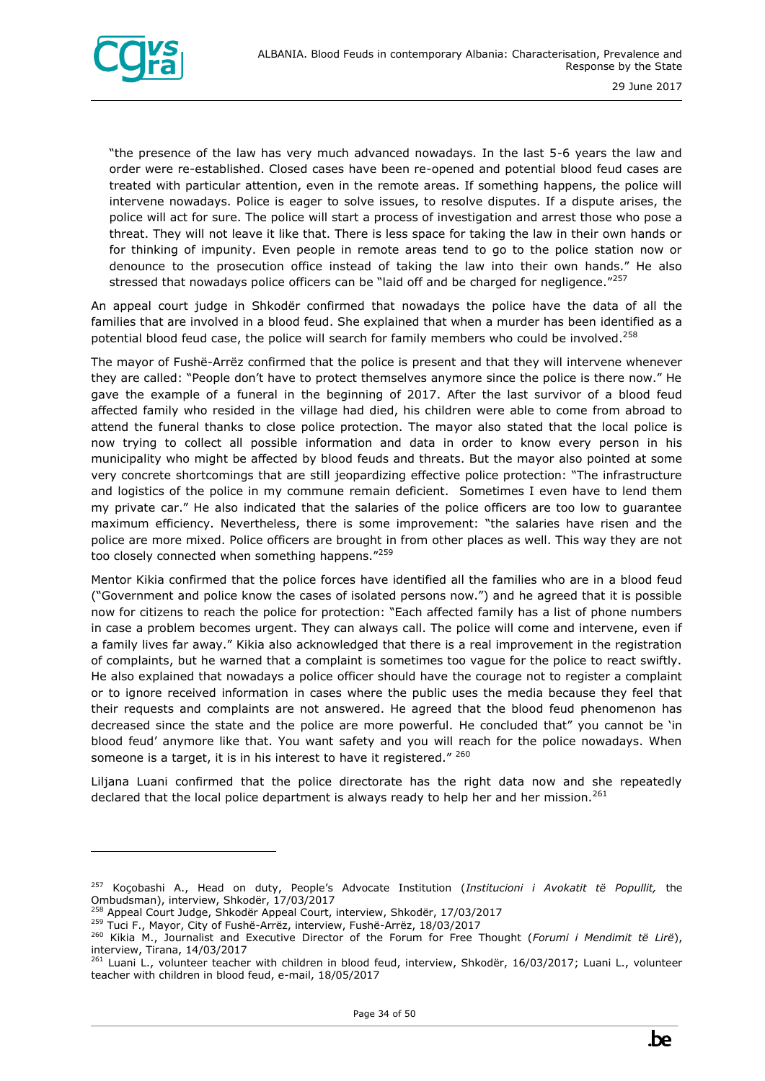

ł

"the presence of the law has very much advanced nowadays. In the last 5-6 years the law and order were re-established. Closed cases have been re-opened and potential blood feud cases are treated with particular attention, even in the remote areas. If something happens, the police will intervene nowadays. Police is eager to solve issues, to resolve disputes. If a dispute arises, the police will act for sure. The police will start a process of investigation and arrest those who pose a threat. They will not leave it like that. There is less space for taking the law in their own hands or for thinking of impunity. Even people in remote areas tend to go to the police station now or denounce to the prosecution office instead of taking the law into their own hands." He also stressed that nowadays police officers can be "laid off and be charged for negligence."<sup>257</sup>

An appeal court judge in Shkodër confirmed that nowadays the police have the data of all the families that are involved in a blood feud. She explained that when a murder has been identified as a potential blood feud case, the police will search for family members who could be involved.<sup>258</sup>

The mayor of Fushë-Arrëz confirmed that the police is present and that they will intervene whenever they are called: "People don't have to protect themselves anymore since the police is there now." He gave the example of a funeral in the beginning of 2017. After the last survivor of a blood feud affected family who resided in the village had died, his children were able to come from abroad to attend the funeral thanks to close police protection. The mayor also stated that the local police is now trying to collect all possible information and data in order to know every person in his municipality who might be affected by blood feuds and threats. But the mayor also pointed at some very concrete shortcomings that are still jeopardizing effective police protection: "The infrastructure and logistics of the police in my commune remain deficient. Sometimes I even have to lend them my private car." He also indicated that the salaries of the police officers are too low to guarantee maximum efficiency. Nevertheless, there is some improvement: "the salaries have risen and the police are more mixed. Police officers are brought in from other places as well. This way they are not too closely connected when something happens."259

Mentor Kikia confirmed that the police forces have identified all the families who are in a blood feud ("Government and police know the cases of isolated persons now.") and he agreed that it is possible now for citizens to reach the police for protection: "Each affected family has a list of phone numbers in case a problem becomes urgent. They can always call. The police will come and intervene, even if a family lives far away." Kikia also acknowledged that there is a real improvement in the registration of complaints, but he warned that a complaint is sometimes too vague for the police to react swiftly. He also explained that nowadays a police officer should have the courage not to register a complaint or to ignore received information in cases where the public uses the media because they feel that their requests and complaints are not answered. He agreed that the blood feud phenomenon has decreased since the state and the police are more powerful. He concluded that" you cannot be 'in blood feud' anymore like that. You want safety and you will reach for the police nowadays. When someone is a target, it is in his interest to have it registered." 260

Liljana Luani confirmed that the police directorate has the right data now and she repeatedly declared that the local police department is always ready to help her and her mission.<sup>261</sup>

<sup>257</sup> Koçobashi A., Head on duty, People's Advocate Institution (*Institucioni i Avokatit të Popullit,* the Ombudsman), interview, Shkodër, 17/03/2017

<sup>258</sup> Appeal Court Judge, Shkodër Appeal Court, interview, Shkodër, 17/03/2017

<sup>&</sup>lt;sup>259</sup> Tuci F., Mayor, City of Fushë-Arrëz, interview, Fushë-Arrëz, 18/03/2017

<sup>260</sup> Kikia M., Journalist and Executive Director of the Forum for Free Thought (*Forumi i Mendimit të Lirë*), interview, Tirana, 14/03/2017

<sup>&</sup>lt;sup>261</sup> Luani L., volunteer teacher with children in blood feud, interview, Shkodër, 16/03/2017; Luani L., volunteer teacher with children in blood feud, e-mail, 18/05/2017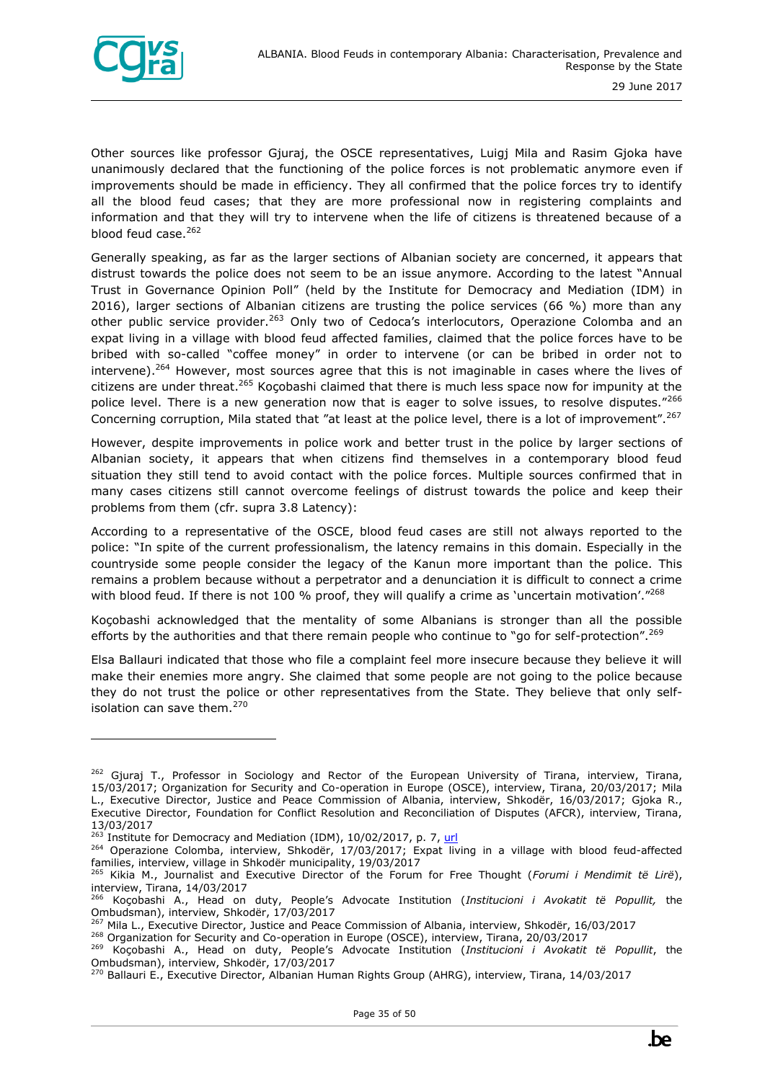

ł

Other sources like professor Gjuraj, the OSCE representatives, Luigj Mila and Rasim Gjoka have unanimously declared that the functioning of the police forces is not problematic anymore even if improvements should be made in efficiency. They all confirmed that the police forces try to identify all the blood feud cases; that they are more professional now in registering complaints and information and that they will try to intervene when the life of citizens is threatened because of a blood feud case.<sup>262</sup>

Generally speaking, as far as the larger sections of Albanian society are concerned, it appears that distrust towards the police does not seem to be an issue anymore. According to the latest "Annual Trust in Governance Opinion Poll" (held by the Institute for Democracy and Mediation (IDM) in 2016), larger sections of Albanian citizens are trusting the police services (66 %) more than any other public service provider.<sup>263</sup> Only two of Cedoca's interlocutors, Operazione Colomba and an expat living in a village with blood feud affected families, claimed that the police forces have to be bribed with so-called "coffee money" in order to intervene (or can be bribed in order not to intervene).<sup>264</sup> However, most sources agree that this is not imaginable in cases where the lives of citizens are under threat.<sup>265</sup> Koçobashi claimed that there is much less space now for impunity at the police level. There is a new generation now that is eager to solve issues, to resolve disputes."266 Concerning corruption, Mila stated that "at least at the police level, there is a lot of improvement".<sup>267</sup>

However, despite improvements in police work and better trust in the police by larger sections of Albanian society, it appears that when citizens find themselves in a contemporary blood feud situation they still tend to avoid contact with the police forces. Multiple sources confirmed that in many cases citizens still cannot overcome feelings of distrust towards the police and keep their problems from them (cfr. supra 3.8 Latency):

According to a representative of the OSCE, blood feud cases are still not always reported to the police: "In spite of the current professionalism, the latency remains in this domain. Especially in the countryside some people consider the legacy of the Kanun more important than the police. This remains a problem because without a perpetrator and a denunciation it is difficult to connect a crime with blood feud. If there is not 100 % proof, they will qualify a crime as `uncertain motivation'."<sup>268</sup>

Koçobashi acknowledged that the mentality of some Albanians is stronger than all the possible efforts by the authorities and that there remain people who continue to "go for self-protection".<sup>269</sup>

Elsa Ballauri indicated that those who file a complaint feel more insecure because they believe it will make their enemies more angry. She claimed that some people are not going to the police because they do not trust the police or other representatives from the State. They believe that only selfisolation can save them.<sup>270</sup>

 $262$  Giuraj T., Professor in Sociology and Rector of the European University of Tirana, interview, Tirana, 15/03/2017; Organization for Security and Co-operation in Europe (OSCE), interview, Tirana, 20/03/2017; Mila L., Executive Director, Justice and Peace Commission of Albania, interview, Shkodër, 16/03/2017; Gjoka R., Executive Director, Foundation for Conflict Resolution and Reconciliation of Disputes (AFCR), interview, Tirana, 13/03/2017

 $263$  Institute for Democracy and Mediation (IDM), 10/02/2017, p. 7, [url](http://www.al.undp.org/content/albania/en/home/library/democratic_governance/opinion-poll--trust-in-governance-2016--.html)

<sup>&</sup>lt;sup>264</sup> Operazione Colomba, interview, Shkodër, 17/03/2017; Expat living in a village with blood feud-affected families, interview, village in Shkodër municipality, 19/03/2017

<sup>265</sup> Kikia M., Journalist and Executive Director of the Forum for Free Thought (*Forumi i Mendimit të Lirë*), interview, Tirana, 14/03/2017

<sup>266</sup> Koçobashi A., Head on duty, People's Advocate Institution (*Institucioni i Avokatit të Popullit,* the Ombudsman), interview, Shkodër, 17/03/2017

<sup>&</sup>lt;sup>267</sup> Mila L., Executive Director, Justice and Peace Commission of Albania, interview, Shkodër, 16/03/2017

<sup>&</sup>lt;sup>268</sup> Organization for Security and Co-operation in Europe (OSCE), interview, Tirana, 20/03/2017

<sup>269</sup> Koçobashi A., Head on duty, People's Advocate Institution (*Institucioni i Avokatit të Popullit*, the Ombudsman), interview, Shkodër, 17/03/2017

<sup>&</sup>lt;sup>270</sup> Ballauri E., Executive Director, Albanian Human Rights Group (AHRG), interview, Tirana, 14/03/2017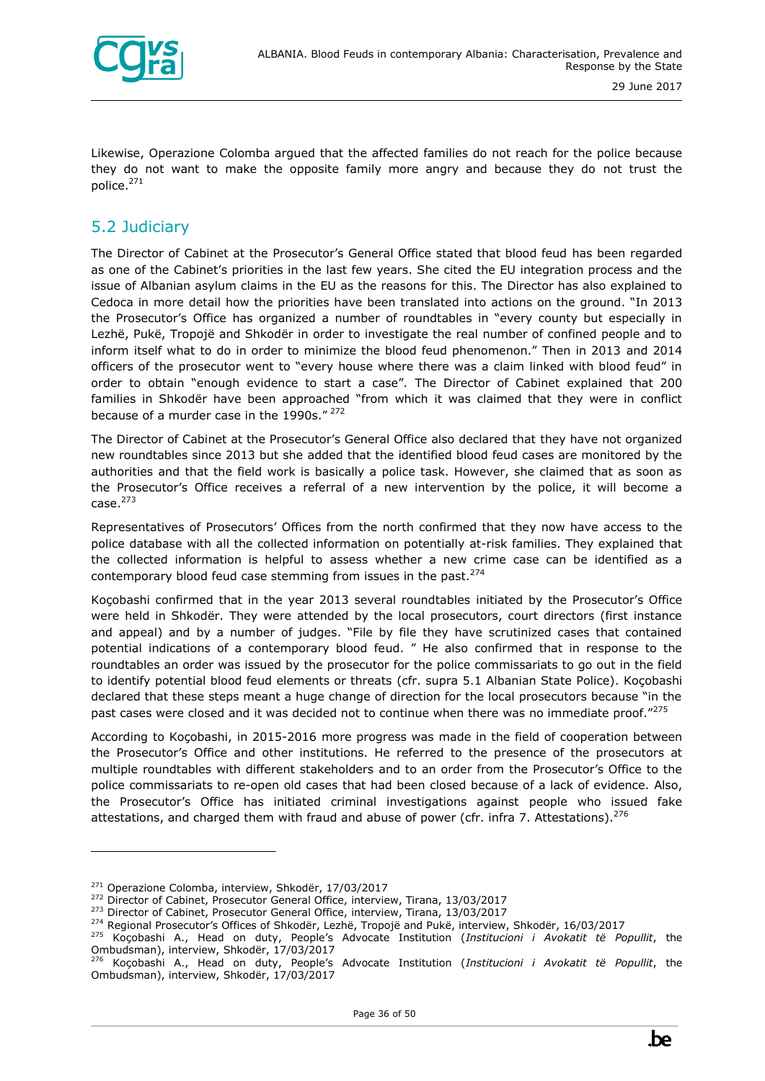

Likewise, Operazione Colomba argued that the affected families do not reach for the police because they do not want to make the opposite family more angry and because they do not trust the police.<sup>271</sup>

#### <span id="page-35-0"></span>5.2 Judiciary

The Director of Cabinet at the Prosecutor's General Office stated that blood feud has been regarded as one of the Cabinet's priorities in the last few years. She cited the EU integration process and the issue of Albanian asylum claims in the EU as the reasons for this. The Director has also explained to Cedoca in more detail how the priorities have been translated into actions on the ground. "In 2013 the Prosecutor's Office has organized a number of roundtables in "every county but especially in Lezhë, Pukë, Tropojë and Shkodër in order to investigate the real number of confined people and to inform itself what to do in order to minimize the blood feud phenomenon." Then in 2013 and 2014 officers of the prosecutor went to "every house where there was a claim linked with blood feud" in order to obtain "enough evidence to start a case". The Director of Cabinet explained that 200 families in Shkodër have been approached "from which it was claimed that they were in conflict because of a murder case in the 1990s."<sup>272</sup>

The Director of Cabinet at the Prosecutor's General Office also declared that they have not organized new roundtables since 2013 but she added that the identified blood feud cases are monitored by the authorities and that the field work is basically a police task. However, she claimed that as soon as the Prosecutor's Office receives a referral of a new intervention by the police, it will become a  $case.<sup>273</sup>$ 

Representatives of Prosecutors' Offices from the north confirmed that they now have access to the police database with all the collected information on potentially at-risk families. They explained that the collected information is helpful to assess whether a new crime case can be identified as a contemporary blood feud case stemming from issues in the past.<sup>274</sup>

Koçobashi confirmed that in the year 2013 several roundtables initiated by the Prosecutor's Office were held in Shkodër. They were attended by the local prosecutors, court directors (first instance and appeal) and by a number of judges. "File by file they have scrutinized cases that contained potential indications of a contemporary blood feud. " He also confirmed that in response to the roundtables an order was issued by the prosecutor for the police commissariats to go out in the field to identify potential blood feud elements or threats (cfr. supra 5.1 Albanian State Police). Koçobashi declared that these steps meant a huge change of direction for the local prosecutors because "in the past cases were closed and it was decided not to continue when there was no immediate proof."275

According to Koçobashi, in 2015-2016 more progress was made in the field of cooperation between the Prosecutor's Office and other institutions. He referred to the presence of the prosecutors at multiple roundtables with different stakeholders and to an order from the Prosecutor's Office to the police commissariats to re-open old cases that had been closed because of a lack of evidence. Also, the Prosecutor's Office has initiated criminal investigations against people who issued fake attestations, and charged them with fraud and abuse of power (cfr. infra 7. Attestations).<sup>276</sup>

<sup>&</sup>lt;sup>271</sup> Operazione Colomba, interview, Shkodër, 17/03/2017

<sup>&</sup>lt;sup>272</sup> Director of Cabinet, Prosecutor General Office, interview, Tirana, 13/03/2017

<sup>273</sup> Director of Cabinet, Prosecutor General Office, interview, Tirana, 13/03/2017

<sup>&</sup>lt;sup>274</sup> Regional Prosecutor's Offices of Shkodër, Lezhë, Tropojë and Pukë, interview, Shkodër, 16/03/2017

<sup>275</sup> Koçobashi A., Head on duty, People's Advocate Institution (*Institucioni i Avokatit të Popullit*, the Ombudsman), interview, Shkodër, 17/03/2017

<sup>276</sup> Koçobashi A., Head on duty, People's Advocate Institution (*Institucioni i Avokatit të Popullit*, the Ombudsman), interview, Shkodër, 17/03/2017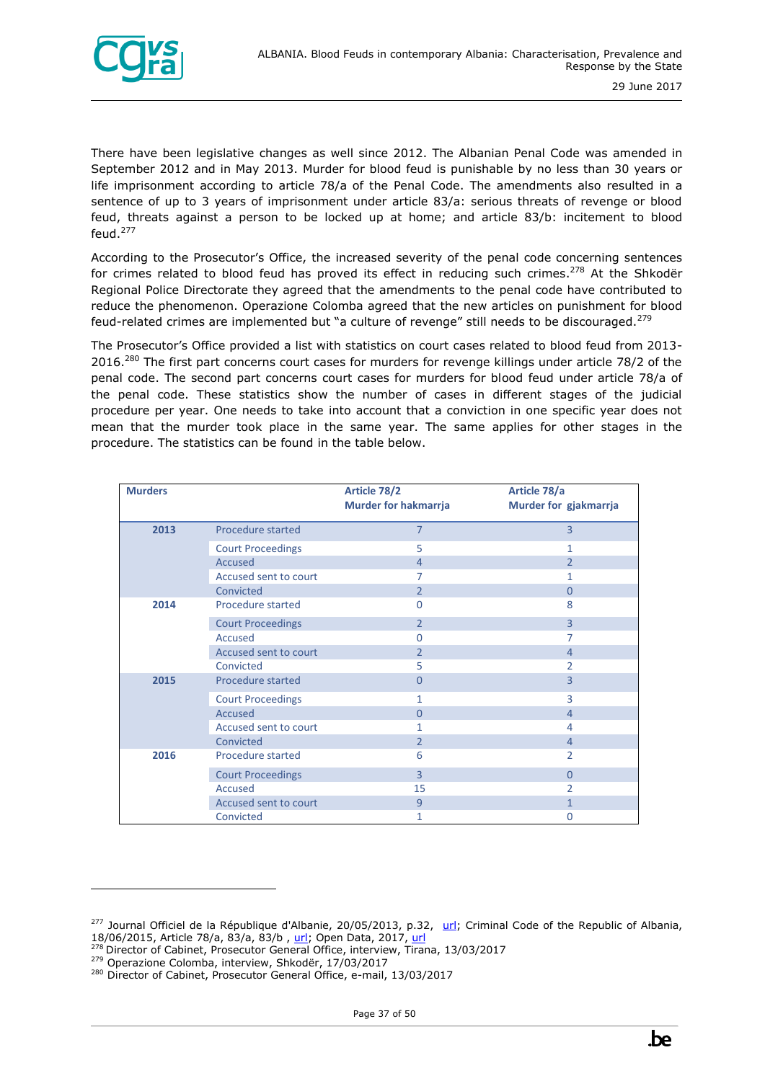

There have been legislative changes as well since 2012. The Albanian Penal Code was amended in September 2012 and in May 2013. Murder for blood feud is punishable by no less than 30 years or life imprisonment according to article 78/a of the Penal Code. The amendments also resulted in a sentence of up to 3 years of imprisonment under article 83/a: serious threats of revenge or blood feud, threats against a person to be locked up at home; and article 83/b: incitement to blood feud.<sup>277</sup>

According to the Prosecutor's Office, the increased severity of the penal code concerning sentences for crimes related to blood feud has proved its effect in reducing such crimes.<sup>278</sup> At the Shkodër Regional Police Directorate they agreed that the amendments to the penal code have contributed to reduce the phenomenon. Operazione Colomba agreed that the new articles on punishment for blood feud-related crimes are implemented but "a culture of revenge" still needs to be discouraged.<sup>279</sup>

The Prosecutor's Office provided a list with statistics on court cases related to blood feud from 2013- 2016.<sup>280</sup> The first part concerns court cases for murders for revenge killings under article 78/2 of the penal code. The second part concerns court cases for murders for blood feud under article 78/a of the penal code. These statistics show the number of cases in different stages of the judicial procedure per year. One needs to take into account that a conviction in one specific year does not mean that the murder took place in the same year. The same applies for other stages in the procedure. The statistics can be found in the table below.

| <b>Murders</b> |                          | Article 78/2                | Article 78/a          |  |
|----------------|--------------------------|-----------------------------|-----------------------|--|
|                |                          | <b>Murder for hakmarrja</b> | Murder for gjakmarrja |  |
| 2013           | Procedure started        | $\overline{7}$              | $\overline{3}$        |  |
|                | <b>Court Proceedings</b> | 5                           | 1.                    |  |
|                | <b>Accused</b>           | $\overline{4}$              | $\overline{2}$        |  |
|                | Accused sent to court    | 7                           | 1                     |  |
|                | Convicted                | $\overline{2}$              | 0                     |  |
| 2014           | Procedure started        | $\Omega$                    | 8                     |  |
|                | <b>Court Proceedings</b> | $\overline{2}$              | $\overline{3}$        |  |
|                | Accused                  | $\Omega$                    | 7                     |  |
|                | Accused sent to court    | $\mathcal{P}$               | $\overline{4}$        |  |
|                | Convicted                | 5                           | $\overline{2}$        |  |
| 2015           | Procedure started        | $\Omega$                    | 3                     |  |
|                | <b>Court Proceedings</b> | 1                           | 3                     |  |
|                | <b>Accused</b>           | $\Omega$                    | $\overline{4}$        |  |
|                | Accused sent to court    | 1.                          | 4                     |  |
|                | Convicted                | $\overline{2}$              | 4                     |  |
| 2016           | Procedure started        | 6                           | 2                     |  |
|                | <b>Court Proceedings</b> | $\overline{3}$              | $\Omega$              |  |
|                | Accused                  | 15                          | 2                     |  |
|                | Accused sent to court    | 9                           | 1                     |  |
|                | Convicted                | 1                           | 0                     |  |

<sup>&</sup>lt;sup>277</sup> Journal Officiel de la République d'Albanie, 20/05/2013, p.32, [url;](http://www.qbz.gov.al/botime/fletore_zyrtare/2013/PDF-2013/83-2013.pdf) Criminal Code of the Republic of Albania, 18/06/2015, Article 78/a, 83/a, 83/b [, url;](http://rai-see.org/wp-content/uploads/2015/08/Criminal-Code-11-06-2015-EN.pdf) Open Data, 2017, [url](http://open.data.al/en/lajme/lajm/id/1918/titull/Criminal-proceedings-against-murder-threats-and-incitement-of-revenge-and-blood-feud-during-2005-2015)

<sup>&</sup>lt;sup>278</sup> Director of Cabinet, Prosecutor General Office, interview, Tirana, 13/03/2017

<sup>279</sup> Operazione Colomba, interview, Shkodër, 17/03/2017

<sup>&</sup>lt;sup>280</sup> Director of Cabinet, Prosecutor General Office, e-mail, 13/03/2017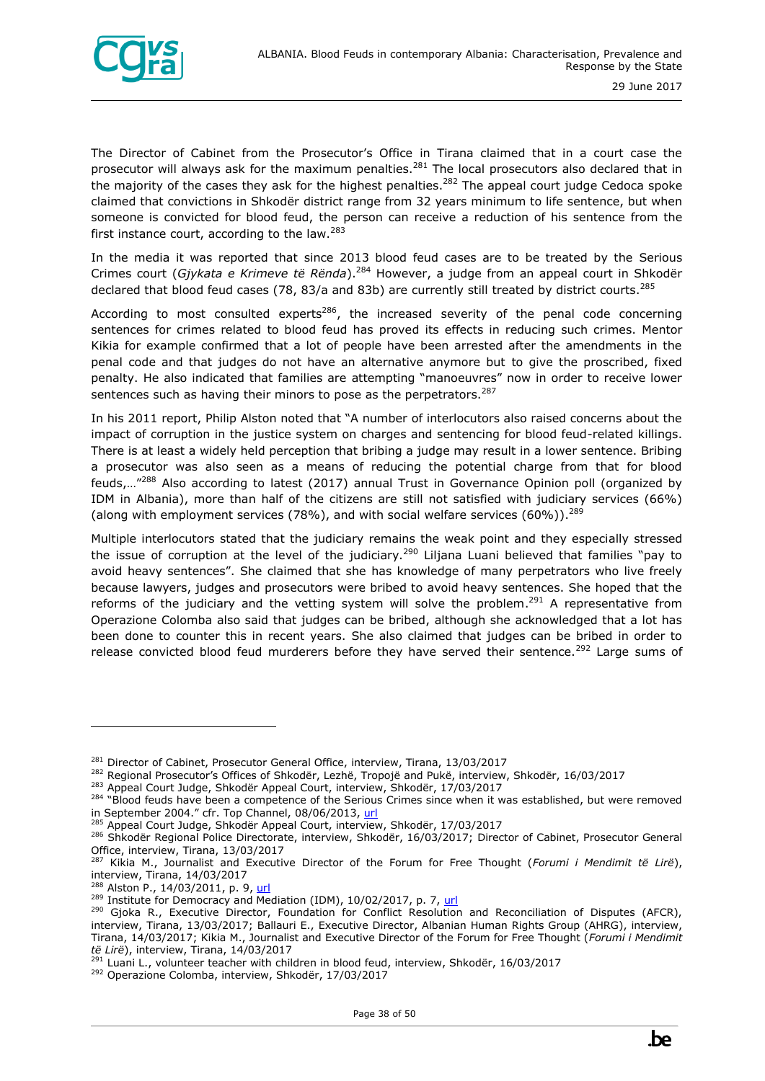

The Director of Cabinet from the Prosecutor's Office in Tirana claimed that in a court case the prosecutor will always ask for the maximum penalties.<sup>281</sup> The local prosecutors also declared that in the majority of the cases they ask for the highest penalties.<sup>282</sup> The appeal court judge Cedoca spoke claimed that convictions in Shkodër district range from 32 years minimum to life sentence, but when someone is convicted for blood feud, the person can receive a reduction of his sentence from the first instance court, according to the law.<sup>283</sup>

In the media it was reported that since 2013 blood feud cases are to be treated by the Serious Crimes court (*Gjykata e Krimeve të Rënda*).<sup>284</sup> However, a judge from an appeal court in Shkodër declared that blood feud cases (78, 83/a and 83b) are currently still treated by district courts.<sup>285</sup>

According to most consulted experts<sup>286</sup>, the increased severity of the penal code concerning sentences for crimes related to blood feud has proved its effects in reducing such crimes. Mentor Kikia for example confirmed that a lot of people have been arrested after the amendments in the penal code and that judges do not have an alternative anymore but to give the proscribed, fixed penalty. He also indicated that families are attempting "manoeuvres" now in order to receive lower sentences such as having their minors to pose as the perpetrators.<sup>287</sup>

In his 2011 report, Philip Alston noted that "A number of interlocutors also raised concerns about the impact of corruption in the justice system on charges and sentencing for blood feud-related killings. There is at least a widely held perception that bribing a judge may result in a lower sentence. Bribing a prosecutor was also seen as a means of reducing the potential charge from that for blood feuds,…"<sup>288</sup> Also according to latest (2017) annual Trust in Governance Opinion poll (organized by IDM in Albania), more than half of the citizens are still not satisfied with judiciary services (66%) (along with employment services (78%), and with social welfare services (60%)).<sup>289</sup>

Multiple interlocutors stated that the judiciary remains the weak point and they especially stressed the issue of corruption at the level of the judiciary.<sup>290</sup> Liljana Luani believed that families "pay to avoid heavy sentences". She claimed that she has knowledge of many perpetrators who live freely because lawyers, judges and prosecutors were bribed to avoid heavy sentences. She hoped that the reforms of the judiciary and the vetting system will solve the problem.<sup>291</sup> A representative from Operazione Colomba also said that judges can be bribed, although she acknowledged that a lot has been done to counter this in recent years. She also claimed that judges can be bribed in order to release convicted blood feud murderers before they have served their sentence.<sup>292</sup> Large sums of



<sup>&</sup>lt;sup>281</sup> Director of Cabinet, Prosecutor General Office, interview, Tirana, 13/03/2017

<sup>&</sup>lt;sup>282</sup> Regional Prosecutor's Offices of Shkodër, Lezhë, Tropojë and Pukë, interview, Shkodër, 16/03/2017

<sup>&</sup>lt;sup>283</sup> Appeal Court Judge, Shkodër Appeal Court, interview, Shkodër, 17/03/2017

<sup>&</sup>lt;sup>284</sup> "Blood feuds have been a competence of the Serious Crimes since when it was established, but were removed in September 2004." cfr. Top Channel, 08/06/2013, url

<sup>285</sup> Appeal Court Judge, Shkodër Appeal Court, interview, Shkodër, 17/03/2017

<sup>&</sup>lt;sup>286</sup> Shkodër Regional Police Directorate, interview, Shkodër, 16/03/2017; Director of Cabinet, Prosecutor General Office, interview, Tirana, 13/03/2017

<sup>287</sup> Kikia M., Journalist and Executive Director of the Forum for Free Thought (*Forumi i Mendimit të Lirë*), interview, Tirana, 14/03/2017

<sup>&</sup>lt;sup>288</sup> Alston P., 14/03/2011, p. 9[, url](http://reliefweb.int/report/albania/report-special-rapporteur-extrajudicial-summary-or-arbitrary-executions-philip-alston)

<sup>&</sup>lt;sup>289</sup> Institute for Democracy and Mediation (IDM), 10/02/2017, p. 7, [url](http://www.al.undp.org/content/albania/en/home/library/democratic_governance/opinion-poll--trust-in-governance-2016--.html)

<sup>&</sup>lt;sup>290</sup> Gjoka R., Executive Director, Foundation for Conflict Resolution and Reconciliation of Disputes (AFCR), interview, Tirana, 13/03/2017; Ballauri E., Executive Director, Albanian Human Rights Group (AHRG), interview, Tirana, 14/03/2017; Kikia M., Journalist and Executive Director of the Forum for Free Thought (*Forumi i Mendimit të Lirë*), interview, Tirana, 14/03/2017

<sup>&</sup>lt;sup>291</sup> Luani L., volunteer teacher with children in blood feud, interview, Shkodër, 16/03/2017

<sup>292</sup> Operazione Colomba, interview, Shkodër, 17/03/2017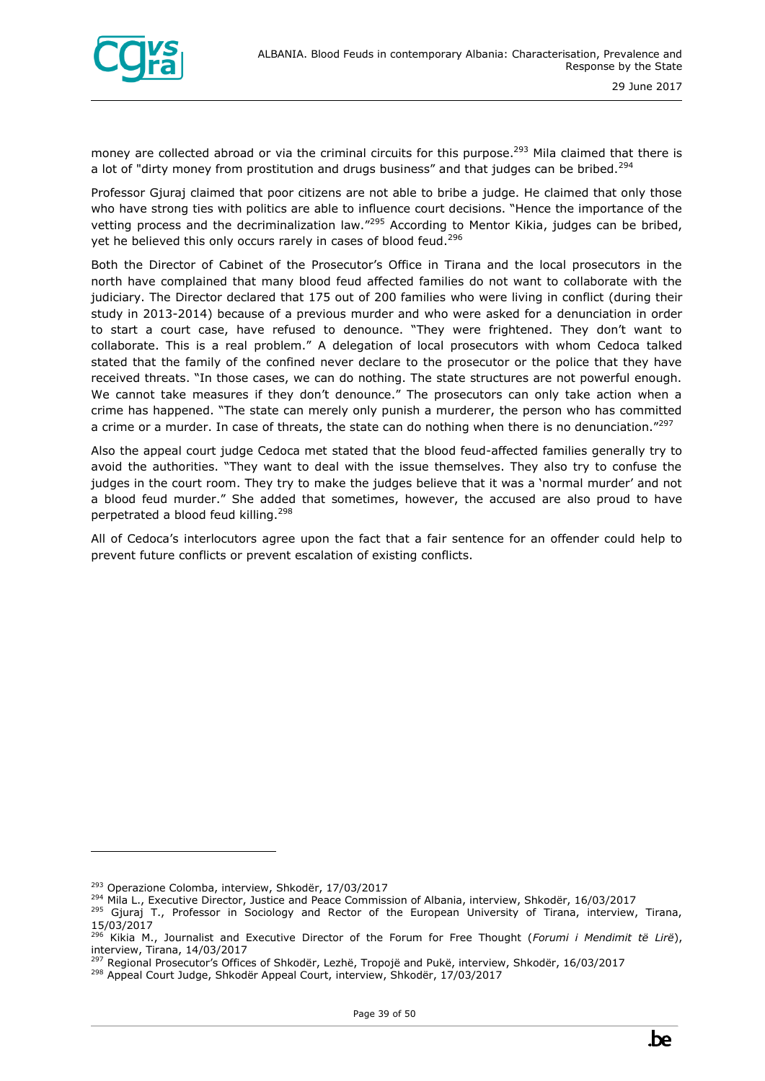

money are collected abroad or via the criminal circuits for this purpose.<sup>293</sup> Mila claimed that there is a lot of "dirty money from prostitution and drugs business" and that judges can be bribed.<sup>294</sup>

Professor Gjuraj claimed that poor citizens are not able to bribe a judge. He claimed that only those who have strong ties with politics are able to influence court decisions. "Hence the importance of the vetting process and the decriminalization law."<sup>295</sup> According to Mentor Kikia, judges can be bribed, yet he believed this only occurs rarely in cases of blood feud.<sup>296</sup>

Both the Director of Cabinet of the Prosecutor's Office in Tirana and the local prosecutors in the north have complained that many blood feud affected families do not want to collaborate with the judiciary. The Director declared that 175 out of 200 families who were living in conflict (during their study in 2013-2014) because of a previous murder and who were asked for a denunciation in order to start a court case, have refused to denounce. "They were frightened. They don't want to collaborate. This is a real problem." A delegation of local prosecutors with whom Cedoca talked stated that the family of the confined never declare to the prosecutor or the police that they have received threats. "In those cases, we can do nothing. The state structures are not powerful enough. We cannot take measures if they don't denounce." The prosecutors can only take action when a crime has happened. "The state can merely only punish a murderer, the person who has committed a crime or a murder. In case of threats, the state can do nothing when there is no denunciation."<sup>297</sup>

Also the appeal court judge Cedoca met stated that the blood feud-affected families generally try to avoid the authorities. "They want to deal with the issue themselves. They also try to confuse the judges in the court room. They try to make the judges believe that it was a 'normal murder' and not a blood feud murder." She added that sometimes, however, the accused are also proud to have perpetrated a blood feud killing.<sup>298</sup>

All of Cedoca's interlocutors agree upon the fact that a fair sentence for an offender could help to prevent future conflicts or prevent escalation of existing conflicts.

<sup>&</sup>lt;sup>293</sup> Operazione Colomba, interview, Shkodër, 17/03/2017

<sup>&</sup>lt;sup>294</sup> Mila L., Executive Director, Justice and Peace Commission of Albania, interview, Shkodër, 16/03/2017

<sup>&</sup>lt;sup>295</sup> Gjuraj T., Professor in Sociology and Rector of the European University of Tirana, interview, Tirana, 15/03/2017

<sup>296</sup> Kikia M., Journalist and Executive Director of the Forum for Free Thought (*Forumi i Mendimit të Lirë*), interview, Tirana, 14/03/2017

<sup>&</sup>lt;sup>297</sup> Regional Prosecutor's Offices of Shkodër, Lezhë, Tropojë and Pukë, interview, Shkodër, 16/03/2017

<sup>298</sup> Appeal Court Judge, Shkodër Appeal Court, interview, Shkodër, 17/03/2017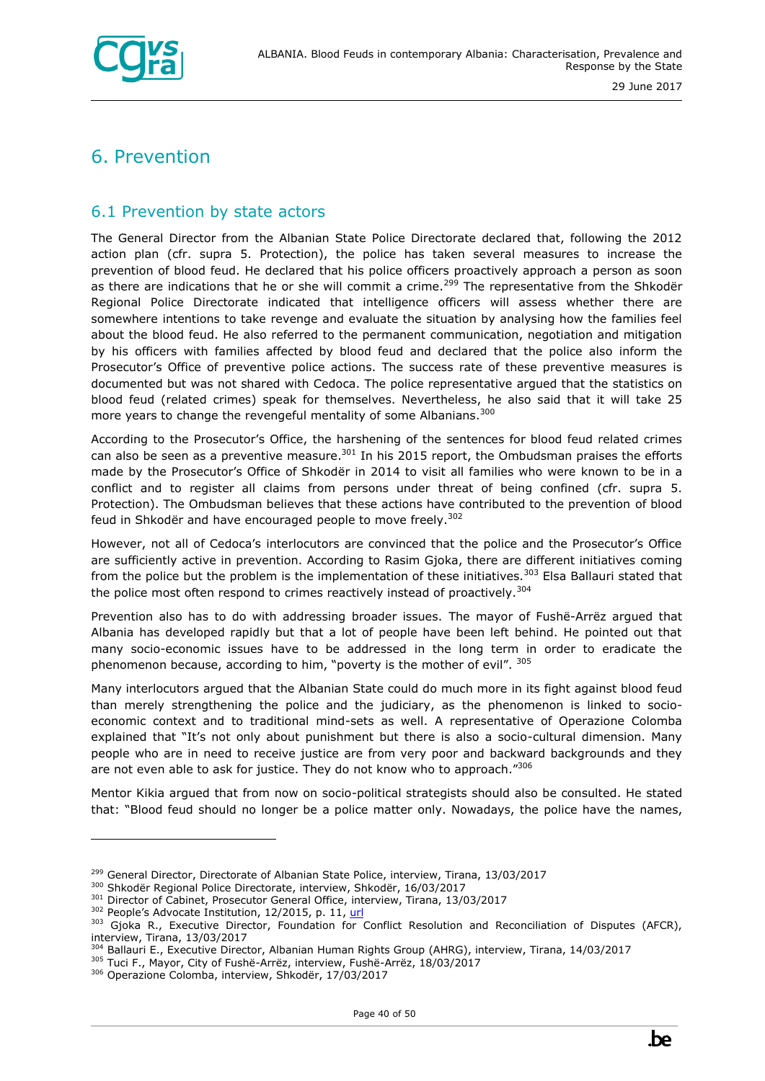

## <span id="page-39-0"></span>6. Prevention

#### <span id="page-39-1"></span>6.1 Prevention by state actors

The General Director from the Albanian State Police Directorate declared that, following the 2012 action plan (cfr. supra 5. Protection), the police has taken several measures to increase the prevention of blood feud. He declared that his police officers proactively approach a person as soon as there are indications that he or she will commit a crime.<sup>299</sup> The representative from the Shkodër Regional Police Directorate indicated that intelligence officers will assess whether there are somewhere intentions to take revenge and evaluate the situation by analysing how the families feel about the blood feud. He also referred to the permanent communication, negotiation and mitigation by his officers with families affected by blood feud and declared that the police also inform the Prosecutor's Office of preventive police actions. The success rate of these preventive measures is documented but was not shared with Cedoca. The police representative argued that the statistics on blood feud (related crimes) speak for themselves. Nevertheless, he also said that it will take 25 more years to change the revengeful mentality of some Albanians.<sup>300</sup>

According to the Prosecutor's Office, the harshening of the sentences for blood feud related crimes can also be seen as a preventive measure. $301$  In his 2015 report, the Ombudsman praises the efforts made by the Prosecutor's Office of Shkodër in 2014 to visit all families who were known to be in a conflict and to register all claims from persons under threat of being confined (cfr. supra 5. Protection). The Ombudsman believes that these actions have contributed to the prevention of blood feud in Shkodër and have encouraged people to move freely.<sup>302</sup>

However, not all of Cedoca's interlocutors are convinced that the police and the Prosecutor's Office are sufficiently active in prevention. According to Rasim Gjoka, there are different initiatives coming from the police but the problem is the implementation of these initiatives.<sup>303</sup> Elsa Ballauri stated that the police most often respond to crimes reactively instead of proactively.<sup>304</sup>

Prevention also has to do with addressing broader issues. The mayor of Fushë-Arrëz argued that Albania has developed rapidly but that a lot of people have been left behind. He pointed out that many socio-economic issues have to be addressed in the long term in order to eradicate the phenomenon because, according to him, "poverty is the mother of evil". 305

Many interlocutors argued that the Albanian State could do much more in its fight against blood feud than merely strengthening the police and the judiciary, as the phenomenon is linked to socioeconomic context and to traditional mind-sets as well. A representative of Operazione Colomba explained that "It's not only about punishment but there is also a socio-cultural dimension. Many people who are in need to receive justice are from very poor and backward backgrounds and they are not even able to ask for justice. They do not know who to approach."306

Mentor Kikia argued that from now on socio-political strategists should also be consulted. He stated that: "Blood feud should no longer be a police matter only. Nowadays, the police have the names,

- <sup>301</sup> Director of Cabinet, Prosecutor General Office, interview, Tirana, 13/03/2017
- 302 People's Advocate Institution, 12/2015, p. 11, [url](http://www.avokatipopullit.gov.al/sq/raporte-t%C3%AB-ve%C3%A7anta)

<sup>&</sup>lt;sup>299</sup> General Director, Directorate of Albanian State Police, interview, Tirana, 13/03/2017

<sup>300</sup> Shkodër Regional Police Directorate, interview, Shkodër, 16/03/2017

<sup>303</sup> Gjoka R., Executive Director, Foundation for Conflict Resolution and Reconciliation of Disputes (AFCR), interview, Tirana, 13/03/2017

<sup>&</sup>lt;sup>4</sup> Ballauri E., Executive Director, Albanian Human Rights Group (AHRG), interview, Tirana, 14/03/2017

<sup>305</sup> Tuci F., Mayor, City of Fushë-Arrëz, interview, Fushë-Arrëz, 18/03/2017

<sup>306</sup> Operazione Colomba, interview, Shkodër, 17/03/2017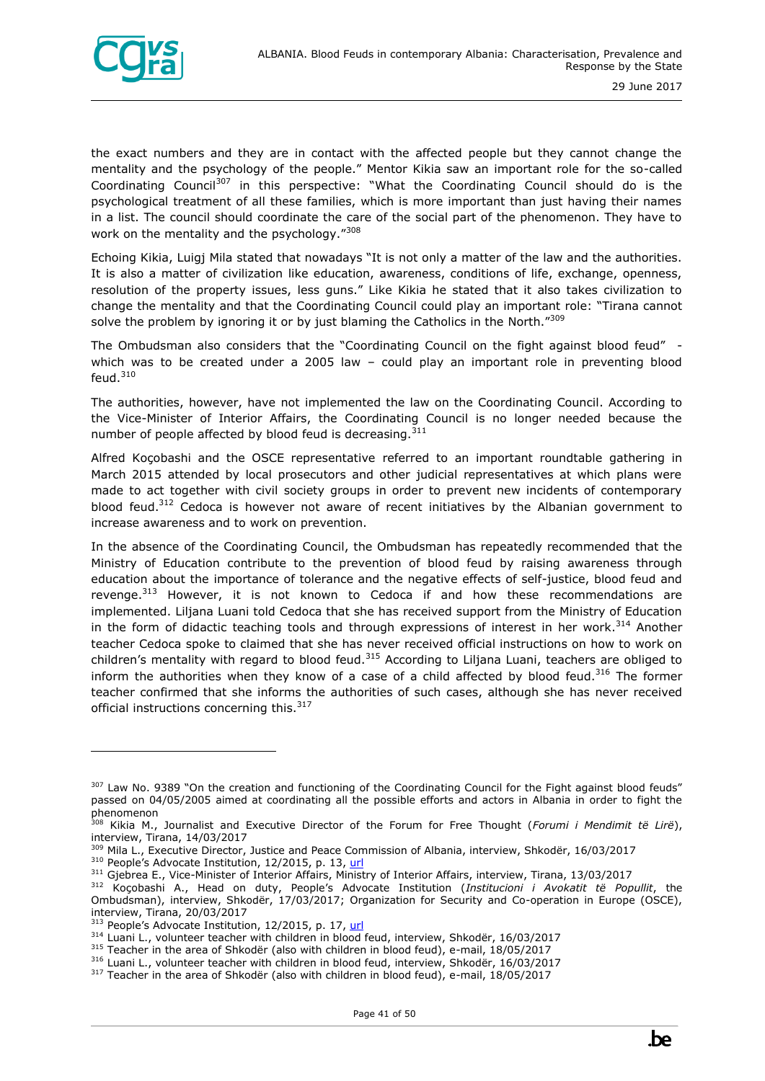

the exact numbers and they are in contact with the affected people but they cannot change the mentality and the psychology of the people." Mentor Kikia saw an important role for the so-called Coordinating Council<sup>307</sup> in this perspective: "What the Coordinating Council should do is the psychological treatment of all these families, which is more important than just having their names in a list. The council should coordinate the care of the social part of the phenomenon. They have to work on the mentality and the psychology."308

Echoing Kikia, Luigj Mila stated that nowadays "It is not only a matter of the law and the authorities. It is also a matter of civilization like education, awareness, conditions of life, exchange, openness, resolution of the property issues, less guns." Like Kikia he stated that it also takes civilization to change the mentality and that the Coordinating Council could play an important role: "Tirana cannot solve the problem by ignoring it or by just blaming the Catholics in the North. $^{7309}$ 

The Ombudsman also considers that the "Coordinating Council on the fight against blood feud" which was to be created under a 2005 law - could play an important role in preventing blood  $feud.<sup>310</sup>$ 

The authorities, however, have not implemented the law on the Coordinating Council. According to the Vice-Minister of Interior Affairs, the Coordinating Council is no longer needed because the number of people affected by blood feud is decreasing.  $311$ 

Alfred Koçobashi and the OSCE representative referred to an important roundtable gathering in March 2015 attended by local prosecutors and other judicial representatives at which plans were made to act together with civil society groups in order to prevent new incidents of contemporary blood feud.<sup>312</sup> Cedoca is however not aware of recent initiatives by the Albanian government to increase awareness and to work on prevention.

In the absence of the Coordinating Council, the Ombudsman has repeatedly recommended that the Ministry of Education contribute to the prevention of blood feud by raising awareness through education about the importance of tolerance and the negative effects of self-justice, blood feud and revenge.<sup>313</sup> However, it is not known to Cedoca if and how these recommendations are implemented. Liljana Luani told Cedoca that she has received support from the Ministry of Education in the form of didactic teaching tools and through expressions of interest in her work.<sup>314</sup> Another teacher Cedoca spoke to claimed that she has never received official instructions on how to work on children's mentality with regard to blood feud.<sup>315</sup> According to Liljana Luani, teachers are obliged to inform the authorities when they know of a case of a child affected by blood feud.<sup>316</sup> The former teacher confirmed that she informs the authorities of such cases, although she has never received official instructions concerning this.<sup>317</sup>

<sup>&</sup>lt;sup>307</sup> Law No. 9389 "On the creation and functioning of the Coordinating Council for the Fight against blood feuds" passed on 04/05/2005 aimed at coordinating all the possible efforts and actors in Albania in order to fight the phenomenon

<sup>308</sup> Kikia M., Journalist and Executive Director of the Forum for Free Thought (*Forumi i Mendimit të Lirë*), interview, Tirana, 14/03/2017

<sup>&</sup>lt;sup>309</sup> Mila L., Executive Director, Justice and Peace Commission of Albania, interview, Shkodër, 16/03/2017 <sup>310</sup> People's Advocate Institution, 12/2015, p. 13, [url](http://www.avokatipopullit.gov.al/sq/raporte-t%C3%AB-ve%C3%A7anta)

<sup>&</sup>lt;sup>311</sup> Gjebrea E., Vice-Minister of Interior Affairs, Ministry of Interior Affairs, interview, Tirana, 13/03/2017

<sup>312</sup> Koçobashi A., Head on duty, People's Advocate Institution (*Institucioni i Avokatit të Popullit*, the Ombudsman), interview, Shkodër, 17/03/2017; Organization for Security and Co-operation in Europe (OSCE), interview, Tirana, 20/03/2017

<sup>&</sup>lt;sup>313</sup> People's Advocate Institution, 12/2015, p. 17, [url](http://www.avokatipopullit.gov.al/sq/raporte-t%C3%AB-ve%C3%A7anta)

<sup>&</sup>lt;sup>314</sup> Luani L., volunteer teacher with children in blood feud, interview, Shkodër, 16/03/2017

<sup>&</sup>lt;sup>315</sup> Teacher in the area of Shkodër (also with children in blood feud), e-mail, 18/05/2017

<sup>&</sup>lt;sup>316</sup> Luani L., volunteer teacher with children in blood feud, interview, Shkodër, 16/03/2017

<sup>&</sup>lt;sup>317</sup> Teacher in the area of Shkodër (also with children in blood feud), e-mail, 18/05/2017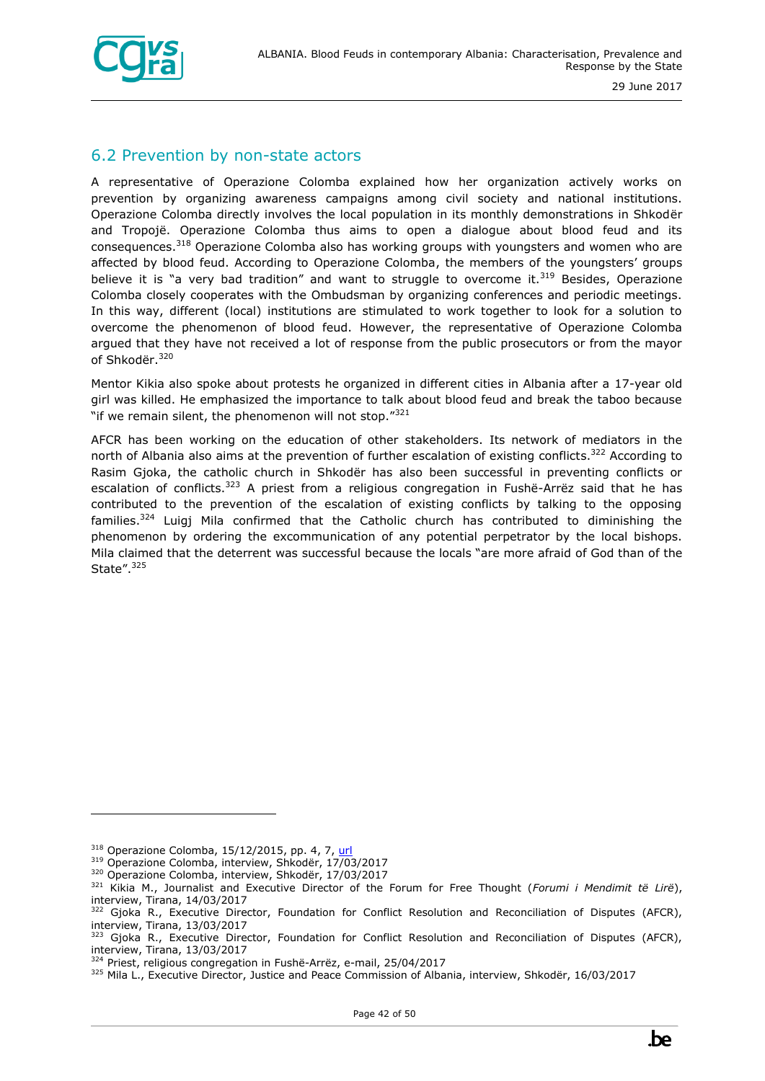

#### <span id="page-41-0"></span>6.2 Prevention by non-state actors

A representative of Operazione Colomba explained how her organization actively works on prevention by organizing awareness campaigns among civil society and national institutions. Operazione Colomba directly involves the local population in its monthly demonstrations in Shkodër and Tropojë. Operazione Colomba thus aims to open a dialogue about blood feud and its consequences.<sup>318</sup> Operazione Colomba also has working groups with youngsters and women who are affected by blood feud. According to Operazione Colomba, the members of the youngsters' groups believe it is "a very bad tradition" and want to struggle to overcome it. $319$  Besides, Operazione Colomba closely cooperates with the Ombudsman by organizing conferences and periodic meetings. In this way, different (local) institutions are stimulated to work together to look for a solution to overcome the phenomenon of blood feud. However, the representative of Operazione Colomba argued that they have not received a lot of response from the public prosecutors or from the mayor of Shkodër. <sup>320</sup>

Mentor Kikia also spoke about protests he organized in different cities in Albania after a 17-year old girl was killed. He emphasized the importance to talk about blood feud and break the taboo because "if we remain silent, the phenomenon will not stop. $"321"$ 

AFCR has been working on the education of other stakeholders. Its network of mediators in the north of Albania also aims at the prevention of further escalation of existing conflicts.<sup>322</sup> According to Rasim Gjoka, the catholic church in Shkodër has also been successful in preventing conflicts or escalation of conflicts.<sup>323</sup> A priest from a religious congregation in Fushë-Arrëz said that he has contributed to the prevention of the escalation of existing conflicts by talking to the opposing families.<sup>324</sup> Luigj Mila confirmed that the Catholic church has contributed to diminishing the phenomenon by ordering the excommunication of any potential perpetrator by the local bishops. Mila claimed that the deterrent was successful because the locals "are more afraid of God than of the State".<sup>325</sup>

 $318$  Operazione Colomba, 15/12/2015, pp. 4, 7, [url](http://www.operazionecolomba.it/docs/reportvendette_eng.pdf)

<sup>319</sup> Operazione Colomba, interview, Shkodër, 17/03/2017

<sup>320</sup> Operazione Colomba, interview, Shkodër, 17/03/2017

<sup>321</sup> Kikia M., Journalist and Executive Director of the Forum for Free Thought (*Forumi i Mendimit të Lirë*), interview, Tirana, 14/03/2017

<sup>&</sup>lt;sup>322</sup> Gjoka R., Executive Director, Foundation for Conflict Resolution and Reconciliation of Disputes (AFCR), interview, Tirana, 13/03/2017

<sup>&</sup>lt;sup>3</sup> Gjoka R., Executive Director, Foundation for Conflict Resolution and Reconciliation of Disputes (AFCR), interview, Tirana, 13/03/2017

<sup>&</sup>lt;sup>324</sup> Priest, religious congregation in Fushë-Arrëz, e-mail, 25/04/2017

<sup>325</sup> Mila L., Executive Director, Justice and Peace Commission of Albania, interview, Shkodër, 16/03/2017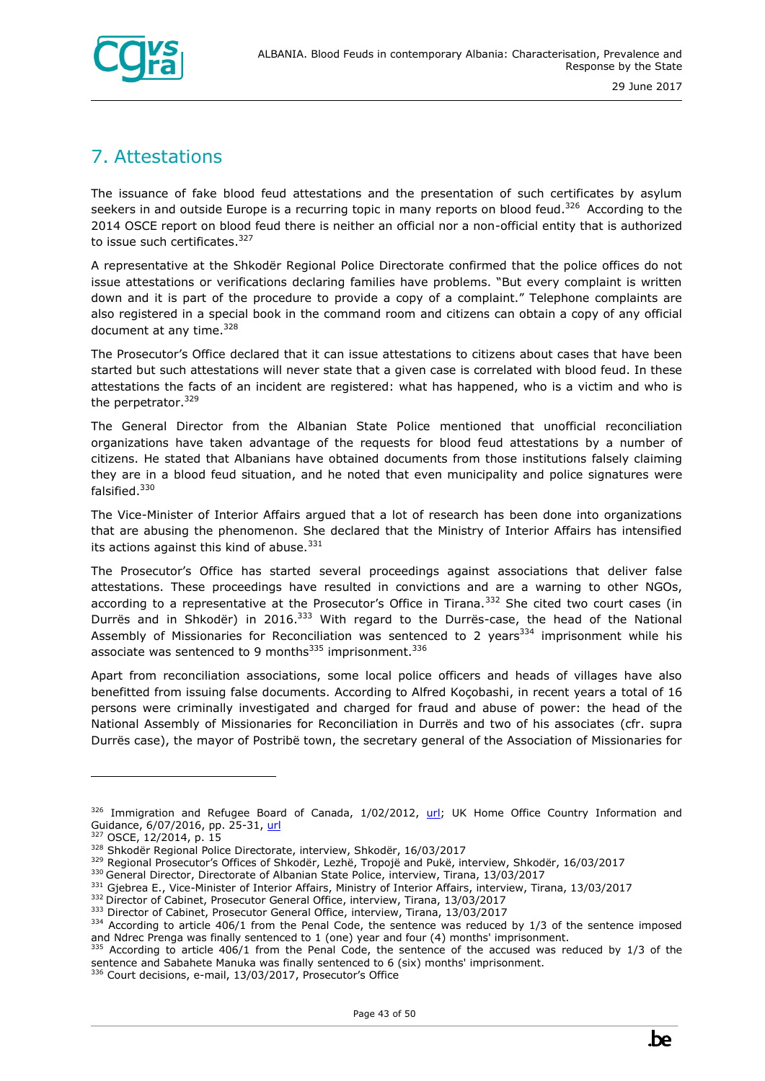

## <span id="page-42-0"></span>7. Attestations

The issuance of fake blood feud attestations and the presentation of such certificates by asylum seekers in and outside Europe is a recurring topic in many reports on blood feud.<sup>326</sup> According to the 2014 OSCE report on blood feud there is neither an official nor a non-official entity that is authorized to issue such certificates.<sup>327</sup>

A representative at the Shkodër Regional Police Directorate confirmed that the police offices do not issue attestations or verifications declaring families have problems. "But every complaint is written down and it is part of the procedure to provide a copy of a complaint." Telephone complaints are also registered in a special book in the command room and citizens can obtain a copy of any official document at any time.<sup>328</sup>

The Prosecutor's Office declared that it can issue attestations to citizens about cases that have been started but such attestations will never state that a given case is correlated with blood feud. In these attestations the facts of an incident are registered: what has happened, who is a victim and who is the perpetrator.<sup>329</sup>

The General Director from the Albanian State Police mentioned that unofficial reconciliation organizations have taken advantage of the requests for blood feud attestations by a number of citizens. He stated that Albanians have obtained documents from those institutions falsely claiming they are in a blood feud situation, and he noted that even municipality and police signatures were falsified.<sup>330</sup>

The Vice-Minister of Interior Affairs argued that a lot of research has been done into organizations that are abusing the phenomenon. She declared that the Ministry of Interior Affairs has intensified its actions against this kind of abuse. $331$ 

The Prosecutor's Office has started several proceedings against associations that deliver false attestations. These proceedings have resulted in convictions and are a warning to other NGOs, according to a representative at the Prosecutor's Office in Tirana.<sup>332</sup> She cited two court cases (in Durrës and in Shkodër) in 2016.<sup>333</sup> With regard to the Durrës-case, the head of the National Assembly of Missionaries for Reconciliation was sentenced to 2 years<sup>334</sup> imprisonment while his associate was sentenced to 9 months $335$  imprisonment.  $336$ 

Apart from reconciliation associations, some local police officers and heads of villages have also benefitted from issuing false documents. According to Alfred Koçobashi, in recent years a total of 16 persons were criminally investigated and charged for fraud and abuse of power: the head of the National Assembly of Missionaries for Reconciliation in Durrës and two of his associates (cfr. supra Durrës case), the mayor of Postribë town, the secretary general of the Association of Missionaries for



<sup>326</sup> Immigration and Refugee Board of Canada, 1/02/2012, [url;](http://www.refworld.org/docid/4f5f1ab32.html) UK Home Office Country Information and Guidance, 6/07/2016, pp. 25-31, [url](http://www.refworld.org/docid/578366a94.html)

<sup>327</sup> OSCE, 12/2014, p. 15

<sup>328</sup> Shkodër Regional Police Directorate, interview, Shkodër, 16/03/2017

<sup>&</sup>lt;sup>329</sup> Regional Prosecutor's Offices of Shkodër, Lezhë, Tropojë and Pukë, interview, Shkodër, 16/03/2017

<sup>&</sup>lt;sup>330</sup> General Director, Directorate of Albanian State Police, interview, Tirana, 13/03/2017

<sup>331</sup> Gjebrea E., Vice-Minister of Interior Affairs, Ministry of Interior Affairs, interview, Tirana, 13/03/2017

<sup>332</sup> Director of Cabinet, Prosecutor General Office, interview, Tirana, 13/03/2017

<sup>&</sup>lt;sup>333</sup> Director of Cabinet, Prosecutor General Office, interview, Tirana, 13/03/2017

<sup>334</sup> According to article 406/1 from the Penal Code, the sentence was reduced by 1/3 of the sentence imposed and Ndrec Prenga was finally sentenced to 1 (one) year and four (4) months' imprisonment.

<sup>335</sup> According to article 406/1 from the Penal Code, the sentence of the accused was reduced by 1/3 of the sentence and Sabahete Manuka was finally sentenced to 6 (six) months' imprisonment.

<sup>336</sup> Court decisions, e-mail, 13/03/2017, Prosecutor's Office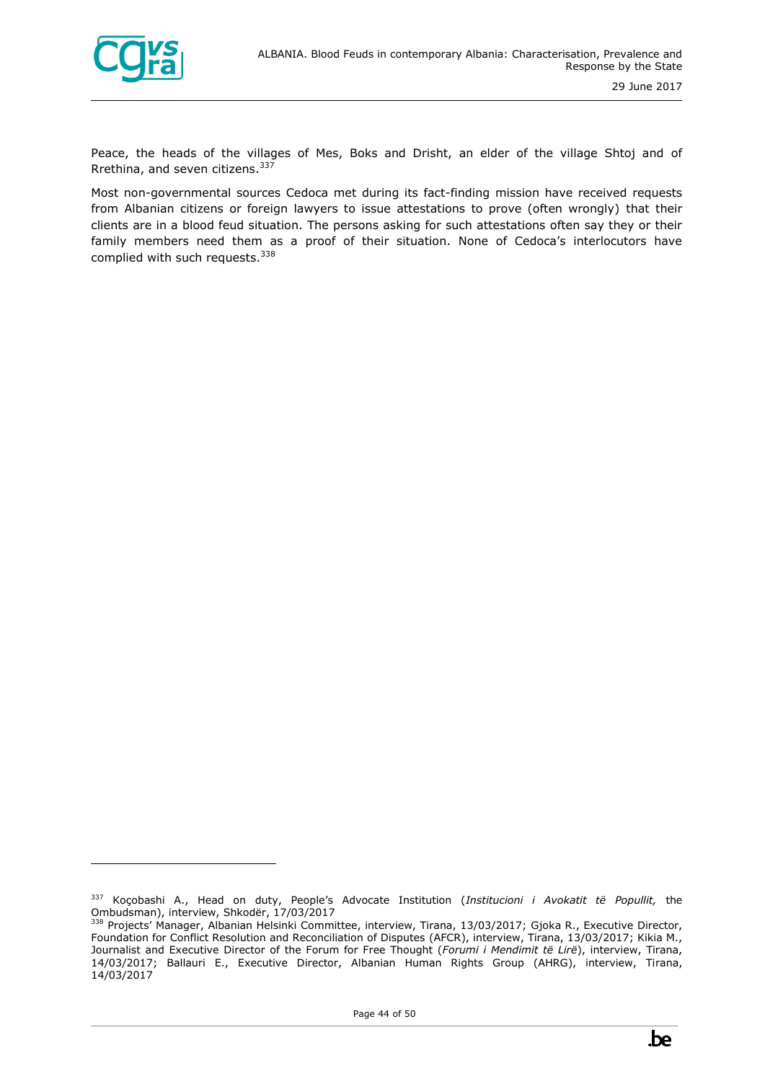

ł

Peace, the heads of the villages of Mes, Boks and Drisht, an elder of the village Shtoj and of Rrethina, and seven citizens.<sup>337</sup>

Most non-governmental sources Cedoca met during its fact-finding mission have received requests from Albanian citizens or foreign lawyers to issue attestations to prove (often wrongly) that their clients are in a blood feud situation. The persons asking for such attestations often say they or their family members need them as a proof of their situation. None of Cedoca's interlocutors have complied with such requests.<sup>338</sup>

<sup>337</sup> Koçobashi A., Head on duty, People's Advocate Institution (*Institucioni i Avokatit të Popullit,* the Ombudsman), interview, Shkodër, 17/03/2017

<sup>338</sup> Projects' Manager, Albanian Helsinki Committee, interview, Tirana, 13/03/2017; Gjoka R., Executive Director, Foundation for Conflict Resolution and Reconciliation of Disputes (AFCR), interview, Tirana, 13/03/2017; Kikia M., Journalist and Executive Director of the Forum for Free Thought (*Forumi i Mendimit të Lirë*), interview, Tirana, 14/03/2017; Ballauri E., Executive Director, Albanian Human Rights Group (AHRG), interview, Tirana, 14/03/2017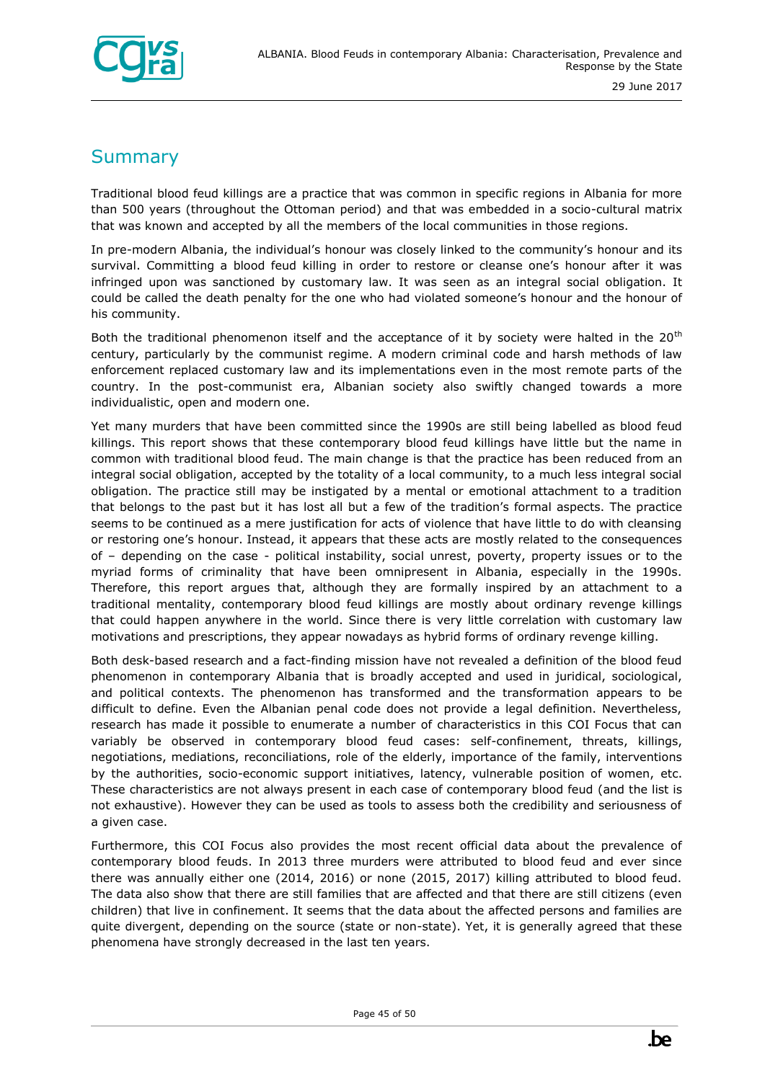

## <span id="page-44-0"></span>**Summary**

Traditional blood feud killings are a practice that was common in specific regions in Albania for more than 500 years (throughout the Ottoman period) and that was embedded in a socio-cultural matrix that was known and accepted by all the members of the local communities in those regions.

In pre-modern Albania, the individual's honour was closely linked to the community's honour and its survival. Committing a blood feud killing in order to restore or cleanse one's honour after it was infringed upon was sanctioned by customary law. It was seen as an integral social obligation. It could be called the death penalty for the one who had violated someone's honour and the honour of his community.

Both the traditional phenomenon itself and the acceptance of it by society were halted in the 20<sup>th</sup> century, particularly by the communist regime. A modern criminal code and harsh methods of law enforcement replaced customary law and its implementations even in the most remote parts of the country. In the post-communist era, Albanian society also swiftly changed towards a more individualistic, open and modern one.

Yet many murders that have been committed since the 1990s are still being labelled as blood feud killings. This report shows that these contemporary blood feud killings have little but the name in common with traditional blood feud. The main change is that the practice has been reduced from an integral social obligation, accepted by the totality of a local community, to a much less integral social obligation. The practice still may be instigated by a mental or emotional attachment to a tradition that belongs to the past but it has lost all but a few of the tradition's formal aspects. The practice seems to be continued as a mere justification for acts of violence that have little to do with cleansing or restoring one's honour. Instead, it appears that these acts are mostly related to the consequences of – depending on the case - political instability, social unrest, poverty, property issues or to the myriad forms of criminality that have been omnipresent in Albania, especially in the 1990s. Therefore, this report argues that, although they are formally inspired by an attachment to a traditional mentality, contemporary blood feud killings are mostly about ordinary revenge killings that could happen anywhere in the world. Since there is very little correlation with customary law motivations and prescriptions, they appear nowadays as hybrid forms of ordinary revenge killing.

Both desk-based research and a fact-finding mission have not revealed a definition of the blood feud phenomenon in contemporary Albania that is broadly accepted and used in juridical, sociological, and political contexts. The phenomenon has transformed and the transformation appears to be difficult to define. Even the Albanian penal code does not provide a legal definition. Nevertheless, research has made it possible to enumerate a number of characteristics in this COI Focus that can variably be observed in contemporary blood feud cases: self-confinement, threats, killings, negotiations, mediations, reconciliations, role of the elderly, importance of the family, interventions by the authorities, socio-economic support initiatives, latency, vulnerable position of women, etc. These characteristics are not always present in each case of contemporary blood feud (and the list is not exhaustive). However they can be used as tools to assess both the credibility and seriousness of a given case.

Furthermore, this COI Focus also provides the most recent official data about the prevalence of contemporary blood feuds. In 2013 three murders were attributed to blood feud and ever since there was annually either one (2014, 2016) or none (2015, 2017) killing attributed to blood feud. The data also show that there are still families that are affected and that there are still citizens (even children) that live in confinement. It seems that the data about the affected persons and families are quite divergent, depending on the source (state or non-state). Yet, it is generally agreed that these phenomena have strongly decreased in the last ten years.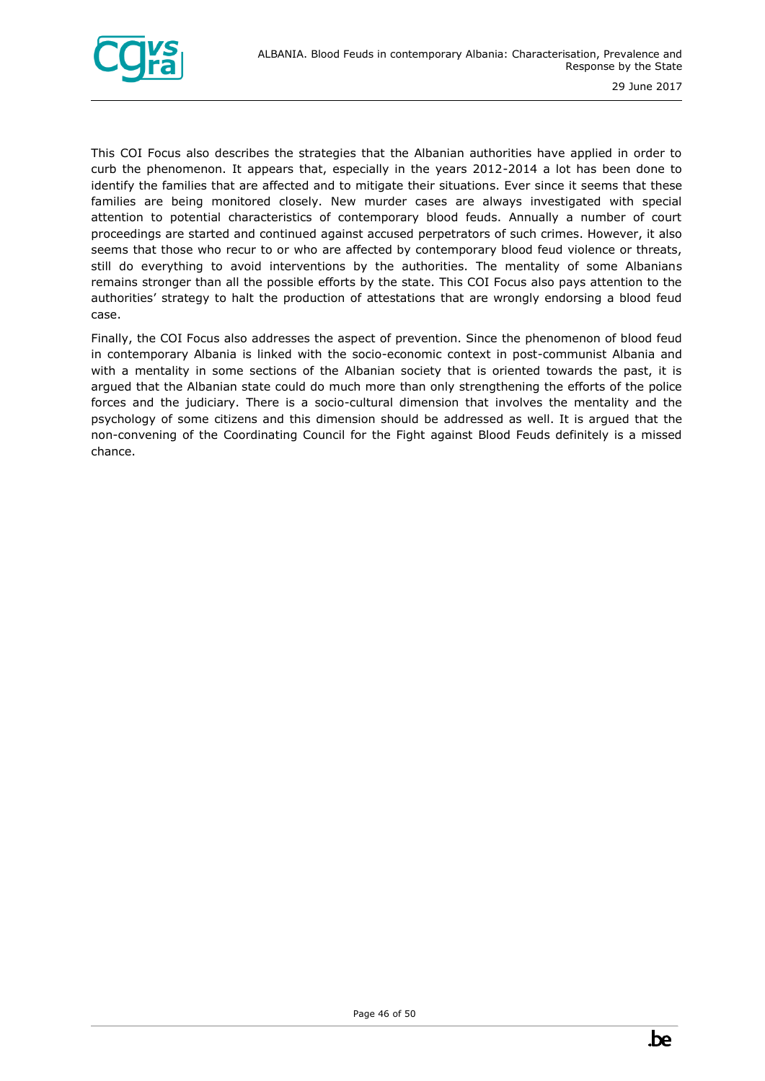

This COI Focus also describes the strategies that the Albanian authorities have applied in order to curb the phenomenon. It appears that, especially in the years 2012-2014 a lot has been done to identify the families that are affected and to mitigate their situations. Ever since it seems that these families are being monitored closely. New murder cases are always investigated with special attention to potential characteristics of contemporary blood feuds. Annually a number of court proceedings are started and continued against accused perpetrators of such crimes. However, it also seems that those who recur to or who are affected by contemporary blood feud violence or threats, still do everything to avoid interventions by the authorities. The mentality of some Albanians remains stronger than all the possible efforts by the state. This COI Focus also pays attention to the authorities' strategy to halt the production of attestations that are wrongly endorsing a blood feud case.

Finally, the COI Focus also addresses the aspect of prevention. Since the phenomenon of blood feud in contemporary Albania is linked with the socio-economic context in post-communist Albania and with a mentality in some sections of the Albanian society that is oriented towards the past, it is argued that the Albanian state could do much more than only strengthening the efforts of the police forces and the judiciary. There is a socio-cultural dimension that involves the mentality and the psychology of some citizens and this dimension should be addressed as well. It is argued that the non-convening of the Coordinating Council for the Fight against Blood Feuds definitely is a missed chance.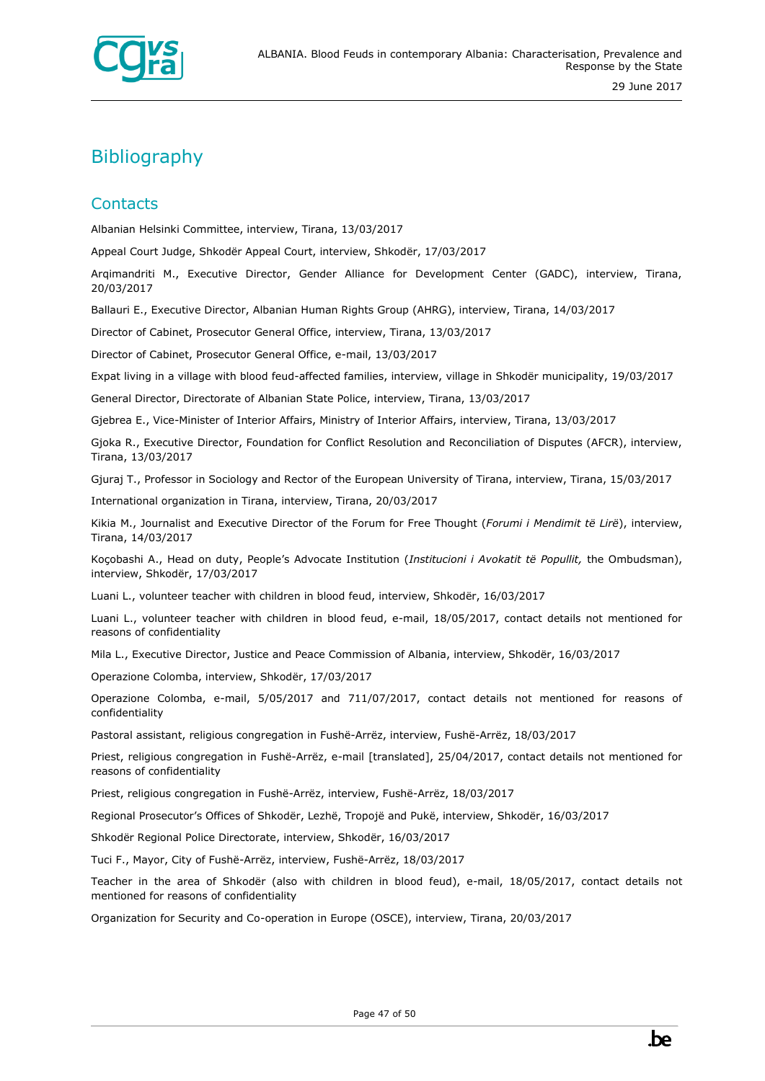

## <span id="page-46-0"></span>**Bibliography**

#### **Contacts**

Albanian Helsinki Committee, interview, Tirana, 13/03/2017

Appeal Court Judge, Shkodër Appeal Court, interview, Shkodër, 17/03/2017

Arqimandriti M., Executive Director, Gender Alliance for Development Center (GADC), interview, Tirana, 20/03/2017

Ballauri E., Executive Director, Albanian Human Rights Group (AHRG), interview, Tirana, 14/03/2017

Director of Cabinet, Prosecutor General Office, interview, Tirana, 13/03/2017

Director of Cabinet, Prosecutor General Office, e-mail, 13/03/2017

Expat living in a village with blood feud-affected families, interview, village in Shkodër municipality, 19/03/2017

General Director, Directorate of Albanian State Police, interview, Tirana, 13/03/2017

Gjebrea E., Vice-Minister of Interior Affairs, Ministry of Interior Affairs, interview, Tirana, 13/03/2017

Gjoka R., Executive Director, Foundation for Conflict Resolution and Reconciliation of Disputes (AFCR), interview, Tirana, 13/03/2017

Gjuraj T., Professor in Sociology and Rector of the European University of Tirana, interview, Tirana, 15/03/2017

International organization in Tirana, interview, Tirana, 20/03/2017

Kikia M., Journalist and Executive Director of the Forum for Free Thought (*Forumi i Mendimit të Lirë*), interview, Tirana, 14/03/2017

Koçobashi A., Head on duty, People's Advocate Institution (*Institucioni i Avokatit të Popullit,* the Ombudsman), interview, Shkodër, 17/03/2017

Luani L., volunteer teacher with children in blood feud, interview, Shkodër, 16/03/2017

Luani L., volunteer teacher with children in blood feud, e-mail, 18/05/2017, contact details not mentioned for reasons of confidentiality

Mila L., Executive Director, Justice and Peace Commission of Albania, interview, Shkodër, 16/03/2017

Operazione Colomba, interview, Shkodër, 17/03/2017

Operazione Colomba, e-mail, 5/05/2017 and 711/07/2017, contact details not mentioned for reasons of confidentiality

Pastoral assistant, religious congregation in Fushë-Arrëz, interview, Fushë-Arrëz, 18/03/2017

Priest, religious congregation in Fushë-Arrëz, e-mail [translated], 25/04/2017, contact details not mentioned for reasons of confidentiality

Priest, religious congregation in Fushë-Arrëz, interview, Fushë-Arrëz, 18/03/2017

Regional Prosecutor's Offices of Shkodër, Lezhë, Tropojë and Pukë, interview, Shkodër, 16/03/2017

Shkodër Regional Police Directorate, interview, Shkodër, 16/03/2017

Tuci F., Mayor, City of Fushë-Arrëz, interview, Fushë-Arrëz, 18/03/2017

Teacher in the area of Shkodër (also with children in blood feud), e-mail, 18/05/2017, contact details not mentioned for reasons of confidentiality

Organization for Security and Co-operation in Europe (OSCE), interview, Tirana, 20/03/2017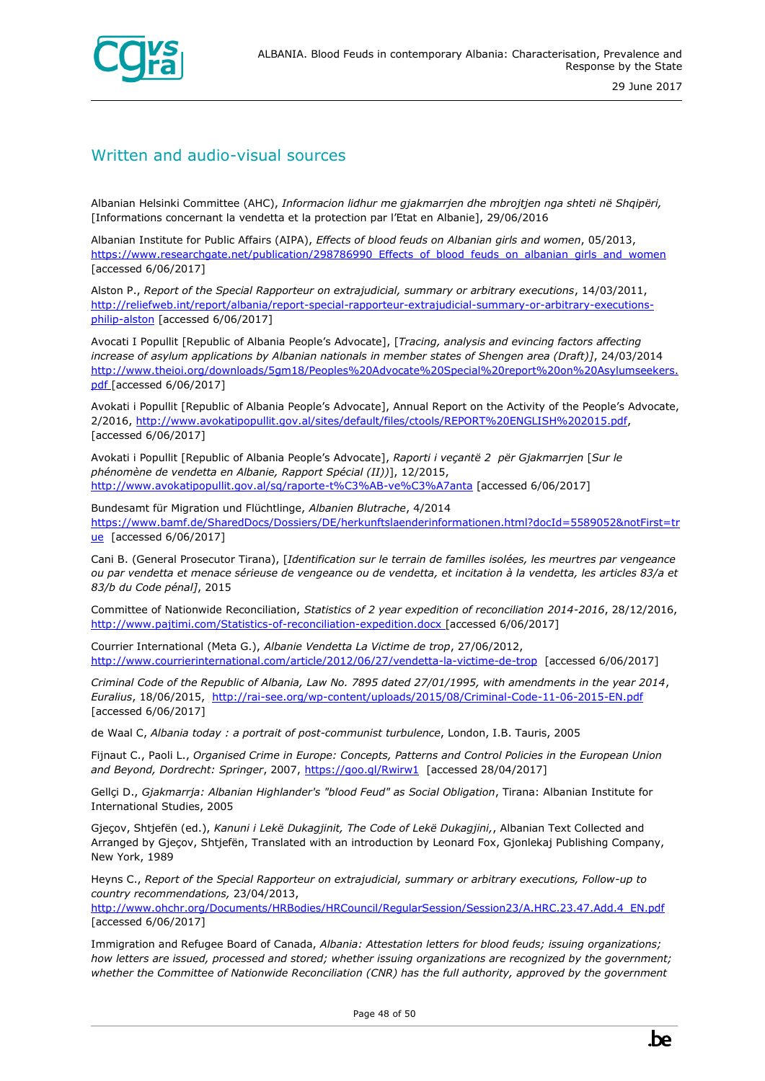

#### Written and audio-visual sources

Albanian Helsinki Committee (AHC), *Informacion lidhur me gjakmarrjen dhe mbrojtjen nga shteti në Shqipëri,* [Informations concernant la vendetta et la protection par l'Etat en Albanie], 29/06/2016

Albanian Institute for Public Affairs (AIPA), *Effects of blood feuds on Albanian girls and women*, 05/2013, [https://www.researchgate.net/publication/298786990\\_Effects\\_of\\_blood\\_feuds\\_on\\_albanian\\_girls\\_and\\_women](https://www.researchgate.net/publication/298786990_Effects_of_blood_feuds_on_albanian_girls_and_women) [accessed 6/06/2017]

Alston P., *Report of the Special Rapporteur on extrajudicial, summary or arbitrary executions*, 14/03/2011, [http://reliefweb.int/report/albania/report-special-rapporteur-extrajudicial-summary-or-arbitrary-executions](http://reliefweb.int/report/albania/report-special-rapporteur-extrajudicial-summary-or-arbitrary-executions-philip-alston)[philip-alston](http://reliefweb.int/report/albania/report-special-rapporteur-extrajudicial-summary-or-arbitrary-executions-philip-alston) [accessed 6/06/2017]

Avocati I Popullit [Republic of Albania People's Advocate], [*Tracing, analysis and evincing factors affecting increase of asylum applications by Albanian nationals in member states of Shengen area (Draft)]*, 24/03/2014 [http://www.theioi.org/downloads/5gm18/Peoples%20Advocate%20Special%20report%20on%20Asylumseekers.](http://www.theioi.org/downloads/5gm18/Peoples%20Advocate%20Special%20report%20on%20Asylumseekers.pdf) [pdf](http://www.theioi.org/downloads/5gm18/Peoples%20Advocate%20Special%20report%20on%20Asylumseekers.pdf) [accessed 6/06/2017]

Avokati i Popullit [Republic of Albania People's Advocate], Annual Report on the Activity of the People's Advocate, 2/2016, [http://www.avokatipopullit.gov.al/sites/default/files/ctools/REPORT%20ENGLISH%202015.pdf,](http://www.avokatipopullit.gov.al/sites/default/files/ctools/REPORT%20ENGLISH%202015.pdf) [accessed 6/06/2017]

Avokati i Popullit [Republic of Albania People's Advocate], *Raporti i veçantë 2 për Gjakmarrjen* [*Sur le phénomène de vendetta en Albanie, Rapport Spécial (II))*], 12/2015, <http://www.avokatipopullit.gov.al/sq/raporte-t%C3%AB-ve%C3%A7anta> [accessed 6/06/2017]

Bundesamt für Migration und Flüchtlinge, *Albanien Blutrache*, 4/2014 [https://www.bamf.de/SharedDocs/Dossiers/DE/herkunftslaenderinformationen.html?docId=5589052&notFirst=tr](https://www.bamf.de/SharedDocs/Dossiers/DE/herkunftslaenderinformationen.html?docId=5589052¬First=true) [ue](https://www.bamf.de/SharedDocs/Dossiers/DE/herkunftslaenderinformationen.html?docId=5589052¬First=true) [accessed 6/06/2017]

Cani B. (General Prosecutor Tirana), [*Identification sur le terrain de familles isolées, les meurtres par vengeance ou par vendetta et menace sérieuse de vengeance ou de vendetta, et incitation à la vendetta, les articles 83/a et 83/b du Code pénal]*, 2015

Committee of Nationwide Reconciliation, *Statistics of 2 year expedition of reconciliation 2014-2016*, 28/12/2016, <http://www.pajtimi.com/Statistics-of-reconciliation-expedition.docx> [accessed 6/06/2017]

Courrier International (Meta G.), *Albanie Vendetta La Victime de trop*, 27/06/2012, <http://www.courrierinternational.com/article/2012/06/27/vendetta-la-victime-de-trop>[accessed 6/06/2017]

*Criminal Code of the Republic of Albania, Law No. 7895 dated 27/01/1995, with amendments in the year 2014*, *Euralius*, 18/06/2015, <http://rai-see.org/wp-content/uploads/2015/08/Criminal-Code-11-06-2015-EN.pdf> [accessed 6/06/2017]

de Waal C, *Albania today : a portrait of post-communist turbulence*, London, I.B. Tauris, 2005

Fijnaut C., Paoli L., *Organised Crime in Europe: Concepts, Patterns and Control Policies in the European Union and Beyond, Dordrecht: Springer*, 2007, <https://goo.gl/Rwirw1> [accessed 28/04/2017]

Gellçi D., *Gjakmarrja: Albanian Highlander's "blood Feud" as Social Obligation*, Tirana: Albanian Institute for International Studies, 2005

Gjeçov, Shtjefën (ed.), *Kanuni i Lekë Dukagjinit, The Code of Lekë Dukagjini,*, Albanian Text Collected and Arranged by Gjeçov, Shtjefën, Translated with an introduction by Leonard Fox, Gjonlekaj Publishing Company, New York, 1989

Heyns C., *Report of the Special Rapporteur on extrajudicial, summary or arbitrary executions, Follow-up to country recommendations,* 23/04/2013,

[http://www.ohchr.org/Documents/HRBodies/HRCouncil/RegularSession/Session23/A.HRC.23.47.Add.4\\_EN.pdf](http://www.ohchr.org/Documents/HRBodies/HRCouncil/RegularSession/Session23/A.HRC.23.47.Add.4_EN.pdf) [accessed 6/06/2017]

Immigration and Refugee Board of Canada, *Albania: Attestation letters for blood feuds; issuing organizations; how letters are issued, processed and stored; whether issuing organizations are recognized by the government; whether the Committee of Nationwide Reconciliation (CNR) has the full authority, approved by the government*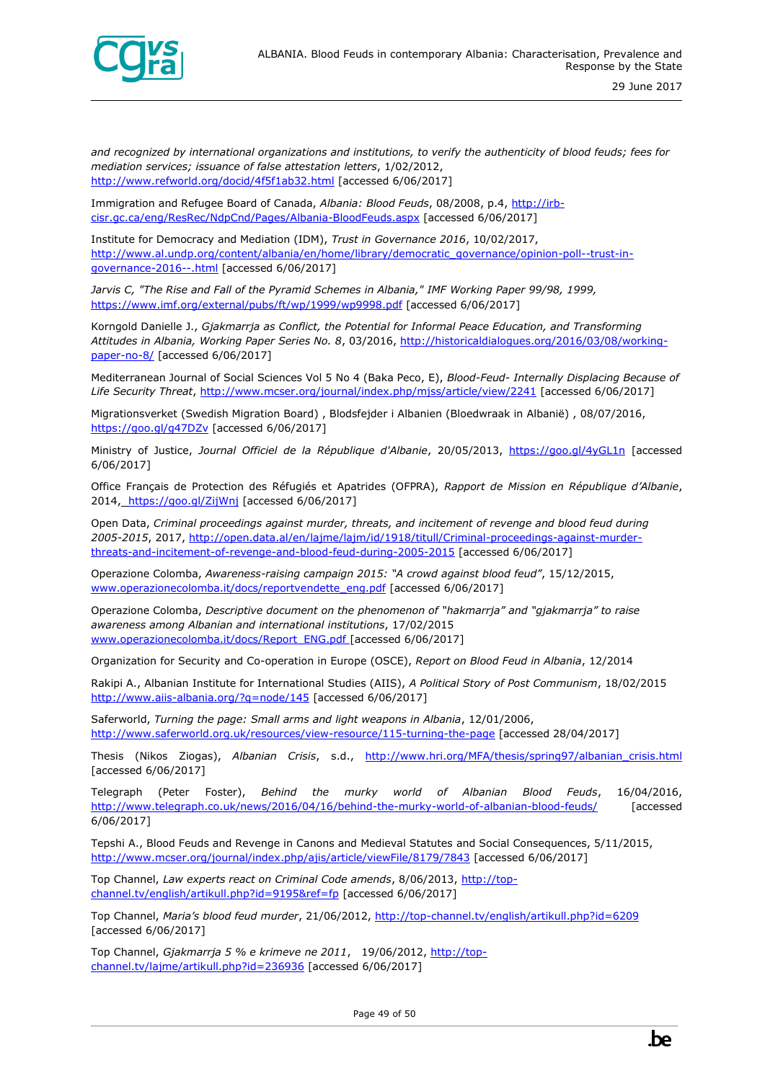

*and recognized by international organizations and institutions, to verify the authenticity of blood feuds; fees for mediation services; issuance of false attestation letters*, 1/02/2012, <http://www.refworld.org/docid/4f5f1ab32.html> [accessed 6/06/2017]

Immigration and Refugee Board of Canada, *Albania: Blood Feuds*, 08/2008, p.4, [http://irb](http://irb-cisr.gc.ca/eng/ResRec/NdpCnd/Pages/Albania-BloodFeuds.aspx)[cisr.gc.ca/eng/ResRec/NdpCnd/Pages/Albania-BloodFeuds.aspx](http://irb-cisr.gc.ca/eng/ResRec/NdpCnd/Pages/Albania-BloodFeuds.aspx) [accessed 6/06/2017]

Institute for Democracy and Mediation (IDM), *Trust in Governance 2016*, 10/02/2017, [http://www.al.undp.org/content/albania/en/home/library/democratic\\_governance/opinion-poll--trust-in](http://www.al.undp.org/content/albania/en/home/library/democratic_governance/opinion-poll--trust-in-governance-2016--.html)[governance-2016--.html](http://www.al.undp.org/content/albania/en/home/library/democratic_governance/opinion-poll--trust-in-governance-2016--.html) [accessed 6/06/2017]

*Jarvis C, "The Rise and Fall of the Pyramid Schemes in Albania," IMF Working Paper 99/98, 1999,* <https://www.imf.org/external/pubs/ft/wp/1999/wp9998.pdf> [accessed 6/06/2017]

Korngold Danielle J., *Gjakmarrja as Conflict, the Potential for Informal Peace Education, and Transforming Attitudes in Albania, Working Paper Series No. 8*, 03/2016, [http://historicaldialogues.org/2016/03/08/working](http://historicaldialogues.org/2016/03/08/working-paper-no-8/)[paper-no-8/](http://historicaldialogues.org/2016/03/08/working-paper-no-8/) [accessed 6/06/2017]

Mediterranean Journal of Social Sciences Vol 5 No 4 (Baka Peco, E), *Blood-Feud- Internally Displacing Because of Life Security Threat*,<http://www.mcser.org/journal/index.php/mjss/article/view/2241> [accessed 6/06/2017]

Migrationsverket (Swedish Migration Board) , Blodsfejder i Albanien (Bloedwraak in Albanië) , 08/07/2016, <https://goo.gl/g47DZv> [accessed 6/06/2017]

Ministry of Justice, *Journal Officiel de la République d'Albanie*, 20/05/2013,<https://goo.gl/4yGL1n> [accessed 6/06/2017]

Office Français de Protection des Réfugiés et Apatrides (OFPRA), *Rapport de Mission en République d'Albanie*, 2014, <https://goo.gl/ZijWnj> [accessed 6/06/2017]

Open Data, *Criminal proceedings against murder, threats, and incitement of revenge and blood feud during 2005-2015*, 2017, [http://open.data.al/en/lajme/lajm/id/1918/titull/Criminal-proceedings-against-murder](http://open.data.al/en/lajme/lajm/id/1918/titull/Criminal-proceedings-against-murder-threats-and-incitement-of-revenge-and-blood-feud-during-2005-2015)[threats-and-incitement-of-revenge-and-blood-feud-during-2005-2015](http://open.data.al/en/lajme/lajm/id/1918/titull/Criminal-proceedings-against-murder-threats-and-incitement-of-revenge-and-blood-feud-during-2005-2015) [accessed 6/06/2017]

Operazione Colomba, *Awareness-raising campaign 2015: "A crowd against blood feud"*, 15/12/2015, [www.operazionecolomba.it/docs/reportvendette\\_eng.pdf](http://www.operazionecolomba.it/docs/reportvendette_eng.pdf) [accessed 6/06/2017]

Operazione Colomba, *Descriptive document on the phenomenon of "hakmarrja" and "gjakmarrja" to raise awareness among Albanian and international institutions*, 17/02/2015 [www.operazionecolomba.it/docs/Report\\_ENG.pdf](http://www.operazionecolomba.it/docs/Report_ENG.pdf) [accessed 6/06/2017]

Organization for Security and Co-operation in Europe (OSCE), *Report on Blood Feud in Albania*, 12/2014

Rakipi A., Albanian Institute for International Studies (AIIS), *A Political Story of Post Communism*, 18/02/2015 <http://www.aiis-albania.org/?q=node/145> [accessed 6/06/2017]

Saferworld, *Turning the page: Small arms and light weapons in Albania*, 12/01/2006, <http://www.saferworld.org.uk/resources/view-resource/115-turning-the-page> [accessed 28/04/2017]

Thesis (Nikos Ziogas), *Albanian Crisis*, s.d., [http://www.hri.org/MFA/thesis/spring97/albanian\\_crisis.html](http://www.hri.org/MFA/thesis/spring97/albanian_crisis.html) [accessed 6/06/2017]

Telegraph (Peter Foster), *Behind the murky world of Albanian Blood Feuds*, 16/04/2016, <http://www.telegraph.co.uk/news/2016/04/16/behind-the-murky-world-of-albanian-blood-feuds/> [accessed 6/06/2017]

Tepshi A., Blood Feuds and Revenge in Canons and Medieval Statutes and Social Consequences, 5/11/2015, <http://www.mcser.org/journal/index.php/ajis/article/viewFile/8179/7843> [accessed 6/06/2017]

Top Channel, *Law experts react on Criminal Code amends*, 8/06/2013, [http://top](http://top-channel.tv/english/artikull.php?id=9195&ref=fp)[channel.tv/english/artikull.php?id=9195&ref=fp](http://top-channel.tv/english/artikull.php?id=9195&ref=fp) [accessed 6/06/2017]

Top Channel, *Maria's blood feud murder*, 21/06/2012,<http://top-channel.tv/english/artikull.php?id=6209> [accessed 6/06/2017]

Top Channel, *Gjakmarrja 5 % e krimeve ne 2011*, 19/06/2012, [http://top](http://top-channel.tv/lajme/artikull.php?id=236936)[channel.tv/lajme/artikull.php?id=236936](http://top-channel.tv/lajme/artikull.php?id=236936) [accessed 6/06/2017]